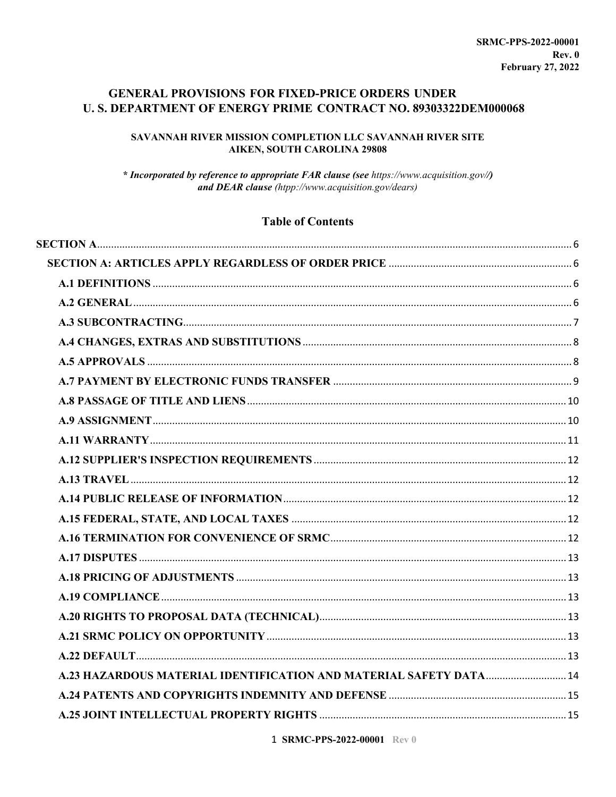### **GENERAL PROVISIONS FOR FIXED-PRICE ORDERS UNDER** U.S. DEPARTMENT OF ENERGY PRIME CONTRACT NO. 89303322DEM000068

### SAVANNAH RIVER MISSION COMPLETION LLC SAVANNAH RIVER SITE **AIKEN, SOUTH CAROLINA 29808**

\* Incorporated by reference to appropriate FAR clause (see https://www.acquisition.gov//) and DEAR clause (htpp://www.acquisition.gov/dears)

### **Table of Contents**

| A.23 HAZARDOUS MATERIAL IDENTIFICATION AND MATERIAL SAFETY DATA 14 |  |
|--------------------------------------------------------------------|--|
|                                                                    |  |
|                                                                    |  |

1 SRMC-PPS-2022-00001 Rev 0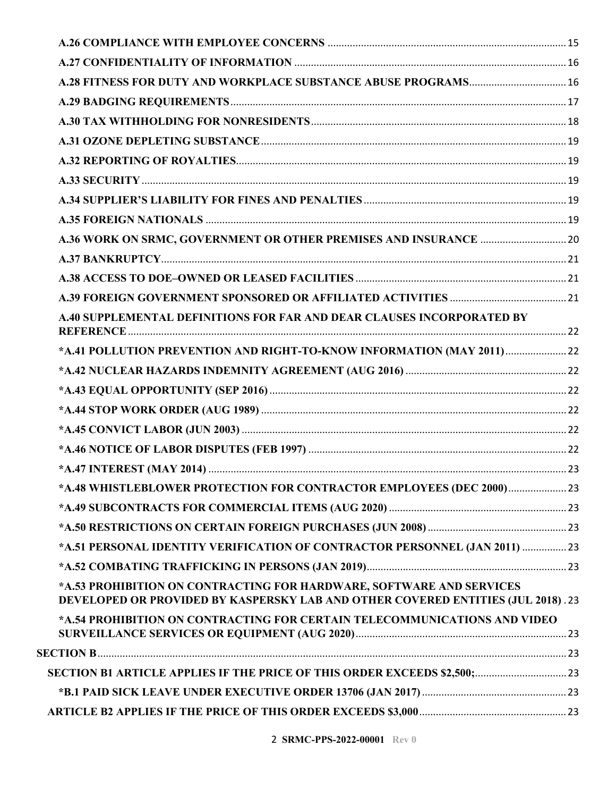| A.28 FITNESS FOR DUTY AND WORKPLACE SUBSTANCE ABUSE PROGRAMS 16                                                                                          |  |
|----------------------------------------------------------------------------------------------------------------------------------------------------------|--|
|                                                                                                                                                          |  |
|                                                                                                                                                          |  |
|                                                                                                                                                          |  |
|                                                                                                                                                          |  |
|                                                                                                                                                          |  |
|                                                                                                                                                          |  |
|                                                                                                                                                          |  |
|                                                                                                                                                          |  |
|                                                                                                                                                          |  |
|                                                                                                                                                          |  |
|                                                                                                                                                          |  |
| A.40 SUPPLEMENTAL DEFINITIONS FOR FAR AND DEAR CLAUSES INCORPORATED BY                                                                                   |  |
| *A.41 POLLUTION PREVENTION AND RIGHT-TO-KNOW INFORMATION (MAY 2011) 22                                                                                   |  |
|                                                                                                                                                          |  |
|                                                                                                                                                          |  |
|                                                                                                                                                          |  |
|                                                                                                                                                          |  |
|                                                                                                                                                          |  |
|                                                                                                                                                          |  |
| *A.48 WHISTLEBLOWER PROTECTION FOR CONTRACTOR EMPLOYEES (DEC 2000) 23                                                                                    |  |
|                                                                                                                                                          |  |
|                                                                                                                                                          |  |
| *A.51 PERSONAL IDENTITY VERIFICATION OF CONTRACTOR PERSONNEL (JAN 2011)  23                                                                              |  |
|                                                                                                                                                          |  |
| *A.53 PROHIBITION ON CONTRACTING FOR HARDWARE, SOFTWARE AND SERVICES<br>DEVELOPED OR PROVIDED BY KASPERSKY LAB AND OTHER COVERED ENTITIES (JUL 2018). 23 |  |
| *A.54 PROHIBITION ON CONTRACTING FOR CERTAIN TELECOMMUNICATIONS AND VIDEO                                                                                |  |
|                                                                                                                                                          |  |
| SECTION B1 ARTICLE APPLIES IF THE PRICE OF THIS ORDER EXCEEDS \$2,500; 23                                                                                |  |
|                                                                                                                                                          |  |
|                                                                                                                                                          |  |
|                                                                                                                                                          |  |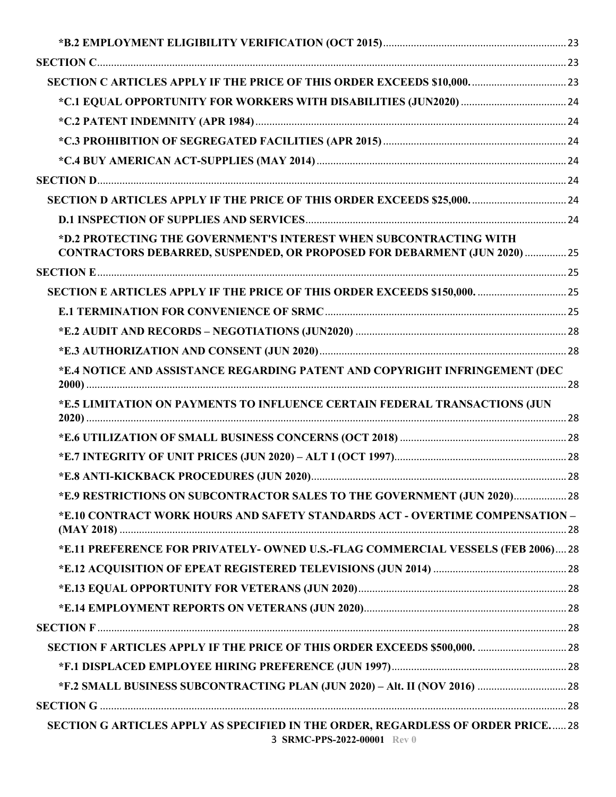| SECTION C ARTICLES APPLY IF THE PRICE OF THIS ORDER EXCEEDS \$10,000.  23                                                                       |  |
|-------------------------------------------------------------------------------------------------------------------------------------------------|--|
|                                                                                                                                                 |  |
|                                                                                                                                                 |  |
|                                                                                                                                                 |  |
|                                                                                                                                                 |  |
|                                                                                                                                                 |  |
| SECTION D ARTICLES APPLY IF THE PRICE OF THIS ORDER EXCEEDS \$25,000.  24                                                                       |  |
|                                                                                                                                                 |  |
| *D.2 PROTECTING THE GOVERNMENT'S INTEREST WHEN SUBCONTRACTING WITH<br>CONTRACTORS DEBARRED, SUSPENDED, OR PROPOSED FOR DEBARMENT (JUN 2020)  25 |  |
|                                                                                                                                                 |  |
| SECTION E ARTICLES APPLY IF THE PRICE OF THIS ORDER EXCEEDS \$150,000.  25                                                                      |  |
|                                                                                                                                                 |  |
|                                                                                                                                                 |  |
|                                                                                                                                                 |  |
| *E.4 NOTICE AND ASSISTANCE REGARDING PATENT AND COPYRIGHT INFRINGEMENT (DEC                                                                     |  |
| *E.5 LIMITATION ON PAYMENTS TO INFLUENCE CERTAIN FEDERAL TRANSACTIONS (JUN                                                                      |  |
|                                                                                                                                                 |  |
|                                                                                                                                                 |  |
|                                                                                                                                                 |  |
| *E.9 RESTRICTIONS ON SUBCONTRACTOR SALES TO THE GOVERNMENT (JUN 2020) 28                                                                        |  |
| *E.10 CONTRACT WORK HOURS AND SAFETY STANDARDS ACT - OVERTIME COMPENSATION -                                                                    |  |
| *E.11 PREFERENCE FOR PRIVATELY- OWNED U.S.-FLAG COMMERCIAL VESSELS (FEB 2006) 28                                                                |  |
|                                                                                                                                                 |  |
|                                                                                                                                                 |  |
|                                                                                                                                                 |  |
|                                                                                                                                                 |  |
| SECTION F ARTICLES APPLY IF THE PRICE OF THIS ORDER EXCEEDS \$500,000.  28                                                                      |  |
|                                                                                                                                                 |  |
|                                                                                                                                                 |  |
|                                                                                                                                                 |  |
| SECTION G ARTICLES APPLY AS SPECIFIED IN THE ORDER, REGARDLESS OF ORDER PRICE 28<br>3 SRMC-PPS-2022-00001 Rev 0                                 |  |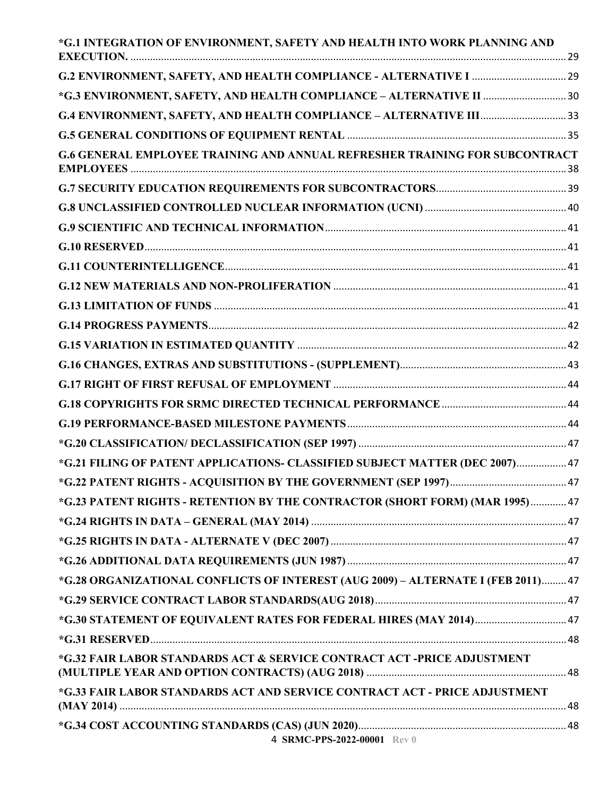| *G.1 INTEGRATION OF ENVIRONMENT, SAFETY AND HEALTH INTO WORK PLANNING AND         |  |
|-----------------------------------------------------------------------------------|--|
|                                                                                   |  |
| *G.3 ENVIRONMENT, SAFETY, AND HEALTH COMPLIANCE - ALTERNATIVE II  30              |  |
|                                                                                   |  |
|                                                                                   |  |
| G.6 GENERAL EMPLOYEE TRAINING AND ANNUAL REFRESHER TRAINING FOR SUBCONTRACT       |  |
|                                                                                   |  |
|                                                                                   |  |
|                                                                                   |  |
|                                                                                   |  |
|                                                                                   |  |
|                                                                                   |  |
|                                                                                   |  |
|                                                                                   |  |
|                                                                                   |  |
|                                                                                   |  |
|                                                                                   |  |
|                                                                                   |  |
|                                                                                   |  |
|                                                                                   |  |
| *G.21 FILING OF PATENT APPLICATIONS- CLASSIFIED SUBJECT MATTER (DEC 2007) 47      |  |
|                                                                                   |  |
| *G.23 PATENT RIGHTS - RETENTION BY THE CONTRACTOR (SHORT FORM) (MAR 1995) 47      |  |
|                                                                                   |  |
|                                                                                   |  |
|                                                                                   |  |
| *G.28 ORGANIZATIONAL CONFLICTS OF INTEREST (AUG 2009) - ALTERNATE I (FEB 2011) 47 |  |
|                                                                                   |  |
| *G.30 STATEMENT OF EQUIVALENT RATES FOR FEDERAL HIRES (MAY 2014) 47               |  |
|                                                                                   |  |
| *G.32 FAIR LABOR STANDARDS ACT & SERVICE CONTRACT ACT -PRICE ADJUSTMENT           |  |
| *G.33 FAIR LABOR STANDARDS ACT AND SERVICE CONTRACT ACT - PRICE ADJUSTMENT        |  |
| 4 SRMC-PPS-2022-00001 Rev 0                                                       |  |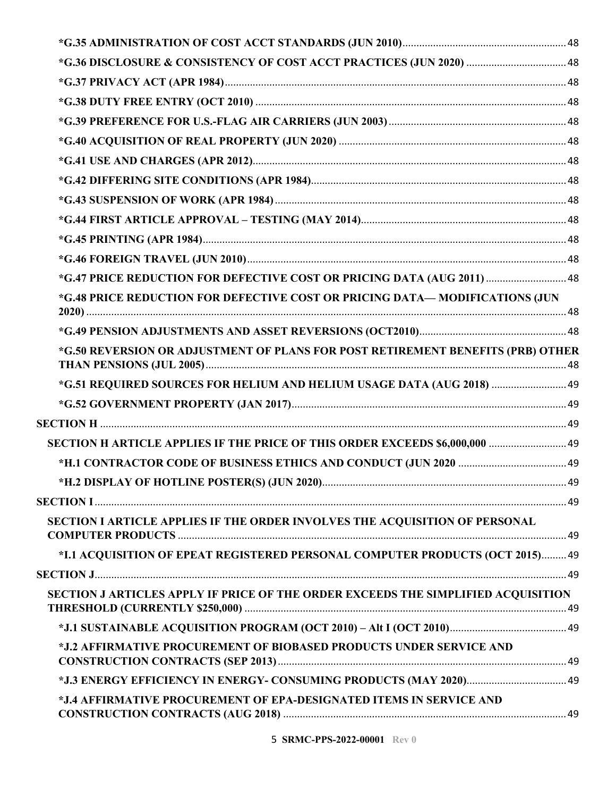| *G.47 PRICE REDUCTION FOR DEFECTIVE COST OR PRICING DATA (AUG 2011)  48           |    |
|-----------------------------------------------------------------------------------|----|
| *G.48 PRICE REDUCTION FOR DEFECTIVE COST OR PRICING DATA—MODIFICATIONS (JUN       |    |
|                                                                                   |    |
| *G.50 REVERSION OR ADJUSTMENT OF PLANS FOR POST RETIREMENT BENEFITS (PRB) OTHER   |    |
| *G.51 REQUIRED SOURCES FOR HELIUM AND HELIUM USAGE DATA (AUG 2018)  49            |    |
|                                                                                   |    |
|                                                                                   |    |
| SECTION H ARTICLE APPLIES IF THE PRICE OF THIS ORDER EXCEEDS \$6,000,000  49      |    |
|                                                                                   |    |
| *H.2 DISPLAY OF HOTLINE POSTER(S) (JUN 2020)                                      | 49 |
|                                                                                   |    |
| SECTION I ARTICLE APPLIES IF THE ORDER INVOLVES THE ACQUISITION OF PERSONAL       |    |
| *I.1 ACQUISITION OF EPEAT REGISTERED PERSONAL COMPUTER PRODUCTS (OCT 2015) 49     |    |
|                                                                                   |    |
| SECTION J ARTICLES APPLY IF PRICE OF THE ORDER EXCEEDS THE SIMPLIFIED ACQUISITION |    |
|                                                                                   |    |
| *J.2 AFFIRMATIVE PROCUREMENT OF BIOBASED PRODUCTS UNDER SERVICE AND               |    |
|                                                                                   |    |
| *J.4 AFFIRMATIVE PROCUREMENT OF EPA-DESIGNATED ITEMS IN SERVICE AND               |    |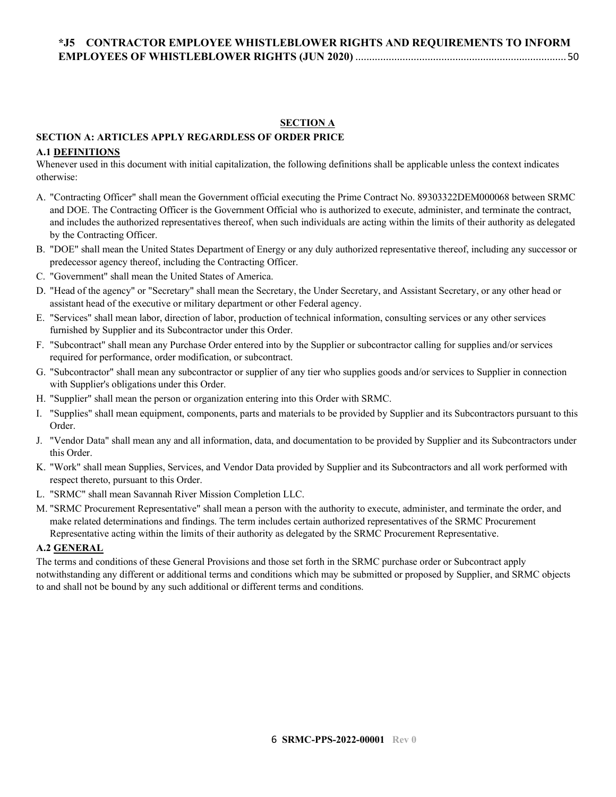#### **SECTION A**

## <span id="page-5-1"></span><span id="page-5-0"></span>**SECTION A: ARTICLES APPLY REGARDLESS OF ORDER PRICE**

#### <span id="page-5-2"></span>**A.1 DEFINITIONS**

Whenever used in this document with initial capitalization, the following definitions shall be applicable unless the context indicates otherwise:

- A. "Contracting Officer" shall mean the Government official executing the Prime Contract No. 89303322DEM000068 between SRMC and DOE. The Contracting Officer is the Government Official who is authorized to execute, administer, and terminate the contract, and includes the authorized representatives thereof, when such individuals are acting within the limits of their authority as delegated by the Contracting Officer.
- B. "DOE" shall mean the United States Department of Energy or any duly authorized representative thereof, including any successor or predecessor agency thereof, including the Contracting Officer.
- C. "Government" shall mean the United States of America.
- D. "Head of the agency" or "Secretary" shall mean the Secretary, the Under Secretary, and Assistant Secretary, or any other head or assistant head of the executive or military department or other Federal agency.
- E. "Services" shall mean labor, direction of labor, production of technical information, consulting services or any other services furnished by Supplier and its Subcontractor under this Order.
- F. "Subcontract" shall mean any Purchase Order entered into by the Supplier or subcontractor calling for supplies and/or services required for performance, order modification, or subcontract.
- G. "Subcontractor" shall mean any subcontractor or supplier of any tier who supplies goods and/or services to Supplier in connection with Supplier's obligations under this Order.
- H. "Supplier" shall mean the person or organization entering into this Order with SRMC.
- I. "Supplies" shall mean equipment, components, parts and materials to be provided by Supplier and its Subcontractors pursuant to this Order.
- J. "Vendor Data" shall mean any and all information, data, and documentation to be provided by Supplier and its Subcontractors under this Order.
- K. "Work" shall mean Supplies, Services, and Vendor Data provided by Supplier and its Subcontractors and all work performed with respect thereto, pursuant to this Order.
- L. "SRMC" shall mean Savannah River Mission Completion LLC.
- M. "SRMC Procurement Representative" shall mean a person with the authority to execute, administer, and terminate the order, and make related determinations and findings. The term includes certain authorized representatives of the SRMC Procurement Representative acting within the limits of their authority as delegated by the SRMC Procurement Representative.

### <span id="page-5-3"></span>**A.2 GENERAL**

The terms and conditions of these General Provisions and those set forth in the SRMC purchase order or Subcontract apply notwithstanding any different or additional terms and conditions which may be submitted or proposed by Supplier, and SRMC objects to and shall not be bound by any such additional or different terms and conditions.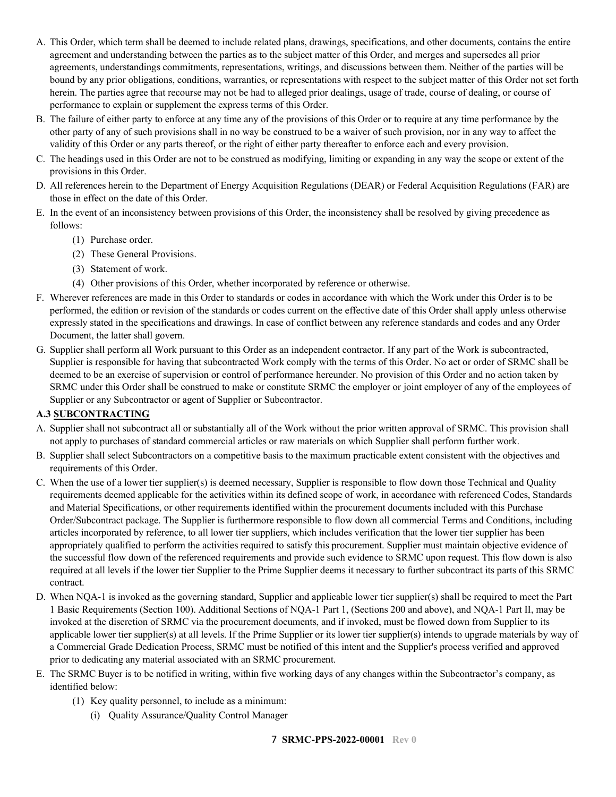- A. This Order, which term shall be deemed to include related plans, drawings, specifications, and other documents, contains the entire agreement and understanding between the parties as to the subject matter of this Order, and merges and supersedes all prior agreements, understandings commitments, representations, writings, and discussions between them. Neither of the parties will be bound by any prior obligations, conditions, warranties, or representations with respect to the subject matter of this Order not set forth herein. The parties agree that recourse may not be had to alleged prior dealings, usage of trade, course of dealing, or course of performance to explain or supplement the express terms of this Order.
- B. The failure of either party to enforce at any time any of the provisions of this Order or to require at any time performance by the other party of any of such provisions shall in no way be construed to be a waiver of such provision, nor in any way to affect the validity of this Order or any parts thereof, or the right of either party thereafter to enforce each and every provision.
- C. The headings used in this Order are not to be construed as modifying, limiting or expanding in any way the scope or extent of the provisions in this Order.
- D. All references herein to the Department of Energy Acquisition Regulations (DEAR) or Federal Acquisition Regulations (FAR) are those in effect on the date of this Order.
- E. In the event of an inconsistency between provisions of this Order, the inconsistency shall be resolved by giving precedence as follows:
	- (1) Purchase order.
	- (2) These General Provisions.
	- (3) Statement of work.
	- (4) Other provisions of this Order, whether incorporated by reference or otherwise.
- F. Wherever references are made in this Order to standards or codes in accordance with which the Work under this Order is to be performed, the edition or revision of the standards or codes current on the effective date of this Order shall apply unless otherwise expressly stated in the specifications and drawings. In case of conflict between any reference standards and codes and any Order Document, the latter shall govern.
- G. Supplier shall perform all Work pursuant to this Order as an independent contractor. If any part of the Work is subcontracted, Supplier is responsible for having that subcontracted Work comply with the terms of this Order. No act or order of SRMC shall be deemed to be an exercise of supervision or control of performance hereunder. No provision of this Order and no action taken by SRMC under this Order shall be construed to make or constitute SRMC the employer or joint employer of any of the employees of Supplier or any Subcontractor or agent of Supplier or Subcontractor.

### <span id="page-6-0"></span>**A.3 SUBCONTRACTING**

- A. Supplier shall not subcontract all or substantially all of the Work without the prior written approval of SRMC. This provision shall not apply to purchases of standard commercial articles or raw materials on which Supplier shall perform further work.
- B. Supplier shall select Subcontractors on a competitive basis to the maximum practicable extent consistent with the objectives and requirements of this Order.
- C. When the use of a lower tier supplier(s) is deemed necessary, Supplier is responsible to flow down those Technical and Quality requirements deemed applicable for the activities within its defined scope of work, in accordance with referenced Codes, Standards and Material Specifications, or other requirements identified within the procurement documents included with this Purchase Order/Subcontract package. The Supplier is furthermore responsible to flow down all commercial Terms and Conditions, including articles incorporated by reference, to all lower tier suppliers, which includes verification that the lower tier supplier has been appropriately qualified to perform the activities required to satisfy this procurement. Supplier must maintain objective evidence of the successful flow down of the referenced requirements and provide such evidence to SRMC upon request. This flow down is also required at all levels if the lower tier Supplier to the Prime Supplier deems it necessary to further subcontract its parts of this SRMC contract.
- D. When NQA-1 is invoked as the governing standard, Supplier and applicable lower tier supplier(s) shall be required to meet the Part 1 Basic Requirements (Section 100). Additional Sections of NQA-1 Part 1, (Sections 200 and above), and NQA-1 Part II, may be invoked at the discretion of SRMC via the procurement documents, and if invoked, must be flowed down from Supplier to its applicable lower tier supplier(s) at all levels. If the Prime Supplier or its lower tier supplier(s) intends to upgrade materials by way of a Commercial Grade Dedication Process, SRMC must be notified of this intent and the Supplier's process verified and approved prior to dedicating any material associated with an SRMC procurement.
- E. The SRMC Buyer is to be notified in writing, within five working days of any changes within the Subcontractor's company, as identified below:
	- (1) Key quality personnel, to include as a minimum:
		- (i) Quality Assurance/Quality Control Manager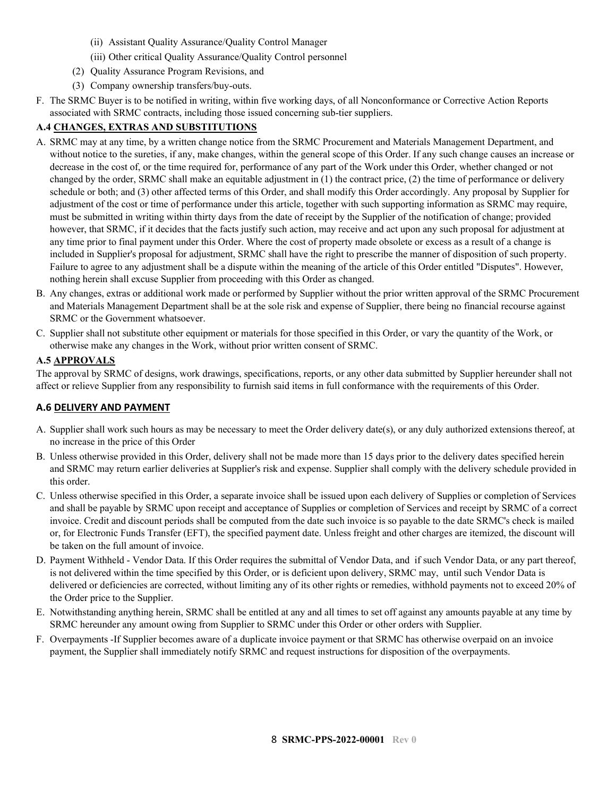- (ii) Assistant Quality Assurance/Quality Control Manager
- (iii) Other critical Quality Assurance/Quality Control personnel
- (2) Quality Assurance Program Revisions, and
- (3) Company ownership transfers/buy-outs.
- F. The SRMC Buyer is to be notified in writing, within five working days, of all Nonconformance or Corrective Action Reports associated with SRMC contracts, including those issued concerning sub-tier suppliers.

### <span id="page-7-0"></span>**A.4 CHANGES, EXTRAS AND SUBSTITUTIONS**

- A. SRMC may at any time, by a written change notice from the SRMC Procurement and Materials Management Department, and without notice to the sureties, if any, make changes, within the general scope of this Order. If any such change causes an increase or decrease in the cost of, or the time required for, performance of any part of the Work under this Order, whether changed or not changed by the order, SRMC shall make an equitable adjustment in (1) the contract price, (2) the time of performance or delivery schedule or both; and (3) other affected terms of this Order, and shall modify this Order accordingly. Any proposal by Supplier for adjustment of the cost or time of performance under this article, together with such supporting information as SRMC may require, must be submitted in writing within thirty days from the date of receipt by the Supplier of the notification of change; provided however, that SRMC, if it decides that the facts justify such action, may receive and act upon any such proposal for adjustment at any time prior to final payment under this Order. Where the cost of property made obsolete or excess as a result of a change is included in Supplier's proposal for adjustment, SRMC shall have the right to prescribe the manner of disposition of such property. Failure to agree to any adjustment shall be a dispute within the meaning of the article of this Order entitled "Disputes". However, nothing herein shall excuse Supplier from proceeding with this Order as changed.
- B. Any changes, extras or additional work made or performed by Supplier without the prior written approval of the SRMC Procurement and Materials Management Department shall be at the sole risk and expense of Supplier, there being no financial recourse against SRMC or the Government whatsoever.
- C. Supplier shall not substitute other equipment or materials for those specified in this Order, or vary the quantity of the Work, or otherwise make any changes in the Work, without prior written consent of SRMC.

#### <span id="page-7-1"></span>**A.5 APPROVALS**

The approval by SRMC of designs, work drawings, specifications, reports, or any other data submitted by Supplier hereunder shall not affect or relieve Supplier from any responsibility to furnish said items in full conformance with the requirements of this Order.

#### **A.6 DELIVERY AND PAYMENT**

- A. Supplier shall work such hours as may be necessary to meet the Order delivery date(s), or any duly authorized extensions thereof, at no increase in the price of this Order
- B. Unless otherwise provided in this Order, delivery shall not be made more than 15 days prior to the delivery dates specified herein and SRMC may return earlier deliveries at Supplier's risk and expense. Supplier shall comply with the delivery schedule provided in this order.
- C. Unless otherwise specified in this Order, a separate invoice shall be issued upon each delivery of Supplies or completion of Services and shall be payable by SRMC upon receipt and acceptance of Supplies or completion of Services and receipt by SRMC of a correct invoice. Credit and discount periods shall be computed from the date such invoice is so payable to the date SRMC's check is mailed or, for Electronic Funds Transfer (EFT), the specified payment date. Unless freight and other charges are itemized, the discount will be taken on the full amount of invoice.
- D. Payment Withheld Vendor Data. If this Order requires the submittal of Vendor Data, and if such Vendor Data, or any part thereof, is not delivered within the time specified by this Order, or is deficient upon delivery, SRMC may, until such Vendor Data is delivered or deficiencies are corrected, without limiting any of its other rights or remedies, withhold payments not to exceed 20% of the Order price to the Supplier.
- E. Notwithstanding anything herein, SRMC shall be entitled at any and all times to set off against any amounts payable at any time by SRMC hereunder any amount owing from Supplier to SRMC under this Order or other orders with Supplier.
- F. Overpayments -If Supplier becomes aware of a duplicate invoice payment or that SRMC has otherwise overpaid on an invoice payment, the Supplier shall immediately notify SRMC and request instructions for disposition of the overpayments.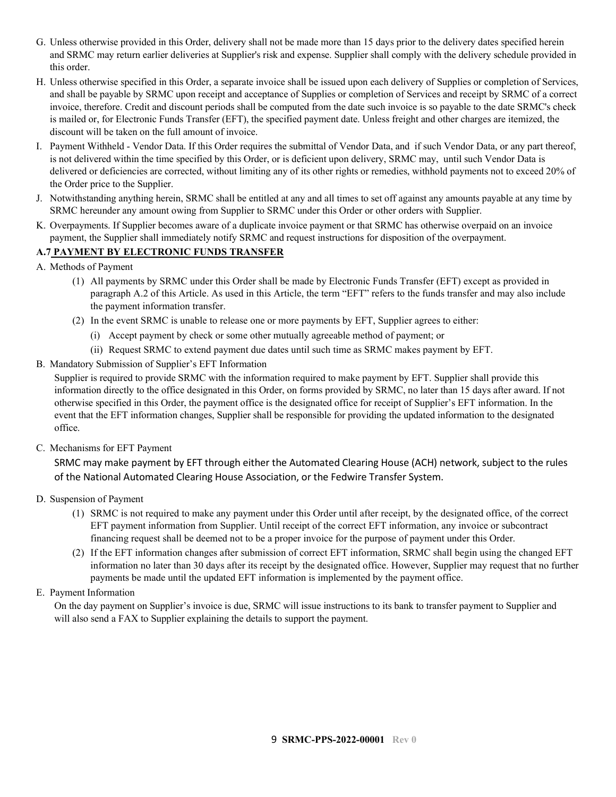- G. Unless otherwise provided in this Order, delivery shall not be made more than 15 days prior to the delivery dates specified herein and SRMC may return earlier deliveries at Supplier's risk and expense. Supplier shall comply with the delivery schedule provided in this order.
- H. Unless otherwise specified in this Order, a separate invoice shall be issued upon each delivery of Supplies or completion of Services, and shall be payable by SRMC upon receipt and acceptance of Supplies or completion of Services and receipt by SRMC of a correct invoice, therefore. Credit and discount periods shall be computed from the date such invoice is so payable to the date SRMC's check is mailed or, for Electronic Funds Transfer (EFT), the specified payment date. Unless freight and other charges are itemized, the discount will be taken on the full amount of invoice.
- I. Payment Withheld Vendor Data. If this Order requires the submittal of Vendor Data, and if such Vendor Data, or any part thereof, is not delivered within the time specified by this Order, or is deficient upon delivery, SRMC may, until such Vendor Data is delivered or deficiencies are corrected, without limiting any of its other rights or remedies, withhold payments not to exceed 20% of the Order price to the Supplier.
- J. Notwithstanding anything herein, SRMC shall be entitled at any and all times to set off against any amounts payable at any time by SRMC hereunder any amount owing from Supplier to SRMC under this Order or other orders with Supplier.
- K. Overpayments. If Supplier becomes aware of a duplicate invoice payment or that SRMC has otherwise overpaid on an invoice payment, the Supplier shall immediately notify SRMC and request instructions for disposition of the overpayment.

### <span id="page-8-0"></span>**A.7 PAYMENT BY ELECTRONIC FUNDS TRANSFER**

- A. Methods of Payment
	- (1) All payments by SRMC under this Order shall be made by Electronic Funds Transfer (EFT) except as provided in paragraph A.2 of this Article. As used in this Article, the term "EFT" refers to the funds transfer and may also include the payment information transfer.
	- (2) In the event SRMC is unable to release one or more payments by EFT, Supplier agrees to either:
		- (i) Accept payment by check or some other mutually agreeable method of payment; or
		- (ii) Request SRMC to extend payment due dates until such time as SRMC makes payment by EFT.
- B. Mandatory Submission of Supplier's EFT Information

Supplier is required to provide SRMC with the information required to make payment by EFT. Supplier shall provide this information directly to the office designated in this Order, on forms provided by SRMC, no later than 15 days after award. If not otherwise specified in this Order, the payment office is the designated office for receipt of Supplier's EFT information. In the event that the EFT information changes, Supplier shall be responsible for providing the updated information to the designated office.

C. Mechanisms for EFT Payment

SRMC may make payment by EFT through either the Automated Clearing House (ACH) network, subject to the rules of the National Automated Clearing House Association, or the Fedwire Transfer System.

- D. Suspension of Payment
	- (1) SRMC is not required to make any payment under this Order until after receipt, by the designated office, of the correct EFT payment information from Supplier. Until receipt of the correct EFT information, any invoice or subcontract financing request shall be deemed not to be a proper invoice for the purpose of payment under this Order.
	- (2) If the EFT information changes after submission of correct EFT information, SRMC shall begin using the changed EFT information no later than 30 days after its receipt by the designated office. However, Supplier may request that no further payments be made until the updated EFT information is implemented by the payment office.
- E. Payment Information

On the day payment on Supplier's invoice is due, SRMC will issue instructions to its bank to transfer payment to Supplier and will also send a FAX to Supplier explaining the details to support the payment.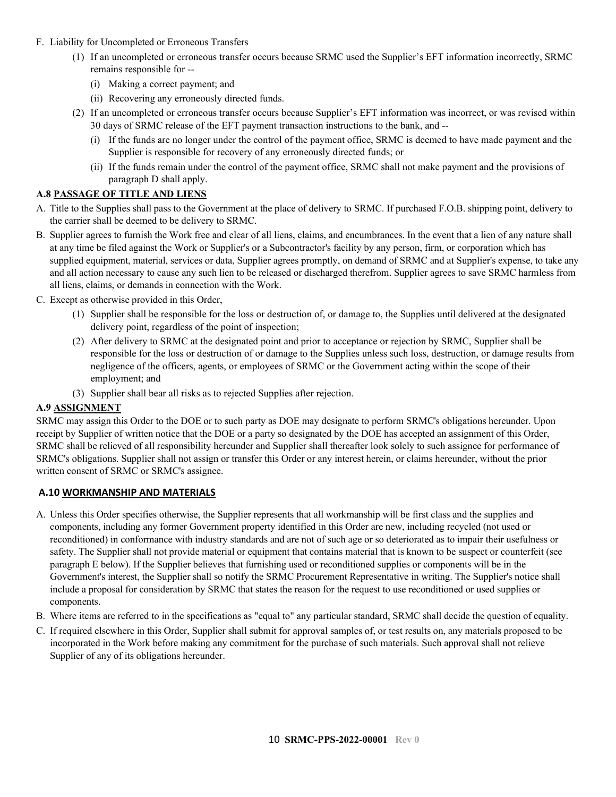- F. Liability for Uncompleted or Erroneous Transfers
	- (1) If an uncompleted or erroneous transfer occurs because SRMC used the Supplier's EFT information incorrectly, SRMC remains responsible for --
		- (i) Making a correct payment; and
		- (ii) Recovering any erroneously directed funds.
	- (2) If an uncompleted or erroneous transfer occurs because Supplier's EFT information was incorrect, or was revised within 30 days of SRMC release of the EFT payment transaction instructions to the bank, and --
		- (i) If the funds are no longer under the control of the payment office, SRMC is deemed to have made payment and the Supplier is responsible for recovery of any erroneously directed funds; or
		- (ii) If the funds remain under the control of the payment office, SRMC shall not make payment and the provisions of paragraph D shall apply.

### <span id="page-9-0"></span>**A.8 PASSAGE OF TITLE AND LIENS**

- A. Title to the Supplies shall pass to the Government at the place of delivery to SRMC. If purchased F.O.B. shipping point, delivery to the carrier shall be deemed to be delivery to SRMC.
- B. Supplier agrees to furnish the Work free and clear of all liens, claims, and encumbrances. In the event that a lien of any nature shall at any time be filed against the Work or Supplier's or a Subcontractor's facility by any person, firm, or corporation which has supplied equipment, material, services or data, Supplier agrees promptly, on demand of SRMC and at Supplier's expense, to take any and all action necessary to cause any such lien to be released or discharged therefrom. Supplier agrees to save SRMC harmless from all liens, claims, or demands in connection with the Work.
- C. Except as otherwise provided in this Order,
	- (1) Supplier shall be responsible for the loss or destruction of, or damage to, the Supplies until delivered at the designated delivery point, regardless of the point of inspection;
	- (2) After delivery to SRMC at the designated point and prior to acceptance or rejection by SRMC, Supplier shall be responsible for the loss or destruction of or damage to the Supplies unless such loss, destruction, or damage results from negligence of the officers, agents, or employees of SRMC or the Government acting within the scope of their employment; and
	- (3) Supplier shall bear all risks as to rejected Supplies after rejection.

### <span id="page-9-1"></span>**A.9 ASSIGNMENT**

SRMC may assign this Order to the DOE or to such party as DOE may designate to perform SRMC's obligations hereunder. Upon receipt by Supplier of written notice that the DOE or a party so designated by the DOE has accepted an assignment of this Order, SRMC shall be relieved of all responsibility hereunder and Supplier shall thereafter look solely to such assignee for performance of SRMC's obligations. Supplier shall not assign or transfer this Order or any interest herein, or claims hereunder, without the prior written consent of SRMC or SRMC's assignee.

### **A.10 WORKMANSHIP AND MATERIALS**

- A. Unless this Order specifies otherwise, the Supplier represents that all workmanship will be first class and the supplies and components, including any former Government property identified in this Order are new, including recycled (not used or reconditioned) in conformance with industry standards and are not of such age or so deteriorated as to impair their usefulness or safety. The Supplier shall not provide material or equipment that contains material that is known to be suspect or counterfeit (see paragraph E below). If the Supplier believes that furnishing used or reconditioned supplies or components will be in the Government's interest, the Supplier shall so notify the SRMC Procurement Representative in writing. The Supplier's notice shall include a proposal for consideration by SRMC that states the reason for the request to use reconditioned or used supplies or components.
- B. Where items are referred to in the specifications as "equal to" any particular standard, SRMC shall decide the question of equality.
- C. If required elsewhere in this Order, Supplier shall submit for approval samples of, or test results on, any materials proposed to be incorporated in the Work before making any commitment for the purchase of such materials. Such approval shall not relieve Supplier of any of its obligations hereunder.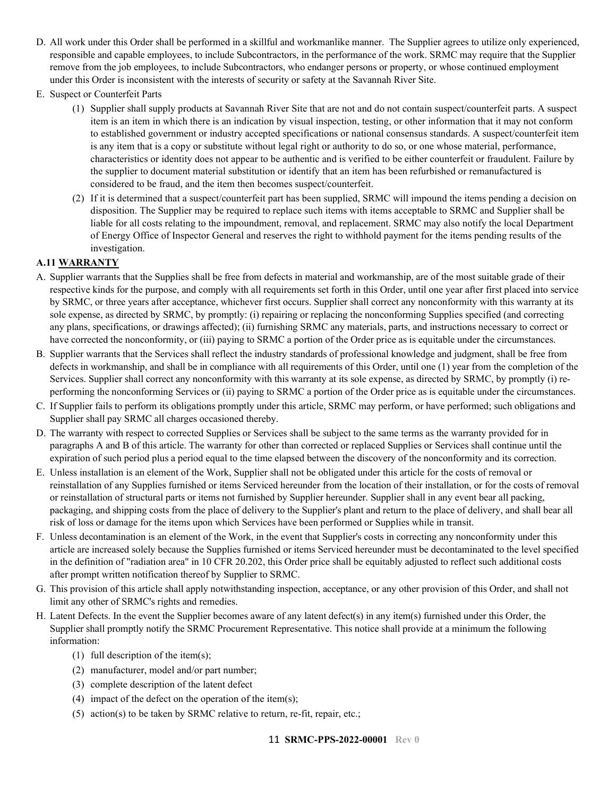- D. All work under this Order shall be performed in a skillful and workmanlike manner. The Supplier agrees to utilize only experienced, responsible and capable employees, to include Subcontractors, in the performance of the work. SRMC may require that the Supplier remove from the job employees, to include Subcontractors, who endanger persons or property, or whose continued employment under this Order is inconsistent with the interests of security or safety at the Savannah River Site.
- E. Suspect or Counterfeit Parts
	- (1) Supplier shall supply products at Savannah River Site that are not and do not contain suspect/counterfeit parts. A suspect item is an item in which there is an indication by visual inspection, testing, or other information that it may not conform to established government or industry accepted specifications or national consensus standards. A suspect/counterfeit item is any item that is a copy or substitute without legal right or authority to do so, or one whose material, performance, characteristics or identity does not appear to be authentic and is verified to be either counterfeit or fraudulent. Failure by the supplier to document material substitution or identify that an item has been refurbished or remanufactured is considered to be fraud, and the item then becomes suspect/counterfeit.
	- (2) If it is determined that a suspect/counterfeit part has been supplied, SRMC will impound the items pending a decision on disposition. The Supplier may be required to replace such items with items acceptable to SRMC and Supplier shall be liable for all costs relating to the impoundment, removal, and replacement. SRMC may also notify the local Department of Energy Office of Inspector General and reserves the right to withhold payment for the items pending results of the investigation.

### <span id="page-10-0"></span>**A.11 WARRANTY**

- A. Supplier warrants that the Supplies shall be free from defects in material and workmanship, are of the most suitable grade of their respective kinds for the purpose, and comply with all requirements set forth in this Order, until one year after first placed into service by SRMC, or three years after acceptance, whichever first occurs. Supplier shall correct any nonconformity with this warranty at its sole expense, as directed by SRMC, by promptly: (i) repairing or replacing the nonconforming Supplies specified (and correcting any plans, specifications, or drawings affected); (ii) furnishing SRMC any materials, parts, and instructions necessary to correct or have corrected the nonconformity, or (iii) paying to SRMC a portion of the Order price as is equitable under the circumstances.
- B. Supplier warrants that the Services shall reflect the industry standards of professional knowledge and judgment, shall be free from defects in workmanship, and shall be in compliance with all requirements of this Order, until one (1) year from the completion of the Services. Supplier shall correct any nonconformity with this warranty at its sole expense, as directed by SRMC, by promptly (i) reperforming the nonconforming Services or (ii) paying to SRMC a portion of the Order price as is equitable under the circumstances.
- C. If Supplier fails to perform its obligations promptly under this article, SRMC may perform, or have performed; such obligations and Supplier shall pay SRMC all charges occasioned thereby.
- D. The warranty with respect to corrected Supplies or Services shall be subject to the same terms as the warranty provided for in paragraphs A and B of this article. The warranty for other than corrected or replaced Supplies or Services shall continue until the expiration of such period plus a period equal to the time elapsed between the discovery of the nonconformity and its correction.
- E. Unless installation is an element of the Work, Supplier shall not be obligated under this article for the costs of removal or reinstallation of any Supplies furnished or items Serviced hereunder from the location of their installation, or for the costs of removal or reinstallation of structural parts or items not furnished by Supplier hereunder. Supplier shall in any event bear all packing, packaging, and shipping costs from the place of delivery to the Supplier's plant and return to the place of delivery, and shall bear all risk of loss or damage for the items upon which Services have been performed or Supplies while in transit.
- F. Unless decontamination is an element of the Work, in the event that Supplier's costs in correcting any nonconformity under this article are increased solely because the Supplies furnished or items Serviced hereunder must be decontaminated to the level specified in the definition of "radiation area" in 10 CFR 20.202, this Order price shall be equitably adjusted to reflect such additional costs after prompt written notification thereof by Supplier to SRMC.
- G. This provision of this article shall apply notwithstanding inspection, acceptance, or any other provision of this Order, and shall not limit any other of SRMC's rights and remedies.
- H. Latent Defects. In the event the Supplier becomes aware of any latent defect(s) in any item(s) furnished under this Order, the Supplier shall promptly notify the SRMC Procurement Representative. This notice shall provide at a minimum the following information:
	- (1) full description of the item(s);
	- (2) manufacturer, model and/or part number;
	- (3) complete description of the latent defect
	- (4) impact of the defect on the operation of the item(s);
	- (5) action(s) to be taken by SRMC relative to return, re-fit, repair, etc.;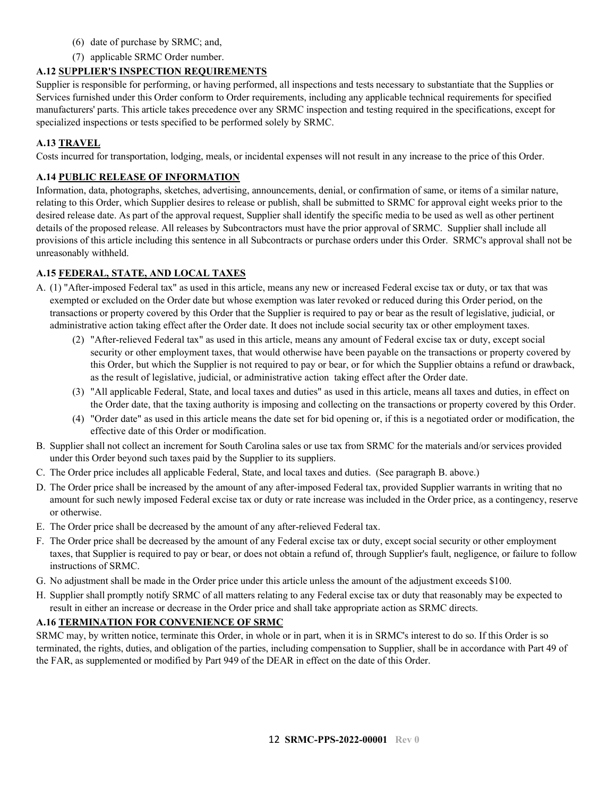- (6) date of purchase by SRMC; and,
- (7) applicable SRMC Order number.

### <span id="page-11-0"></span>**A.12 SUPPLIER'S INSPECTION REQUIREMENTS**

Supplier is responsible for performing, or having performed, all inspections and tests necessary to substantiate that the Supplies or Services furnished under this Order conform to Order requirements, including any applicable technical requirements for specified manufacturers' parts. This article takes precedence over any SRMC inspection and testing required in the specifications, except for specialized inspections or tests specified to be performed solely by SRMC.

### <span id="page-11-1"></span>**A.13 TRAVEL**

Costs incurred for transportation, lodging, meals, or incidental expenses will not result in any increase to the price of this Order.

### <span id="page-11-2"></span>**A.14 PUBLIC RELEASE OF INFORMATION**

Information, data, photographs, sketches, advertising, announcements, denial, or confirmation of same, or items of a similar nature, relating to this Order, which Supplier desires to release or publish, shall be submitted to SRMC for approval eight weeks prior to the desired release date. As part of the approval request, Supplier shall identify the specific media to be used as well as other pertinent details of the proposed release. All releases by Subcontractors must have the prior approval of SRMC. Supplier shall include all provisions of this article including this sentence in all Subcontracts or purchase orders under this Order. SRMC's approval shall not be unreasonably withheld.

### <span id="page-11-3"></span>**A.15 FEDERAL, STATE, AND LOCAL TAXES**

- A. (1) "After-imposed Federal tax" as used in this article, means any new or increased Federal excise tax or duty, or tax that was exempted or excluded on the Order date but whose exemption was later revoked or reduced during this Order period, on the transactions or property covered by this Order that the Supplier is required to pay or bear as the result of legislative, judicial, or administrative action taking effect after the Order date. It does not include social security tax or other employment taxes.
	- (2) "After-relieved Federal tax" as used in this article, means any amount of Federal excise tax or duty, except social security or other employment taxes, that would otherwise have been payable on the transactions or property covered by this Order, but which the Supplier is not required to pay or bear, or for which the Supplier obtains a refund or drawback, as the result of legislative, judicial, or administrative action taking effect after the Order date.
	- (3) "All applicable Federal, State, and local taxes and duties" as used in this article, means all taxes and duties, in effect on the Order date, that the taxing authority is imposing and collecting on the transactions or property covered by this Order.
	- (4) "Order date" as used in this article means the date set for bid opening or, if this is a negotiated order or modification, the effective date of this Order or modification.
- B. Supplier shall not collect an increment for South Carolina sales or use tax from SRMC for the materials and/or services provided under this Order beyond such taxes paid by the Supplier to its suppliers.
- C. The Order price includes all applicable Federal, State, and local taxes and duties. (See paragraph B. above.)
- D. The Order price shall be increased by the amount of any after-imposed Federal tax, provided Supplier warrants in writing that no amount for such newly imposed Federal excise tax or duty or rate increase was included in the Order price, as a contingency, reserve or otherwise.
- E. The Order price shall be decreased by the amount of any after-relieved Federal tax.
- F. The Order price shall be decreased by the amount of any Federal excise tax or duty, except social security or other employment taxes, that Supplier is required to pay or bear, or does not obtain a refund of, through Supplier's fault, negligence, or failure to follow instructions of SRMC.
- G. No adjustment shall be made in the Order price under this article unless the amount of the adjustment exceeds \$100.
- H. Supplier shall promptly notify SRMC of all matters relating to any Federal excise tax or duty that reasonably may be expected to result in either an increase or decrease in the Order price and shall take appropriate action as SRMC directs.

### <span id="page-11-4"></span>**A.16 TERMINATION FOR CONVENIENCE OF SRMC**

SRMC may, by written notice, terminate this Order, in whole or in part, when it is in SRMC's interest to do so. If this Order is so terminated, the rights, duties, and obligation of the parties, including compensation to Supplier, shall be in accordance with Part 49 of the FAR, as supplemented or modified by Part 949 of the DEAR in effect on the date of this Order.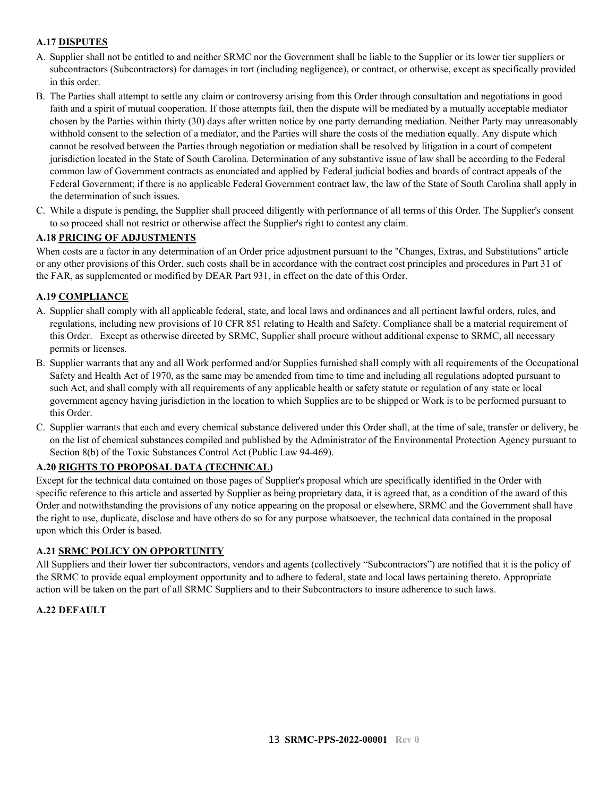### <span id="page-12-0"></span>**A.17 DISPUTES**

- A. Supplier shall not be entitled to and neither SRMC nor the Government shall be liable to the Supplier or its lower tier suppliers or subcontractors (Subcontractors) for damages in tort (including negligence), or contract, or otherwise, except as specifically provided in this order.
- B. The Parties shall attempt to settle any claim or controversy arising from this Order through consultation and negotiations in good faith and a spirit of mutual cooperation. If those attempts fail, then the dispute will be mediated by a mutually acceptable mediator chosen by the Parties within thirty (30) days after written notice by one party demanding mediation. Neither Party may unreasonably withhold consent to the selection of a mediator, and the Parties will share the costs of the mediation equally. Any dispute which cannot be resolved between the Parties through negotiation or mediation shall be resolved by litigation in a court of competent jurisdiction located in the State of South Carolina. Determination of any substantive issue of law shall be according to the Federal common law of Government contracts as enunciated and applied by Federal judicial bodies and boards of contract appeals of the Federal Government; if there is no applicable Federal Government contract law, the law of the State of South Carolina shall apply in the determination of such issues.
- C. While a dispute is pending, the Supplier shall proceed diligently with performance of all terms of this Order. The Supplier's consent to so proceed shall not restrict or otherwise affect the Supplier's right to contest any claim.

### <span id="page-12-1"></span>**A.18 PRICING OF ADJUSTMENTS**

When costs are a factor in any determination of an Order price adjustment pursuant to the "Changes, Extras, and Substitutions" article or any other provisions of this Order, such costs shall be in accordance with the contract cost principles and procedures in Part 31 of the FAR, as supplemented or modified by DEAR Part 931, in effect on the date of this Order.

### <span id="page-12-2"></span>**A.19 COMPLIANCE**

- A. Supplier shall comply with all applicable federal, state, and local laws and ordinances and all pertinent lawful orders, rules, and regulations, including new provisions of 10 CFR 851 relating to Health and Safety. Compliance shall be a material requirement of this Order. Except as otherwise directed by SRMC, Supplier shall procure without additional expense to SRMC, all necessary permits or licenses.
- B. Supplier warrants that any and all Work performed and/or Supplies furnished shall comply with all requirements of the Occupational Safety and Health Act of 1970, as the same may be amended from time to time and including all regulations adopted pursuant to such Act, and shall comply with all requirements of any applicable health or safety statute or regulation of any state or local government agency having jurisdiction in the location to which Supplies are to be shipped or Work is to be performed pursuant to this Order.
- C. Supplier warrants that each and every chemical substance delivered under this Order shall, at the time of sale, transfer or delivery, be on the list of chemical substances compiled and published by the Administrator of the Environmental Protection Agency pursuant to Section 8(b) of the Toxic Substances Control Act (Public Law 94-469).

### <span id="page-12-3"></span>**A.20 RIGHTS TO PROPOSAL DATA (TECHNICAL)**

Except for the technical data contained on those pages of Supplier's proposal which are specifically identified in the Order with specific reference to this article and asserted by Supplier as being proprietary data, it is agreed that, as a condition of the award of this Order and notwithstanding the provisions of any notice appearing on the proposal or elsewhere, SRMC and the Government shall have the right to use, duplicate, disclose and have others do so for any purpose whatsoever, the technical data contained in the proposal upon which this Order is based.

#### <span id="page-12-4"></span>**A.21 SRMC POLICY ON OPPORTUNITY**

All Suppliers and their lower tier subcontractors, vendors and agents (collectively "Subcontractors") are notified that it is the policy of the SRMC to provide equal employment opportunity and to adhere to federal, state and local laws pertaining thereto. Appropriate action will be taken on the part of all SRMC Suppliers and to their Subcontractors to insure adherence to such laws.

#### <span id="page-12-5"></span>**A.22 DEFAULT**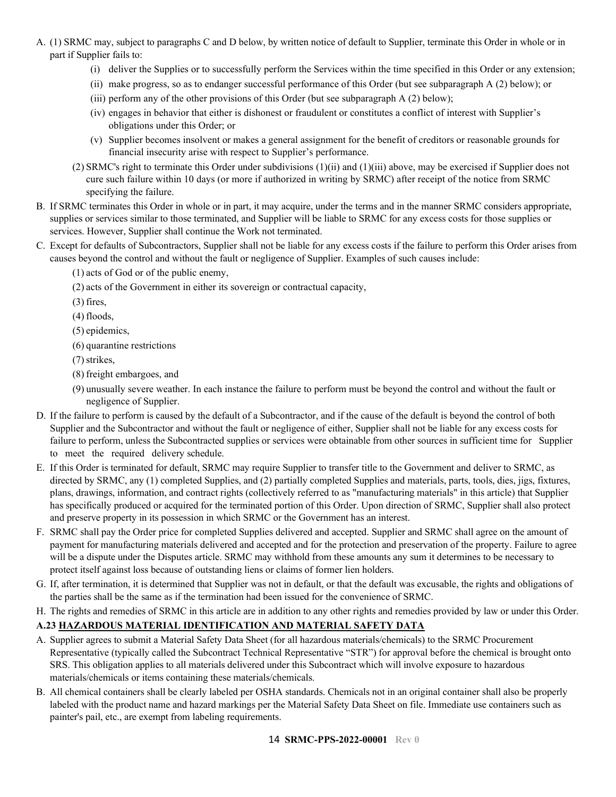- A. (1) SRMC may, subject to paragraphs C and D below, by written notice of default to Supplier, terminate this Order in whole or in part if Supplier fails to:
	- (i) deliver the Supplies or to successfully perform the Services within the time specified in this Order or any extension;
	- (ii) make progress, so as to endanger successful performance of this Order (but see subparagraph A (2) below); or
	- (iii) perform any of the other provisions of this Order (but see subparagraph A (2) below);
	- (iv) engages in behavior that either is dishonest or fraudulent or constitutes a conflict of interest with Supplier's obligations under this Order; or
	- (v) Supplier becomes insolvent or makes a general assignment for the benefit of creditors or reasonable grounds for financial insecurity arise with respect to Supplier's performance.
	- (2) SRMC's right to terminate this Order under subdivisions (1)(ii) and (1)(iii) above, may be exercised if Supplier does not cure such failure within 10 days (or more if authorized in writing by SRMC) after receipt of the notice from SRMC specifying the failure.
- B. If SRMC terminates this Order in whole or in part, it may acquire, under the terms and in the manner SRMC considers appropriate, supplies or services similar to those terminated, and Supplier will be liable to SRMC for any excess costs for those supplies or services. However, Supplier shall continue the Work not terminated.
- C. Except for defaults of Subcontractors, Supplier shall not be liable for any excess costs if the failure to perform this Order arises from causes beyond the control and without the fault or negligence of Supplier. Examples of such causes include:
	- (1) acts of God or of the public enemy,
	- (2) acts of the Government in either its sovereign or contractual capacity,
	- (3) fires,
	- (4) floods,
	- (5) epidemics,
	- (6) quarantine restrictions
	- (7) strikes,
	- (8) freight embargoes, and
	- (9) unusually severe weather. In each instance the failure to perform must be beyond the control and without the fault or negligence of Supplier.
- D. If the failure to perform is caused by the default of a Subcontractor, and if the cause of the default is beyond the control of both Supplier and the Subcontractor and without the fault or negligence of either, Supplier shall not be liable for any excess costs for failure to perform, unless the Subcontracted supplies or services were obtainable from other sources in sufficient time for Supplier to meet the required delivery schedule.
- E. If this Order is terminated for default, SRMC may require Supplier to transfer title to the Government and deliver to SRMC, as directed by SRMC, any (1) completed Supplies, and (2) partially completed Supplies and materials, parts, tools, dies, jigs, fixtures, plans, drawings, information, and contract rights (collectively referred to as "manufacturing materials" in this article) that Supplier has specifically produced or acquired for the terminated portion of this Order. Upon direction of SRMC, Supplier shall also protect and preserve property in its possession in which SRMC or the Government has an interest.
- F. SRMC shall pay the Order price for completed Supplies delivered and accepted. Supplier and SRMC shall agree on the amount of payment for manufacturing materials delivered and accepted and for the protection and preservation of the property. Failure to agree will be a dispute under the Disputes article. SRMC may withhold from these amounts any sum it determines to be necessary to protect itself against loss because of outstanding liens or claims of former lien holders.
- G. If, after termination, it is determined that Supplier was not in default, or that the default was excusable, the rights and obligations of the parties shall be the same as if the termination had been issued for the convenience of SRMC.
- H. The rights and remedies of SRMC in this article are in addition to any other rights and remedies provided by law or under this Order.

### <span id="page-13-0"></span>**A.23 HAZARDOUS MATERIAL IDENTIFICATION AND MATERIAL SAFETY DATA**

- A. Supplier agrees to submit a Material Safety Data Sheet (for all hazardous materials/chemicals) to the SRMC Procurement Representative (typically called the Subcontract Technical Representative "STR") for approval before the chemical is brought onto SRS. This obligation applies to all materials delivered under this Subcontract which will involve exposure to hazardous materials/chemicals or items containing these materials/chemicals.
- B. All chemical containers shall be clearly labeled per OSHA standards. Chemicals not in an original container shall also be properly labeled with the product name and hazard markings per the Material Safety Data Sheet on file. Immediate use containers such as painter's pail, etc., are exempt from labeling requirements.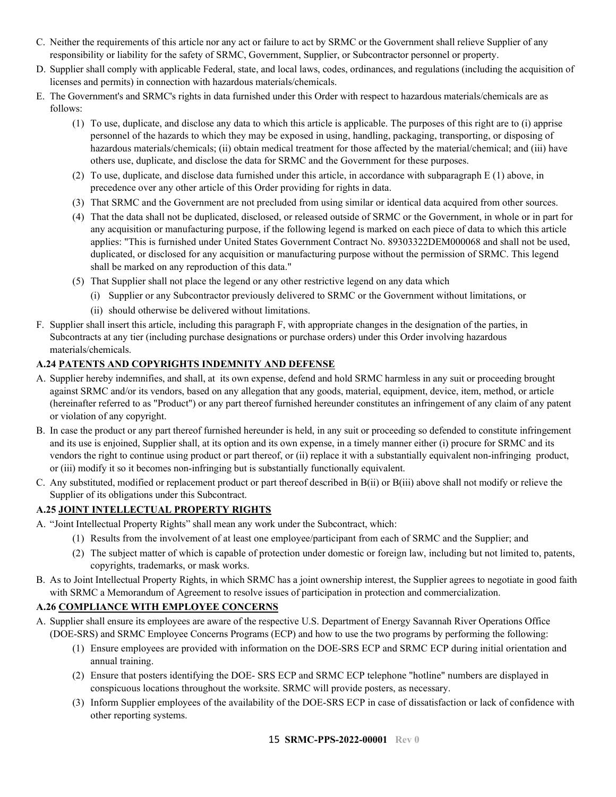- C. Neither the requirements of this article nor any act or failure to act by SRMC or the Government shall relieve Supplier of any responsibility or liability for the safety of SRMC, Government, Supplier, or Subcontractor personnel or property.
- D. Supplier shall comply with applicable Federal, state, and local laws, codes, ordinances, and regulations (including the acquisition of licenses and permits) in connection with hazardous materials/chemicals.
- E. The Government's and SRMC's rights in data furnished under this Order with respect to hazardous materials/chemicals are as follows:
	- (1) To use, duplicate, and disclose any data to which this article is applicable. The purposes of this right are to (i) apprise personnel of the hazards to which they may be exposed in using, handling, packaging, transporting, or disposing of hazardous materials/chemicals; (ii) obtain medical treatment for those affected by the material/chemical; and (iii) have others use, duplicate, and disclose the data for SRMC and the Government for these purposes.
	- (2) To use, duplicate, and disclose data furnished under this article, in accordance with subparagraph E (1) above, in precedence over any other article of this Order providing for rights in data.
	- (3) That SRMC and the Government are not precluded from using similar or identical data acquired from other sources.
	- (4) That the data shall not be duplicated, disclosed, or released outside of SRMC or the Government, in whole or in part for any acquisition or manufacturing purpose, if the following legend is marked on each piece of data to which this article applies: "This is furnished under United States Government Contract No. 89303322DEM000068 and shall not be used, duplicated, or disclosed for any acquisition or manufacturing purpose without the permission of SRMC. This legend shall be marked on any reproduction of this data."
	- (5) That Supplier shall not place the legend or any other restrictive legend on any data which
	- (i) Supplier or any Subcontractor previously delivered to SRMC or the Government without limitations, or
		- (ii) should otherwise be delivered without limitations.
- F. Supplier shall insert this article, including this paragraph F, with appropriate changes in the designation of the parties, in Subcontracts at any tier (including purchase designations or purchase orders) under this Order involving hazardous materials/chemicals.

### <span id="page-14-0"></span>**A.24 PATENTS AND COPYRIGHTS INDEMNITY AND DEFENSE**

- A. Supplier hereby indemnifies, and shall, at its own expense, defend and hold SRMC harmless in any suit or proceeding brought against SRMC and/or its vendors, based on any allegation that any goods, material, equipment, device, item, method, or article (hereinafter referred to as "Product") or any part thereof furnished hereunder constitutes an infringement of any claim of any patent or violation of any copyright.
- B. In case the product or any part thereof furnished hereunder is held, in any suit or proceeding so defended to constitute infringement and its use is enjoined, Supplier shall, at its option and its own expense, in a timely manner either (i) procure for SRMC and its vendors the right to continue using product or part thereof, or (ii) replace it with a substantially equivalent non-infringing product, or (iii) modify it so it becomes non-infringing but is substantially functionally equivalent.
- C. Any substituted, modified or replacement product or part thereof described in B(ii) or B(iii) above shall not modify or relieve the Supplier of its obligations under this Subcontract.

### <span id="page-14-1"></span>**A.25 JOINT INTELLECTUAL PROPERTY RIGHTS**

- A. "Joint Intellectual Property Rights" shall mean any work under the Subcontract, which:
	- (1) Results from the involvement of at least one employee/participant from each of SRMC and the Supplier; and
	- (2) The subject matter of which is capable of protection under domestic or foreign law, including but not limited to, patents, copyrights, trademarks, or mask works.
- B. As to Joint Intellectual Property Rights, in which SRMC has a joint ownership interest, the Supplier agrees to negotiate in good faith with SRMC a Memorandum of Agreement to resolve issues of participation in protection and commercialization.

#### <span id="page-14-2"></span>**A.26 COMPLIANCE WITH EMPLOYEE CONCERNS**

- A. Supplier shall ensure its employees are aware of the respective U.S. Department of Energy Savannah River Operations Office (DOE-SRS) and SRMC Employee Concerns Programs (ECP) and how to use the two programs by performing the following:
	- (1) Ensure employees are provided with information on the DOE-SRS ECP and SRMC ECP during initial orientation and annual training.
	- (2) Ensure that posters identifying the DOE- SRS ECP and SRMC ECP telephone "hotline" numbers are displayed in conspicuous locations throughout the worksite. SRMC will provide posters, as necessary.
	- (3) Inform Supplier employees of the availability of the DOE-SRS ECP in case of dissatisfaction or lack of confidence with other reporting systems.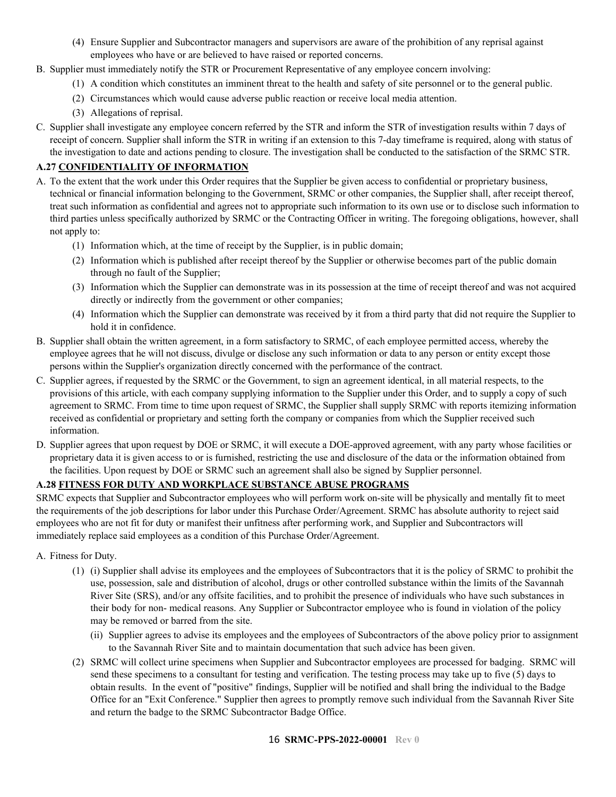- (4) Ensure Supplier and Subcontractor managers and supervisors are aware of the prohibition of any reprisal against employees who have or are believed to have raised or reported concerns.
- B. Supplier must immediately notify the STR or Procurement Representative of any employee concern involving:
	- (1) A condition which constitutes an imminent threat to the health and safety of site personnel or to the general public.
	- (2) Circumstances which would cause adverse public reaction or receive local media attention.
	- (3) Allegations of reprisal.
- C. Supplier shall investigate any employee concern referred by the STR and inform the STR of investigation results within 7 days of receipt of concern. Supplier shall inform the STR in writing if an extension to this 7-day timeframe is required, along with status of the investigation to date and actions pending to closure. The investigation shall be conducted to the satisfaction of the SRMC STR.

### <span id="page-15-0"></span>**A.27 CONFIDENTIALITY OF INFORMATION**

- A. To the extent that the work under this Order requires that the Supplier be given access to confidential or proprietary business, technical or financial information belonging to the Government, SRMC or other companies, the Supplier shall, after receipt thereof, treat such information as confidential and agrees not to appropriate such information to its own use or to disclose such information to third parties unless specifically authorized by SRMC or the Contracting Officer in writing. The foregoing obligations, however, shall not apply to:
	- (1) Information which, at the time of receipt by the Supplier, is in public domain;
	- (2) Information which is published after receipt thereof by the Supplier or otherwise becomes part of the public domain through no fault of the Supplier;
	- (3) Information which the Supplier can demonstrate was in its possession at the time of receipt thereof and was not acquired directly or indirectly from the government or other companies;
	- (4) Information which the Supplier can demonstrate was received by it from a third party that did not require the Supplier to hold it in confidence.
- B. Supplier shall obtain the written agreement, in a form satisfactory to SRMC, of each employee permitted access, whereby the employee agrees that he will not discuss, divulge or disclose any such information or data to any person or entity except those persons within the Supplier's organization directly concerned with the performance of the contract.
- C. Supplier agrees, if requested by the SRMC or the Government, to sign an agreement identical, in all material respects, to the provisions of this article, with each company supplying information to the Supplier under this Order, and to supply a copy of such agreement to SRMC. From time to time upon request of SRMC, the Supplier shall supply SRMC with reports itemizing information received as confidential or proprietary and setting forth the company or companies from which the Supplier received such information.
- D. Supplier agrees that upon request by DOE or SRMC, it will execute a DOE-approved agreement, with any party whose facilities or proprietary data it is given access to or is furnished, restricting the use and disclosure of the data or the information obtained from the facilities. Upon request by DOE or SRMC such an agreement shall also be signed by Supplier personnel.

### <span id="page-15-1"></span>**A.28 FITNESS FOR DUTY AND WORKPLACE SUBSTANCE ABUSE PROGRAMS**

SRMC expects that Supplier and Subcontractor employees who will perform work on-site will be physically and mentally fit to meet the requirements of the job descriptions for labor under this Purchase Order/Agreement. SRMC has absolute authority to reject said employees who are not fit for duty or manifest their unfitness after performing work, and Supplier and Subcontractors will immediately replace said employees as a condition of this Purchase Order/Agreement.

- A. Fitness for Duty.
	- (1) (i) Supplier shall advise its employees and the employees of Subcontractors that it is the policy of SRMC to prohibit the use, possession, sale and distribution of alcohol, drugs or other controlled substance within the limits of the Savannah River Site (SRS), and/or any offsite facilities, and to prohibit the presence of individuals who have such substances in their body for non- medical reasons. Any Supplier or Subcontractor employee who is found in violation of the policy may be removed or barred from the site.
		- (ii) Supplier agrees to advise its employees and the employees of Subcontractors of the above policy prior to assignment to the Savannah River Site and to maintain documentation that such advice has been given.
	- (2) SRMC will collect urine specimens when Supplier and Subcontractor employees are processed for badging. SRMC will send these specimens to a consultant for testing and verification. The testing process may take up to five (5) days to obtain results. In the event of "positive" findings, Supplier will be notified and shall bring the individual to the Badge Office for an "Exit Conference." Supplier then agrees to promptly remove such individual from the Savannah River Site and return the badge to the SRMC Subcontractor Badge Office.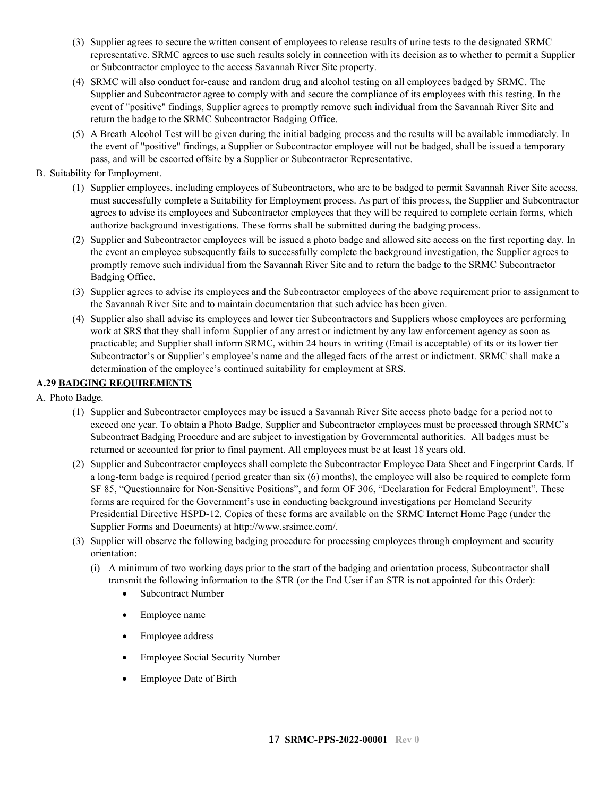- (3) Supplier agrees to secure the written consent of employees to release results of urine tests to the designated SRMC representative. SRMC agrees to use such results solely in connection with its decision as to whether to permit a Supplier or Subcontractor employee to the access Savannah River Site property.
- (4) SRMC will also conduct for-cause and random drug and alcohol testing on all employees badged by SRMC. The Supplier and Subcontractor agree to comply with and secure the compliance of its employees with this testing. In the event of "positive" findings, Supplier agrees to promptly remove such individual from the Savannah River Site and return the badge to the SRMC Subcontractor Badging Office.
- (5) A Breath Alcohol Test will be given during the initial badging process and the results will be available immediately. In the event of "positive" findings, a Supplier or Subcontractor employee will not be badged, shall be issued a temporary pass, and will be escorted offsite by a Supplier or Subcontractor Representative.

### B. Suitability for Employment.

- (1) Supplier employees, including employees of Subcontractors, who are to be badged to permit Savannah River Site access, must successfully complete a Suitability for Employment process. As part of this process, the Supplier and Subcontractor agrees to advise its employees and Subcontractor employees that they will be required to complete certain forms, which authorize background investigations. These forms shall be submitted during the badging process.
- (2) Supplier and Subcontractor employees will be issued a photo badge and allowed site access on the first reporting day. In the event an employee subsequently fails to successfully complete the background investigation, the Supplier agrees to promptly remove such individual from the Savannah River Site and to return the badge to the SRMC Subcontractor Badging Office.
- (3) Supplier agrees to advise its employees and the Subcontractor employees of the above requirement prior to assignment to the Savannah River Site and to maintain documentation that such advice has been given.
- (4) Supplier also shall advise its employees and lower tier Subcontractors and Suppliers whose employees are performing work at SRS that they shall inform Supplier of any arrest or indictment by any law enforcement agency as soon as practicable; and Supplier shall inform SRMC, within 24 hours in writing (Email is acceptable) of its or its lower tier Subcontractor's or Supplier's employee's name and the alleged facts of the arrest or indictment. SRMC shall make a determination of the employee's continued suitability for employment at SRS.

### <span id="page-16-0"></span>**A.29 BADGING REQUIREMENTS**

- A. Photo Badge.
	- (1) Supplier and Subcontractor employees may be issued a Savannah River Site access photo badge for a period not to exceed one year. To obtain a Photo Badge, Supplier and Subcontractor employees must be processed through SRMC's Subcontract Badging Procedure and are subject to investigation by Governmental authorities. All badges must be returned or accounted for prior to final payment. All employees must be at least 18 years old.
	- (2) Supplier and Subcontractor employees shall complete the Subcontractor Employee Data Sheet and Fingerprint Cards. If a long-term badge is required (period greater than six (6) months), the employee will also be required to complete form SF 85, "Questionnaire for Non-Sensitive Positions", and form OF 306, "Declaration for Federal Employment". These forms are required for the Government's use in conducting background investigations per Homeland Security Presidential Directive HSPD-12. Copies of these forms are available on the SRMC Internet Home Page (under the Supplier Forms and Documents) at http://www.srsimcc.com/.
	- (3) Supplier will observe the following badging procedure for processing employees through employment and security orientation:
		- (i) A minimum of two working days prior to the start of the badging and orientation process, Subcontractor shall transmit the following information to the STR (or the End User if an STR is not appointed for this Order):
			- Subcontract Number
			- Employee name
			- Employee address
			- Employee Social Security Number
			- Employee Date of Birth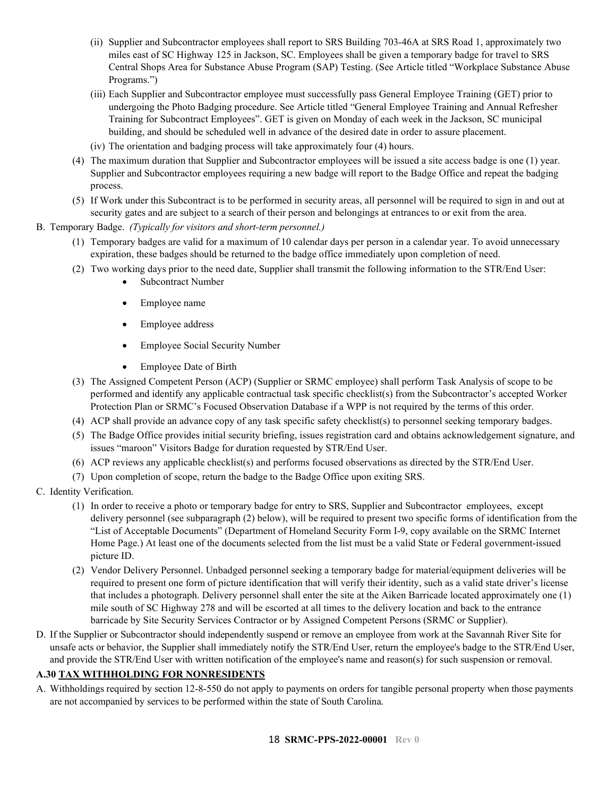- (ii) Supplier and Subcontractor employees shall report to SRS Building 703-46A at SRS Road 1, approximately two miles east of SC Highway 125 in Jackson, SC. Employees shall be given a temporary badge for travel to SRS Central Shops Area for Substance Abuse Program (SAP) Testing. (See Article titled "Workplace Substance Abuse Programs.")
- (iii) Each Supplier and Subcontractor employee must successfully pass General Employee Training (GET) prior to undergoing the Photo Badging procedure. See Article titled "General Employee Training and Annual Refresher Training for Subcontract Employees". GET is given on Monday of each week in the Jackson, SC municipal building, and should be scheduled well in advance of the desired date in order to assure placement.
- (iv) The orientation and badging process will take approximately four (4) hours.
- (4) The maximum duration that Supplier and Subcontractor employees will be issued a site access badge is one (1) year. Supplier and Subcontractor employees requiring a new badge will report to the Badge Office and repeat the badging process.
- (5) If Work under this Subcontract is to be performed in security areas, all personnel will be required to sign in and out at security gates and are subject to a search of their person and belongings at entrances to or exit from the area.
- B. Temporary Badge. *(Typically for visitors and short-term personnel.)*
	- (1) Temporary badges are valid for a maximum of 10 calendar days per person in a calendar year. To avoid unnecessary expiration, these badges should be returned to the badge office immediately upon completion of need.
	- (2) Two working days prior to the need date, Supplier shall transmit the following information to the STR/End User:
		- Subcontract Number
		- Employee name
		- Employee address
		- Employee Social Security Number
		- Employee Date of Birth
	- (3) The Assigned Competent Person (ACP) (Supplier or SRMC employee) shall perform Task Analysis of scope to be performed and identify any applicable contractual task specific checklist(s) from the Subcontractor's accepted Worker Protection Plan or SRMC's Focused Observation Database if a WPP is not required by the terms of this order.
	- (4) ACP shall provide an advance copy of any task specific safety checklist(s) to personnel seeking temporary badges.
	- (5) The Badge Office provides initial security briefing, issues registration card and obtains acknowledgement signature, and issues "maroon" Visitors Badge for duration requested by STR/End User.
	- (6) ACP reviews any applicable checklist(s) and performs focused observations as directed by the STR/End User.
	- (7) Upon completion of scope, return the badge to the Badge Office upon exiting SRS.
- C. Identity Verification.
	- (1) In order to receive a photo or temporary badge for entry to SRS, Supplier and Subcontractor employees, except delivery personnel (see subparagraph (2) below), will be required to present two specific forms of identification from the "List of Acceptable Documents" (Department of Homeland Security Form I-9, copy available on the SRMC Internet Home Page.) At least one of the documents selected from the list must be a valid State or Federal government-issued picture ID.
	- (2) Vendor Delivery Personnel. Unbadged personnel seeking a temporary badge for material/equipment deliveries will be required to present one form of picture identification that will verify their identity, such as a valid state driver's license that includes a photograph. Delivery personnel shall enter the site at the Aiken Barricade located approximately one (1) mile south of SC Highway 278 and will be escorted at all times to the delivery location and back to the entrance barricade by Site Security Services Contractor or by Assigned Competent Persons (SRMC or Supplier).
- D. If the Supplier or Subcontractor should independently suspend or remove an employee from work at the Savannah River Site for unsafe acts or behavior, the Supplier shall immediately notify the STR/End User, return the employee's badge to the STR/End User, and provide the STR/End User with written notification of the employee's name and reason(s) for such suspension or removal.

#### <span id="page-17-0"></span>**A.30 TAX WITHHOLDING FOR NONRESIDENTS**

A. Withholdings required by section 12-8-550 do not apply to payments on orders for tangible personal property when those payments are not accompanied by services to be performed within the state of South Carolina.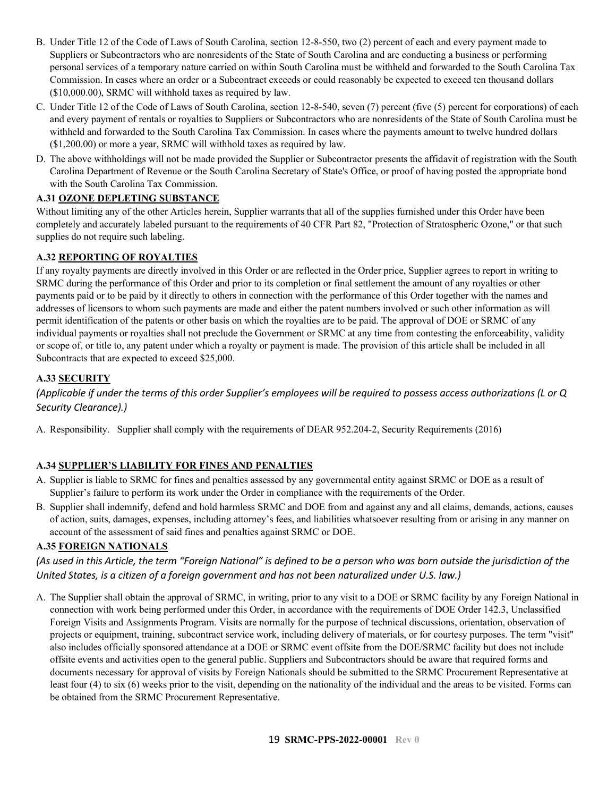- B. Under Title 12 of the Code of Laws of South Carolina, section 12-8-550, two (2) percent of each and every payment made to Suppliers or Subcontractors who are nonresidents of the State of South Carolina and are conducting a business or performing personal services of a temporary nature carried on within South Carolina must be withheld and forwarded to the South Carolina Tax Commission. In cases where an order or a Subcontract exceeds or could reasonably be expected to exceed ten thousand dollars (\$10,000.00), SRMC will withhold taxes as required by law.
- C. Under Title 12 of the Code of Laws of South Carolina, section 12-8-540, seven (7) percent (five (5) percent for corporations) of each and every payment of rentals or royalties to Suppliers or Subcontractors who are nonresidents of the State of South Carolina must be withheld and forwarded to the South Carolina Tax Commission. In cases where the payments amount to twelve hundred dollars (\$1,200.00) or more a year, SRMC will withhold taxes as required by law.
- D. The above withholdings will not be made provided the Supplier or Subcontractor presents the affidavit of registration with the South Carolina Department of Revenue or the South Carolina Secretary of State's Office, or proof of having posted the appropriate bond with the South Carolina Tax Commission.

### <span id="page-18-0"></span>**A.31 OZONE DEPLETING SUBSTANCE**

Without limiting any of the other Articles herein, Supplier warrants that all of the supplies furnished under this Order have been completely and accurately labeled pursuant to the requirements of 40 CFR Part 82, "Protection of Stratospheric Ozone," or that such supplies do not require such labeling.

### <span id="page-18-1"></span>**A.32 REPORTING OF ROYALTIES**

If any royalty payments are directly involved in this Order or are reflected in the Order price, Supplier agrees to report in writing to SRMC during the performance of this Order and prior to its completion or final settlement the amount of any royalties or other payments paid or to be paid by it directly to others in connection with the performance of this Order together with the names and addresses of licensors to whom such payments are made and either the patent numbers involved or such other information as will permit identification of the patents or other basis on which the royalties are to be paid. The approval of DOE or SRMC of any individual payments or royalties shall not preclude the Government or SRMC at any time from contesting the enforceability, validity or scope of, or title to, any patent under which a royalty or payment is made. The provision of this article shall be included in all Subcontracts that are expected to exceed \$25,000.

### <span id="page-18-2"></span>**A.33 SECURITY**

*(Applicable if under the terms of this order Supplier's employees will be required to possess access authorizations (L or Q Security Clearance).)*

A. Responsibility. Supplier shall comply with the requirements of DEAR 952.204-2, Security Requirements (2016)

### <span id="page-18-3"></span>**A.34 SUPPLIER'S LIABILITY FOR FINES AND PENALTIES**

- A. Supplier is liable to SRMC for fines and penalties assessed by any governmental entity against SRMC or DOE as a result of Supplier's failure to perform its work under the Order in compliance with the requirements of the Order.
- B. Supplier shall indemnify, defend and hold harmless SRMC and DOE from and against any and all claims, demands, actions, causes of action, suits, damages, expenses, including attorney's fees, and liabilities whatsoever resulting from or arising in any manner on account of the assessment of said fines and penalties against SRMC or DOE.

### <span id="page-18-4"></span>**A.35 FOREIGN NATIONALS**

*(As used in this Article, the term "Foreign National" is defined to be a person who was born outside the jurisdiction of the United States, is a citizen of a foreign government and has not been naturalized under U.S. law.)*

A. The Supplier shall obtain the approval of SRMC, in writing, prior to any visit to a DOE or SRMC facility by any Foreign National in connection with work being performed under this Order, in accordance with the requirements of DOE Order 142.3, Unclassified Foreign Visits and Assignments Program. Visits are normally for the purpose of technical discussions, orientation, observation of projects or equipment, training, subcontract service work, including delivery of materials, or for courtesy purposes. The term "visit" also includes officially sponsored attendance at a DOE or SRMC event offsite from the DOE/SRMC facility but does not include offsite events and activities open to the general public. Suppliers and Subcontractors should be aware that required forms and documents necessary for approval of visits by Foreign Nationals should be submitted to the SRMC Procurement Representative at least four (4) to six (6) weeks prior to the visit, depending on the nationality of the individual and the areas to be visited. Forms can be obtained from the SRMC Procurement Representative.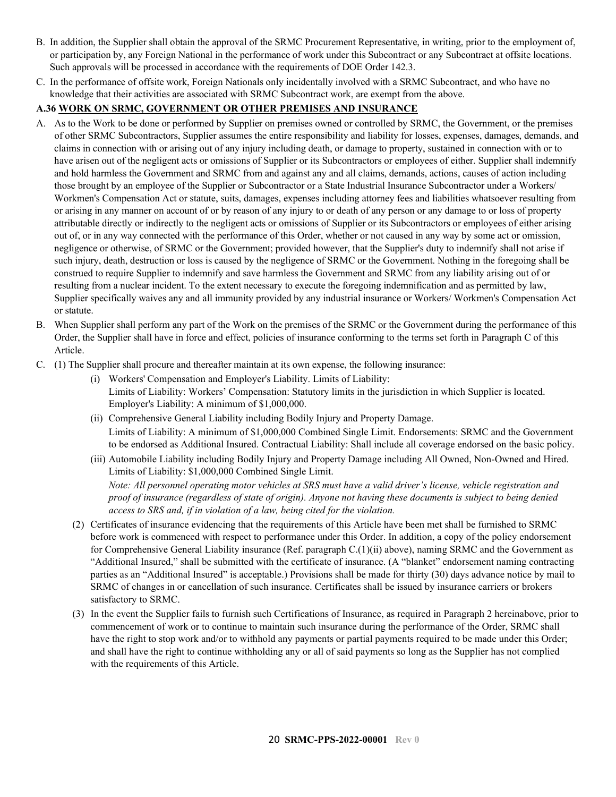- B. In addition, the Supplier shall obtain the approval of the SRMC Procurement Representative, in writing, prior to the employment of, or participation by, any Foreign National in the performance of work under this Subcontract or any Subcontract at offsite locations. Such approvals will be processed in accordance with the requirements of DOE Order 142.3.
- C. In the performance of offsite work, Foreign Nationals only incidentally involved with a SRMC Subcontract, and who have no knowledge that their activities are associated with SRMC Subcontract work, are exempt from the above.

### <span id="page-19-0"></span>**A.36 WORK ON SRMC, GOVERNMENT OR OTHER PREMISES AND INSURANCE**

- A. As to the Work to be done or performed by Supplier on premises owned or controlled by SRMC, the Government, or the premises of other SRMC Subcontractors, Supplier assumes the entire responsibility and liability for losses, expenses, damages, demands, and claims in connection with or arising out of any injury including death, or damage to property, sustained in connection with or to have arisen out of the negligent acts or omissions of Supplier or its Subcontractors or employees of either. Supplier shall indemnify and hold harmless the Government and SRMC from and against any and all claims, demands, actions, causes of action including those brought by an employee of the Supplier or Subcontractor or a State Industrial Insurance Subcontractor under a Workers/ Workmen's Compensation Act or statute, suits, damages, expenses including attorney fees and liabilities whatsoever resulting from or arising in any manner on account of or by reason of any injury to or death of any person or any damage to or loss of property attributable directly or indirectly to the negligent acts or omissions of Supplier or its Subcontractors or employees of either arising out of, or in any way connected with the performance of this Order, whether or not caused in any way by some act or omission, negligence or otherwise, of SRMC or the Government; provided however, that the Supplier's duty to indemnify shall not arise if such injury, death, destruction or loss is caused by the negligence of SRMC or the Government. Nothing in the foregoing shall be construed to require Supplier to indemnify and save harmless the Government and SRMC from any liability arising out of or resulting from a nuclear incident. To the extent necessary to execute the foregoing indemnification and as permitted by law, Supplier specifically waives any and all immunity provided by any industrial insurance or Workers/ Workmen's Compensation Act or statute.
- B. When Supplier shall perform any part of the Work on the premises of the SRMC or the Government during the performance of this Order, the Supplier shall have in force and effect, policies of insurance conforming to the terms set forth in Paragraph C of this Article.
- C. (1) The Supplier shall procure and thereafter maintain at its own expense, the following insurance:
	- (i) Workers' Compensation and Employer's Liability. Limits of Liability: Limits of Liability: Workers' Compensation: Statutory limits in the jurisdiction in which Supplier is located. Employer's Liability: A minimum of \$1,000,000.
	- (ii) Comprehensive General Liability including Bodily Injury and Property Damage. Limits of Liability: A minimum of \$1,000,000 Combined Single Limit. Endorsements: SRMC and the Government to be endorsed as Additional Insured. Contractual Liability: Shall include all coverage endorsed on the basic policy.
	- (iii) Automobile Liability including Bodily Injury and Property Damage including All Owned, Non-Owned and Hired. Limits of Liability: \$1,000,000 Combined Single Limit. *Note: All personnel operating motor vehicles at SRS must have a valid driver's license, vehicle registration and proof of insurance (regardless of state of origin). Anyone not having these documents is subject to being denied access to SRS and, if in violation of a law, being cited for the violation.*
	- (2) Certificates of insurance evidencing that the requirements of this Article have been met shall be furnished to SRMC before work is commenced with respect to performance under this Order. In addition, a copy of the policy endorsement for Comprehensive General Liability insurance (Ref. paragraph C.(1)(ii) above), naming SRMC and the Government as "Additional Insured," shall be submitted with the certificate of insurance. (A "blanket" endorsement naming contracting parties as an "Additional Insured" is acceptable.) Provisions shall be made for thirty (30) days advance notice by mail to SRMC of changes in or cancellation of such insurance. Certificates shall be issued by insurance carriers or brokers satisfactory to SRMC.
	- (3) In the event the Supplier fails to furnish such Certifications of Insurance, as required in Paragraph 2 hereinabove, prior to commencement of work or to continue to maintain such insurance during the performance of the Order, SRMC shall have the right to stop work and/or to withhold any payments or partial payments required to be made under this Order; and shall have the right to continue withholding any or all of said payments so long as the Supplier has not complied with the requirements of this Article.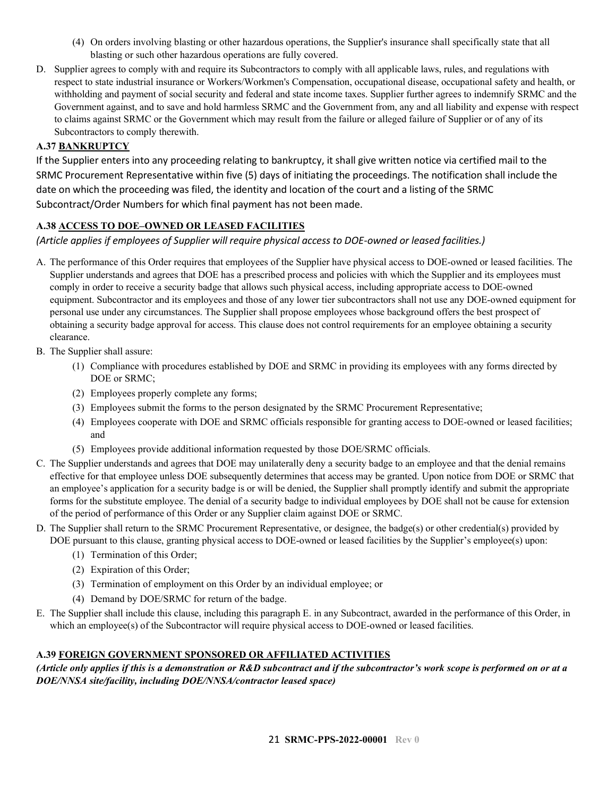- (4) On orders involving blasting or other hazardous operations, the Supplier's insurance shall specifically state that all blasting or such other hazardous operations are fully covered.
- D. Supplier agrees to comply with and require its Subcontractors to comply with all applicable laws, rules, and regulations with respect to state industrial insurance or Workers/Workmen's Compensation, occupational disease, occupational safety and health, or withholding and payment of social security and federal and state income taxes. Supplier further agrees to indemnify SRMC and the Government against, and to save and hold harmless SRMC and the Government from, any and all liability and expense with respect to claims against SRMC or the Government which may result from the failure or alleged failure of Supplier or of any of its Subcontractors to comply therewith.

### <span id="page-20-0"></span>**A.37 BANKRUPTCY**

If the Supplier enters into any proceeding relating to bankruptcy, it shall give written notice via certified mail to the SRMC Procurement Representative within five (5) days of initiating the proceedings. The notification shall include the date on which the proceeding was filed, the identity and location of the court and a listing of the SRMC Subcontract/Order Numbers for which final payment has not been made.

### <span id="page-20-1"></span>**A.38 ACCESS TO DOE–OWNED OR LEASED FACILITIES**

*(Article applies if employees of Supplier will require physical access to DOE-owned or leased facilities.)*

- A. The performance of this Order requires that employees of the Supplier have physical access to DOE-owned or leased facilities. The Supplier understands and agrees that DOE has a prescribed process and policies with which the Supplier and its employees must comply in order to receive a security badge that allows such physical access, including appropriate access to DOE-owned equipment. Subcontractor and its employees and those of any lower tier subcontractors shall not use any DOE-owned equipment for personal use under any circumstances. The Supplier shall propose employees whose background offers the best prospect of obtaining a security badge approval for access. This clause does not control requirements for an employee obtaining a security clearance.
- B. The Supplier shall assure:
	- (1) Compliance with procedures established by DOE and SRMC in providing its employees with any forms directed by DOE or SRMC;
	- (2) Employees properly complete any forms;
	- (3) Employees submit the forms to the person designated by the SRMC Procurement Representative;
	- (4) Employees cooperate with DOE and SRMC officials responsible for granting access to DOE-owned or leased facilities; and
	- (5) Employees provide additional information requested by those DOE/SRMC officials.
- C. The Supplier understands and agrees that DOE may unilaterally deny a security badge to an employee and that the denial remains effective for that employee unless DOE subsequently determines that access may be granted. Upon notice from DOE or SRMC that an employee's application for a security badge is or will be denied, the Supplier shall promptly identify and submit the appropriate forms for the substitute employee. The denial of a security badge to individual employees by DOE shall not be cause for extension of the period of performance of this Order or any Supplier claim against DOE or SRMC.
- D. The Supplier shall return to the SRMC Procurement Representative, or designee, the badge(s) or other credential(s) provided by DOE pursuant to this clause, granting physical access to DOE-owned or leased facilities by the Supplier's employee(s) upon:
	- (1) Termination of this Order;
	- (2) Expiration of this Order;
	- (3) Termination of employment on this Order by an individual employee; or
	- (4) Demand by DOE/SRMC for return of the badge.
- E. The Supplier shall include this clause, including this paragraph E. in any Subcontract, awarded in the performance of this Order, in which an employee(s) of the Subcontractor will require physical access to DOE-owned or leased facilities.

### <span id="page-20-2"></span>**A.39 FOREIGN GOVERNMENT SPONSORED OR AFFILIATED ACTIVITIES**

*(Article only applies if this is a demonstration or R&D subcontract and if the subcontractor's work scope is performed on or at a DOE/NNSA site/facility, including DOE/NNSA/contractor leased space)*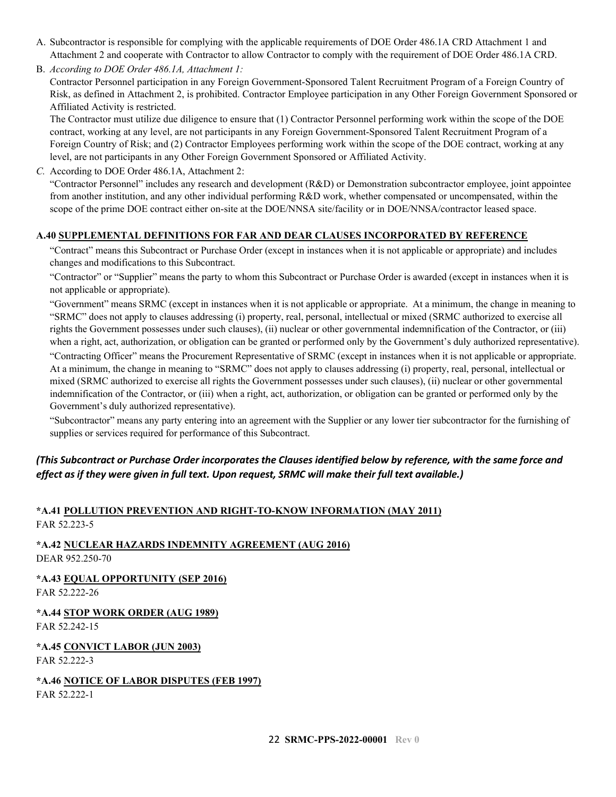A. Subcontractor is responsible for complying with the applicable requirements of DOE Order 486.1A CRD Attachment 1 and Attachment 2 and cooperate with Contractor to allow Contractor to comply with the requirement of DOE Order 486.1A CRD.

B. *According to DOE Order 486.1A, Attachment 1:*

Contractor Personnel participation in any Foreign Government-Sponsored Talent Recruitment Program of a Foreign Country of Risk, as defined in Attachment 2, is prohibited. Contractor Employee participation in any Other Foreign Government Sponsored or Affiliated Activity is restricted.

The Contractor must utilize due diligence to ensure that (1) Contractor Personnel performing work within the scope of the DOE contract, working at any level, are not participants in any Foreign Government-Sponsored Talent Recruitment Program of a Foreign Country of Risk; and (2) Contractor Employees performing work within the scope of the DOE contract, working at any level, are not participants in any Other Foreign Government Sponsored or Affiliated Activity.

*C.* According to DOE Order 486.1A, Attachment 2:

"Contractor Personnel" includes any research and development (R&D) or Demonstration subcontractor employee, joint appointee from another institution, and any other individual performing R&D work, whether compensated or uncompensated, within the scope of the prime DOE contract either on-site at the DOE/NNSA site/facility or in DOE/NNSA/contractor leased space.

#### <span id="page-21-0"></span>**A.40 SUPPLEMENTAL DEFINITIONS FOR FAR AND DEAR CLAUSES INCORPORATED BY REFERENCE**

"Contract" means this Subcontract or Purchase Order (except in instances when it is not applicable or appropriate) and includes changes and modifications to this Subcontract.

"Contractor" or "Supplier" means the party to whom this Subcontract or Purchase Order is awarded (except in instances when it is not applicable or appropriate).

"Government" means SRMC (except in instances when it is not applicable or appropriate. At a minimum, the change in meaning to "SRMC" does not apply to clauses addressing (i) property, real, personal, intellectual or mixed (SRMC authorized to exercise all rights the Government possesses under such clauses), (ii) nuclear or other governmental indemnification of the Contractor, or (iii) when a right, act, authorization, or obligation can be granted or performed only by the Government's duly authorized representative).

"Contracting Officer" means the Procurement Representative of SRMC (except in instances when it is not applicable or appropriate. At a minimum, the change in meaning to "SRMC" does not apply to clauses addressing (i) property, real, personal, intellectual or mixed (SRMC authorized to exercise all rights the Government possesses under such clauses), (ii) nuclear or other governmental indemnification of the Contractor, or (iii) when a right, act, authorization, or obligation can be granted or performed only by the Government's duly authorized representative).

"Subcontractor" means any party entering into an agreement with the Supplier or any lower tier subcontractor for the furnishing of supplies or services required for performance of this Subcontract.

### *(This Subcontract or Purchase Order incorporates the Clauses identified below by reference, with the same force and effect as if they were given in full text. Upon request, SRMC will make their full text available.)*

#### <span id="page-21-1"></span>**\*A.41 POLLUTION PREVENTION AND RIGHT-TO-KNOW INFORMATION (MAY 2011)** FAR 52.223-5

<span id="page-21-2"></span>**\*A.42 NUCLEAR HAZARDS INDEMNITY AGREEMENT (AUG 2016)** DEAR 952.250-70

<span id="page-21-3"></span>**\*A.43 EQUAL OPPORTUNITY (SEP 2016)** FAR 52.222-26

<span id="page-21-4"></span>**\*A.44 STOP WORK ORDER (AUG 1989)** FAR 52.242-15

<span id="page-21-5"></span>**\*A.45 CONVICT LABOR (JUN 2003)** FAR 52.222-3

<span id="page-21-6"></span>**\*A.46 NOTICE OF LABOR DISPUTES (FEB 1997)** FAR 52.222-1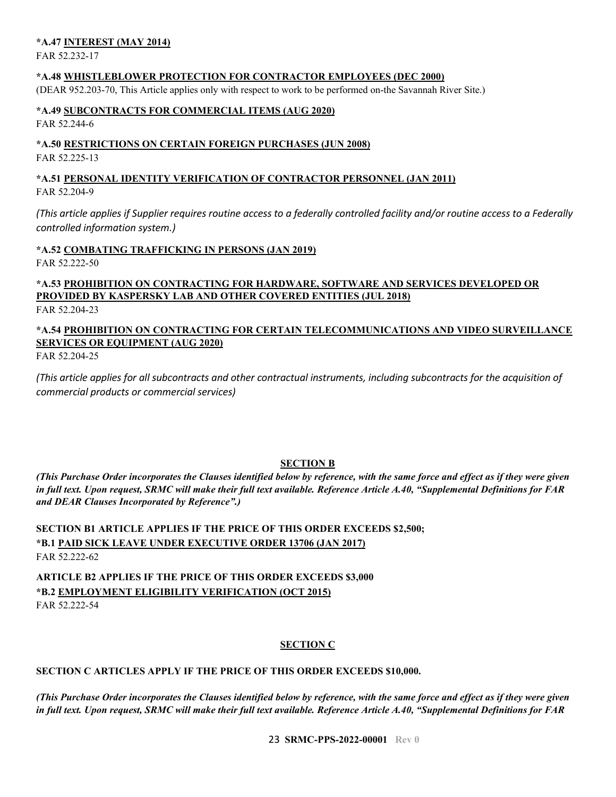#### <span id="page-22-0"></span>**\*A.47 INTEREST (MAY 2014)**

FAR 52.232-17

#### <span id="page-22-1"></span>**\*A.48 WHISTLEBLOWER PROTECTION FOR CONTRACTOR EMPLOYEES (DEC 2000)**

(DEAR 952.203-70, This Article applies only with respect to work to be performed on-the Savannah River Site.)

#### <span id="page-22-2"></span>**\*A.49 SUBCONTRACTS FOR COMMERCIAL ITEMS (AUG 2020)** FAR 52.244-6

#### <span id="page-22-3"></span>**\*A.50 RESTRICTIONS ON CERTAIN FOREIGN PURCHASES (JUN 2008)** FAR 52.225-13

### <span id="page-22-4"></span>**\*A.51 PERSONAL IDENTITY VERIFICATION OF CONTRACTOR PERSONNEL (JAN 2011)** FAR 52.204-9

*(This article applies if Supplier requires routine access to a federally controlled facility and/or routine access to a Federally controlled information system.)*

### <span id="page-22-5"></span>**\*A.52 COMBATING TRAFFICKING IN PERSONS (JAN 2019)**

FAR 52.222-50

#### <span id="page-22-6"></span>**\*A.53 PROHIBITION ON CONTRACTING FOR HARDWARE, SOFTWARE AND SERVICES DEVELOPED OR PROVIDED BY KASPERSKY LAB AND OTHER COVERED ENTITIES (JUL 2018)** FAR 52.204-23

### <span id="page-22-7"></span>**\*A.54 PROHIBITION ON CONTRACTING FOR CERTAIN TELECOMMUNICATIONS AND VIDEO SURVEILLANCE SERVICES OR EQUIPMENT (AUG 2020)**

FAR 52.204-25

*(This article applies for all subcontracts and other contractual instruments, including subcontracts for the acquisition of commercial products or commercial services)*

### **SECTION B**

<span id="page-22-8"></span>*(This Purchase Order incorporates the Clauses identified below by reference, with the same force and effect as if they were given in full text. Upon request, SRMC will make their full text available. Reference Article A.40, "Supplemental Definitions for FAR and DEAR Clauses Incorporated by Reference".)*

### <span id="page-22-10"></span><span id="page-22-9"></span>**SECTION B1 ARTICLE APPLIES IF THE PRICE OF THIS ORDER EXCEEDS \$2,500; \*B.1 PAID SICK LEAVE UNDER EXECUTIVE ORDER 13706 (JAN 2017)** FAR 52.222-62

<span id="page-22-12"></span><span id="page-22-11"></span>**ARTICLE B2 APPLIES IF THE PRICE OF THIS ORDER EXCEEDS \$3,000 \*B.2 EMPLOYMENT ELIGIBILITY VERIFICATION (OCT 2015)** FAR 52.222-54

### **SECTION C**

### <span id="page-22-14"></span><span id="page-22-13"></span>**SECTION C ARTICLES APPLY IF THE PRICE OF THIS ORDER EXCEEDS \$10,000.**

*(This Purchase Order incorporates the Clauses identified below by reference, with the same force and effect as if they were given in full text. Upon request, SRMC will make their full text available. Reference Article A.40, "Supplemental Definitions for FAR*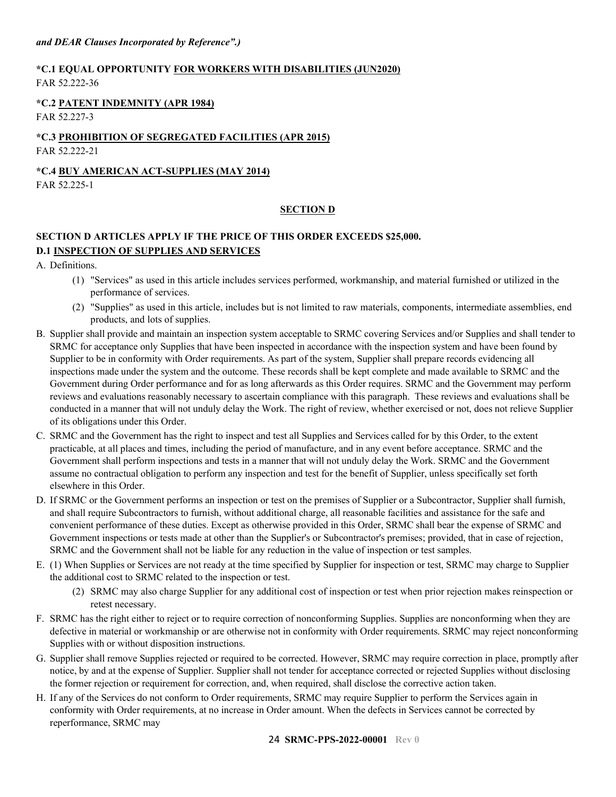### <span id="page-23-0"></span>**\*C.1 EQUAL OPPORTUNITY FOR WORKERS WITH DISABILITIES (JUN2020)** FAR 52.222-36

### <span id="page-23-1"></span>**\*C.2 PATENT INDEMNITY (APR 1984)**

FAR 52.227-3

# <span id="page-23-2"></span>**\*C.3 PROHIBITION OF SEGREGATED FACILITIES (APR 2015)**

FAR 52.222-21

#### <span id="page-23-3"></span>**\*C.4 BUY AMERICAN ACT-SUPPLIES (MAY 2014)** FAR 52.225-1

#### **SECTION D**

### <span id="page-23-6"></span><span id="page-23-5"></span><span id="page-23-4"></span>**SECTION D ARTICLES APPLY IF THE PRICE OF THIS ORDER EXCEEDS \$25,000. D.1 INSPECTION OF SUPPLIES AND SERVICES**

A. Definitions.

- (1) "Services" as used in this article includes services performed, workmanship, and material furnished or utilized in the performance of services.
- (2) "Supplies" as used in this article, includes but is not limited to raw materials, components, intermediate assemblies, end products, and lots of supplies.
- B. Supplier shall provide and maintain an inspection system acceptable to SRMC covering Services and/or Supplies and shall tender to SRMC for acceptance only Supplies that have been inspected in accordance with the inspection system and have been found by Supplier to be in conformity with Order requirements. As part of the system, Supplier shall prepare records evidencing all inspections made under the system and the outcome. These records shall be kept complete and made available to SRMC and the Government during Order performance and for as long afterwards as this Order requires. SRMC and the Government may perform reviews and evaluations reasonably necessary to ascertain compliance with this paragraph. These reviews and evaluations shall be conducted in a manner that will not unduly delay the Work. The right of review, whether exercised or not, does not relieve Supplier of its obligations under this Order.
- C. SRMC and the Government has the right to inspect and test all Supplies and Services called for by this Order, to the extent practicable, at all places and times, including the period of manufacture, and in any event before acceptance. SRMC and the Government shall perform inspections and tests in a manner that will not unduly delay the Work. SRMC and the Government assume no contractual obligation to perform any inspection and test for the benefit of Supplier, unless specifically set forth elsewhere in this Order.
- D. If SRMC or the Government performs an inspection or test on the premises of Supplier or a Subcontractor, Supplier shall furnish, and shall require Subcontractors to furnish, without additional charge, all reasonable facilities and assistance for the safe and convenient performance of these duties. Except as otherwise provided in this Order, SRMC shall bear the expense of SRMC and Government inspections or tests made at other than the Supplier's or Subcontractor's premises; provided, that in case of rejection, SRMC and the Government shall not be liable for any reduction in the value of inspection or test samples.
- E. (1) When Supplies or Services are not ready at the time specified by Supplier for inspection or test, SRMC may charge to Supplier the additional cost to SRMC related to the inspection or test.
	- (2) SRMC may also charge Supplier for any additional cost of inspection or test when prior rejection makes reinspection or retest necessary.
- F. SRMC has the right either to reject or to require correction of nonconforming Supplies. Supplies are nonconforming when they are defective in material or workmanship or are otherwise not in conformity with Order requirements. SRMC may reject nonconforming Supplies with or without disposition instructions.
- G. Supplier shall remove Supplies rejected or required to be corrected. However, SRMC may require correction in place, promptly after notice, by and at the expense of Supplier. Supplier shall not tender for acceptance corrected or rejected Supplies without disclosing the former rejection or requirement for correction, and, when required, shall disclose the corrective action taken.
- H. If any of the Services do not conform to Order requirements, SRMC may require Supplier to perform the Services again in conformity with Order requirements, at no increase in Order amount. When the defects in Services cannot be corrected by reperformance, SRMC may

#### 24 **SRMC-PPS-2022-00001 Rev 0**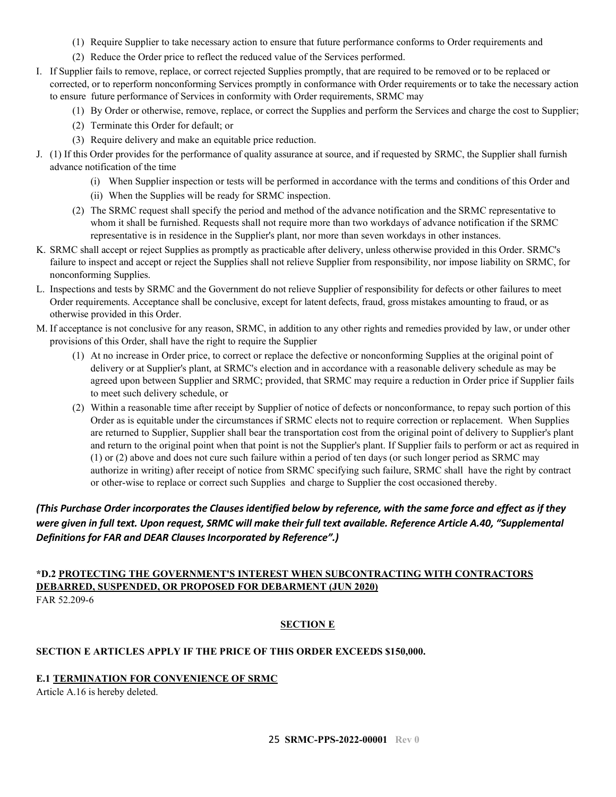- (1) Require Supplier to take necessary action to ensure that future performance conforms to Order requirements and
- (2) Reduce the Order price to reflect the reduced value of the Services performed.
- I. If Supplier fails to remove, replace, or correct rejected Supplies promptly, that are required to be removed or to be replaced or corrected, or to reperform nonconforming Services promptly in conformance with Order requirements or to take the necessary action to ensure future performance of Services in conformity with Order requirements, SRMC may
	- (1) By Order or otherwise, remove, replace, or correct the Supplies and perform the Services and charge the cost to Supplier;
	- (2) Terminate this Order for default; or
	- (3) Require delivery and make an equitable price reduction.
- J. (1) If this Order provides for the performance of quality assurance at source, and if requested by SRMC, the Supplier shall furnish advance notification of the time
	- (i) When Supplier inspection or tests will be performed in accordance with the terms and conditions of this Order and
	- (ii) When the Supplies will be ready for SRMC inspection.
	- (2) The SRMC request shall specify the period and method of the advance notification and the SRMC representative to whom it shall be furnished. Requests shall not require more than two workdays of advance notification if the SRMC representative is in residence in the Supplier's plant, nor more than seven workdays in other instances.
- K. SRMC shall accept or reject Supplies as promptly as practicable after delivery, unless otherwise provided in this Order. SRMC's failure to inspect and accept or reject the Supplies shall not relieve Supplier from responsibility, nor impose liability on SRMC, for nonconforming Supplies.
- L. Inspections and tests by SRMC and the Government do not relieve Supplier of responsibility for defects or other failures to meet Order requirements. Acceptance shall be conclusive, except for latent defects, fraud, gross mistakes amounting to fraud, or as otherwise provided in this Order.
- M. If acceptance is not conclusive for any reason, SRMC, in addition to any other rights and remedies provided by law, or under other provisions of this Order, shall have the right to require the Supplier
	- (1) At no increase in Order price, to correct or replace the defective or nonconforming Supplies at the original point of delivery or at Supplier's plant, at SRMC's election and in accordance with a reasonable delivery schedule as may be agreed upon between Supplier and SRMC; provided, that SRMC may require a reduction in Order price if Supplier fails to meet such delivery schedule, or
	- (2) Within a reasonable time after receipt by Supplier of notice of defects or nonconformance, to repay such portion of this Order as is equitable under the circumstances if SRMC elects not to require correction or replacement. When Supplies are returned to Supplier, Supplier shall bear the transportation cost from the original point of delivery to Supplier's plant and return to the original point when that point is not the Supplier's plant. If Supplier fails to perform or act as required in (1) or (2) above and does not cure such failure within a period of ten days (or such longer period as SRMC may authorize in writing) after receipt of notice from SRMC specifying such failure, SRMC shall have the right by contract or other-wise to replace or correct such Supplies and charge to Supplier the cost occasioned thereby.

### *(This Purchase Order incorporates the Clauses identified below by reference, with the same force and effect as if they were given in full text. Upon request, SRMC will make their full text available. Reference Article A.40, "Supplemental Definitions for FAR and DEAR Clauses Incorporated by Reference".)*

#### <span id="page-24-0"></span>**\*D.2 PROTECTING THE GOVERNMENT'S INTEREST WHEN SUBCONTRACTING WITH CONTRACTORS DEBARRED, SUSPENDED, OR PROPOSED FOR DEBARMENT (JUN 2020)** FAR 52.209-6

### **SECTION E**

### <span id="page-24-2"></span><span id="page-24-1"></span>**SECTION E ARTICLES APPLY IF THE PRICE OF THIS ORDER EXCEEDS \$150,000.**

### <span id="page-24-3"></span>**E.1 TERMINATION FOR CONVENIENCE OF SRMC**

Article A.16 is hereby deleted.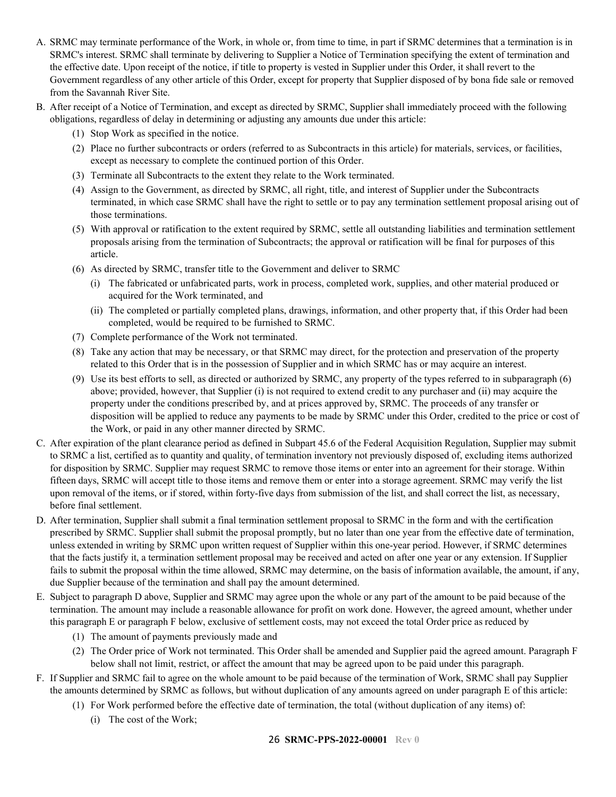- A. SRMC may terminate performance of the Work, in whole or, from time to time, in part if SRMC determines that a termination is in SRMC's interest. SRMC shall terminate by delivering to Supplier a Notice of Termination specifying the extent of termination and the effective date. Upon receipt of the notice, if title to property is vested in Supplier under this Order, it shall revert to the Government regardless of any other article of this Order, except for property that Supplier disposed of by bona fide sale or removed from the Savannah River Site.
- B. After receipt of a Notice of Termination, and except as directed by SRMC, Supplier shall immediately proceed with the following obligations, regardless of delay in determining or adjusting any amounts due under this article:
	- (1) Stop Work as specified in the notice.
	- (2) Place no further subcontracts or orders (referred to as Subcontracts in this article) for materials, services, or facilities, except as necessary to complete the continued portion of this Order.
	- (3) Terminate all Subcontracts to the extent they relate to the Work terminated.
	- (4) Assign to the Government, as directed by SRMC, all right, title, and interest of Supplier under the Subcontracts terminated, in which case SRMC shall have the right to settle or to pay any termination settlement proposal arising out of those terminations.
	- (5) With approval or ratification to the extent required by SRMC, settle all outstanding liabilities and termination settlement proposals arising from the termination of Subcontracts; the approval or ratification will be final for purposes of this article.
	- (6) As directed by SRMC, transfer title to the Government and deliver to SRMC
		- (i) The fabricated or unfabricated parts, work in process, completed work, supplies, and other material produced or acquired for the Work terminated, and
		- (ii) The completed or partially completed plans, drawings, information, and other property that, if this Order had been completed, would be required to be furnished to SRMC.
	- (7) Complete performance of the Work not terminated.
	- (8) Take any action that may be necessary, or that SRMC may direct, for the protection and preservation of the property related to this Order that is in the possession of Supplier and in which SRMC has or may acquire an interest.
	- (9) Use its best efforts to sell, as directed or authorized by SRMC, any property of the types referred to in subparagraph (6) above; provided, however, that Supplier (i) is not required to extend credit to any purchaser and (ii) may acquire the property under the conditions prescribed by, and at prices approved by, SRMC. The proceeds of any transfer or disposition will be applied to reduce any payments to be made by SRMC under this Order, credited to the price or cost of the Work, or paid in any other manner directed by SRMC.
- C. After expiration of the plant clearance period as defined in Subpart 45.6 of the Federal Acquisition Regulation, Supplier may submit to SRMC a list, certified as to quantity and quality, of termination inventory not previously disposed of, excluding items authorized for disposition by SRMC. Supplier may request SRMC to remove those items or enter into an agreement for their storage. Within fifteen days, SRMC will accept title to those items and remove them or enter into a storage agreement. SRMC may verify the list upon removal of the items, or if stored, within forty-five days from submission of the list, and shall correct the list, as necessary, before final settlement.
- D. After termination, Supplier shall submit a final termination settlement proposal to SRMC in the form and with the certification prescribed by SRMC. Supplier shall submit the proposal promptly, but no later than one year from the effective date of termination, unless extended in writing by SRMC upon written request of Supplier within this one-year period. However, if SRMC determines that the facts justify it, a termination settlement proposal may be received and acted on after one year or any extension. If Supplier fails to submit the proposal within the time allowed, SRMC may determine, on the basis of information available, the amount, if any, due Supplier because of the termination and shall pay the amount determined.
- E. Subject to paragraph D above, Supplier and SRMC may agree upon the whole or any part of the amount to be paid because of the termination. The amount may include a reasonable allowance for profit on work done. However, the agreed amount, whether under this paragraph E or paragraph F below, exclusive of settlement costs, may not exceed the total Order price as reduced by
	- (1) The amount of payments previously made and
	- (2) The Order price of Work not terminated. This Order shall be amended and Supplier paid the agreed amount. Paragraph F below shall not limit, restrict, or affect the amount that may be agreed upon to be paid under this paragraph.
- F. If Supplier and SRMC fail to agree on the whole amount to be paid because of the termination of Work, SRMC shall pay Supplier the amounts determined by SRMC as follows, but without duplication of any amounts agreed on under paragraph E of this article:
	- (1) For Work performed before the effective date of termination, the total (without duplication of any items) of:
		- (i) The cost of the Work;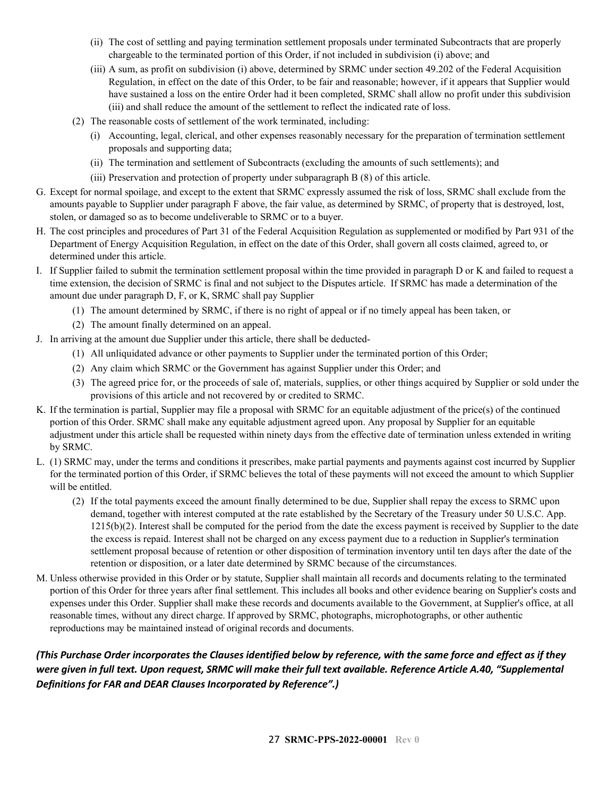- (ii) The cost of settling and paying termination settlement proposals under terminated Subcontracts that are properly chargeable to the terminated portion of this Order, if not included in subdivision (i) above; and
- (iii) A sum, as profit on subdivision (i) above, determined by SRMC under section 49.202 of the Federal Acquisition Regulation, in effect on the date of this Order, to be fair and reasonable; however, if it appears that Supplier would have sustained a loss on the entire Order had it been completed, SRMC shall allow no profit under this subdivision (iii) and shall reduce the amount of the settlement to reflect the indicated rate of loss.
- (2) The reasonable costs of settlement of the work terminated, including:
	- (i) Accounting, legal, clerical, and other expenses reasonably necessary for the preparation of termination settlement proposals and supporting data;
	- (ii) The termination and settlement of Subcontracts (excluding the amounts of such settlements); and
	- (iii) Preservation and protection of property under subparagraph B (8) of this article.
- G. Except for normal spoilage, and except to the extent that SRMC expressly assumed the risk of loss, SRMC shall exclude from the amounts payable to Supplier under paragraph F above, the fair value, as determined by SRMC, of property that is destroyed, lost, stolen, or damaged so as to become undeliverable to SRMC or to a buyer.
- H. The cost principles and procedures of Part 31 of the Federal Acquisition Regulation as supplemented or modified by Part 931 of the Department of Energy Acquisition Regulation, in effect on the date of this Order, shall govern all costs claimed, agreed to, or determined under this article.
- I. If Supplier failed to submit the termination settlement proposal within the time provided in paragraph D or K and failed to request a time extension, the decision of SRMC is final and not subject to the Disputes article. If SRMC has made a determination of the amount due under paragraph D, F, or K, SRMC shall pay Supplier
	- (1) The amount determined by SRMC, if there is no right of appeal or if no timely appeal has been taken, or
	- (2) The amount finally determined on an appeal.
- J. In arriving at the amount due Supplier under this article, there shall be deducted-
	- (1) All unliquidated advance or other payments to Supplier under the terminated portion of this Order;
	- (2) Any claim which SRMC or the Government has against Supplier under this Order; and
	- (3) The agreed price for, or the proceeds of sale of, materials, supplies, or other things acquired by Supplier or sold under the provisions of this article and not recovered by or credited to SRMC.
- K. If the termination is partial, Supplier may file a proposal with SRMC for an equitable adjustment of the price(s) of the continued portion of this Order. SRMC shall make any equitable adjustment agreed upon. Any proposal by Supplier for an equitable adjustment under this article shall be requested within ninety days from the effective date of termination unless extended in writing by SRMC.
- L. (1) SRMC may, under the terms and conditions it prescribes, make partial payments and payments against cost incurred by Supplier for the terminated portion of this Order, if SRMC believes the total of these payments will not exceed the amount to which Supplier will be entitled.
	- (2) If the total payments exceed the amount finally determined to be due, Supplier shall repay the excess to SRMC upon demand, together with interest computed at the rate established by the Secretary of the Treasury under 50 U.S.C. App.  $1215(b)(2)$ . Interest shall be computed for the period from the date the excess payment is received by Supplier to the date the excess is repaid. Interest shall not be charged on any excess payment due to a reduction in Supplier's termination settlement proposal because of retention or other disposition of termination inventory until ten days after the date of the retention or disposition, or a later date determined by SRMC because of the circumstances.
- M. Unless otherwise provided in this Order or by statute, Supplier shall maintain all records and documents relating to the terminated portion of this Order for three years after final settlement. This includes all books and other evidence bearing on Supplier's costs and expenses under this Order. Supplier shall make these records and documents available to the Government, at Supplier's office, at all reasonable times, without any direct charge. If approved by SRMC, photographs, microphotographs, or other authentic reproductions may be maintained instead of original records and documents.

*(This Purchase Order incorporates the Clauses identified below by reference, with the same force and effect as if they were given in full text. Upon request, SRMC will make their full text available. Reference Article A.40, "Supplemental Definitions for FAR and DEAR Clauses Incorporated by Reference".)*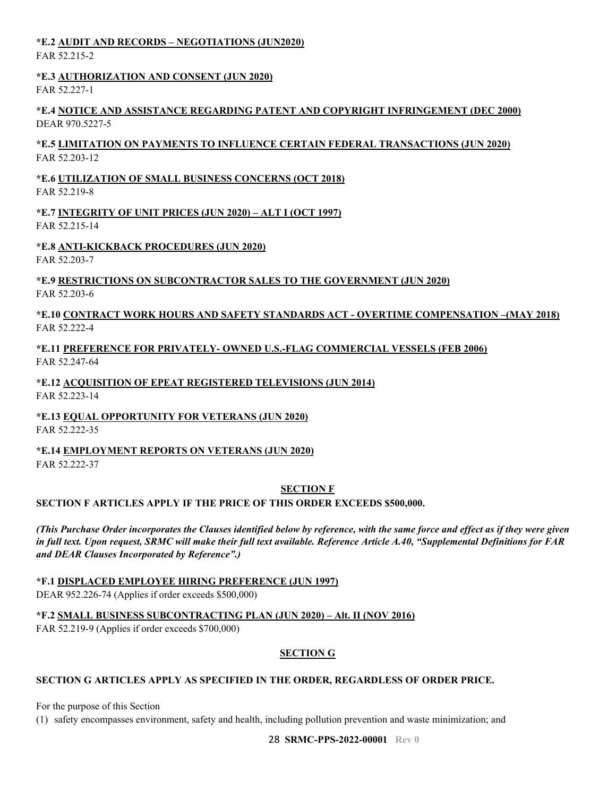### <span id="page-27-0"></span>**\*E.2 AUDIT AND RECORDS – NEGOTIATIONS (JUN2020)**

FAR 52.215-2

### <span id="page-27-1"></span>**\*E.3 AUTHORIZATION AND CONSENT (JUN 2020)**

FAR 52.227-1

#### <span id="page-27-2"></span>**\*E.4 NOTICE AND ASSISTANCE REGARDING PATENT AND COPYRIGHT INFRINGEMENT (DEC 2000)** DEAR 970.5227-5

#### <span id="page-27-3"></span>**\*E.5 LIMITATION ON PAYMENTS TO INFLUENCE CERTAIN FEDERAL TRANSACTIONS (JUN 2020)** FAR 52.203-12

# <span id="page-27-4"></span>**\*E.6 UTILIZATION OF SMALL BUSINESS CONCERNS (OCT 2018)**

FAR 52.219-8

### <span id="page-27-5"></span>**\*E.7 INTEGRITY OF UNIT PRICES (JUN 2020) – ALT I (OCT 1997)** FAR 52.215-14

## <span id="page-27-6"></span>**\*E.8 ANTI-KICKBACK PROCEDURES (JUN 2020)**

FAR 52.203-7

### <span id="page-27-7"></span>**\*E.9 RESTRICTIONS ON SUBCONTRACTOR SALES TO THE GOVERNMENT (JUN 2020)** FAR 52.203-6

### <span id="page-27-8"></span>**\*E.10 CONTRACT WORK HOURS AND SAFETY STANDARDS ACT - OVERTIME COMPENSATION –(MAY 2018)** FAR 52.222-4

### <span id="page-27-9"></span>**\*E.11 PREFERENCE FOR PRIVATELY- OWNED U.S.-FLAG COMMERCIAL VESSELS (FEB 2006)** FAR 52.247-64

#### <span id="page-27-10"></span>**\*E.12 ACQUISITION OF EPEAT REGISTERED TELEVISIONS (JUN 2014)** FAR 52.223-14

### <span id="page-27-11"></span>**\*E.13 EQUAL OPPORTUNITY FOR VETERANS (JUN 2020)**

FAR 52.222-35

# <span id="page-27-12"></span>**\*E.14 EMPLOYMENT REPORTS ON VETERANS (JUN 2020)**

FAR 52.222-37

### **SECTION F**

### <span id="page-27-14"></span><span id="page-27-13"></span>**SECTION F ARTICLES APPLY IF THE PRICE OF THIS ORDER EXCEEDS \$500,000.**

*(This Purchase Order incorporates the Clauses identified below by reference, with the same force and effect as if they were given in full text. Upon request, SRMC will make their full text available. Reference Article A.40, "Supplemental Definitions for FAR and DEAR Clauses Incorporated by Reference".)*

### <span id="page-27-15"></span>**\*F.1 DISPLACED EMPLOYEE HIRING PREFERENCE (JUN 1997)**

DEAR 952.226-74 (Applies if order exceeds \$500,000)

<span id="page-27-16"></span>**\*F.2 SMALL BUSINESS SUBCONTRACTING PLAN (JUN 2020) – Alt. II (NOV 2016)**

<span id="page-27-17"></span>FAR 52.219-9 (Applies if order exceeds \$700,000)

### **SECTION G**

### <span id="page-27-18"></span>**SECTION G ARTICLES APPLY AS SPECIFIED IN THE ORDER, REGARDLESS OF ORDER PRICE.**

For the purpose of this Section

(1) safety encompasses environment, safety and health, including pollution prevention and waste minimization; and

28 **SRMC-PPS-2022-00001 Rev 0**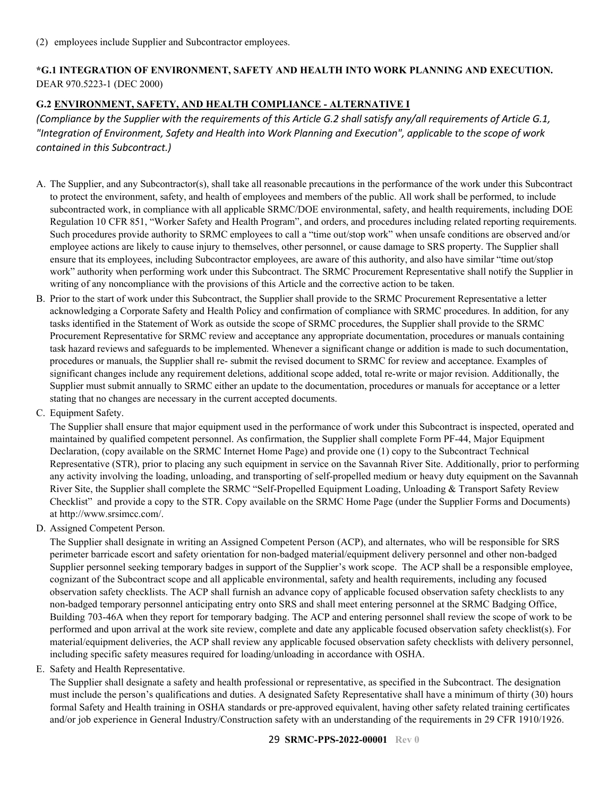### <span id="page-28-0"></span>**\*G.1 INTEGRATION OF ENVIRONMENT, SAFETY AND HEALTH INTO WORK PLANNING AND EXECUTION.** DEAR 970.5223-1 (DEC 2000)

### <span id="page-28-1"></span>**G.2 ENVIRONMENT, SAFETY, AND HEALTH COMPLIANCE - ALTERNATIVE I**

*(Compliance by the Supplier with the requirements of this Article G.2 shall satisfy any/all requirements of Article G.1, "Integration of Environment, Safety and Health into Work Planning and Execution", applicable to the scope of work contained in this Subcontract.)*

- A. The Supplier, and any Subcontractor(s), shall take all reasonable precautions in the performance of the work under this Subcontract to protect the environment, safety, and health of employees and members of the public. All work shall be performed, to include subcontracted work, in compliance with all applicable SRMC/DOE environmental, safety, and health requirements, including DOE Regulation 10 CFR 851, "Worker Safety and Health Program", and orders, and procedures including related reporting requirements. Such procedures provide authority to SRMC employees to call a "time out/stop work" when unsafe conditions are observed and/or employee actions are likely to cause injury to themselves, other personnel, or cause damage to SRS property. The Supplier shall ensure that its employees, including Subcontractor employees, are aware of this authority, and also have similar "time out/stop work" authority when performing work under this Subcontract. The SRMC Procurement Representative shall notify the Supplier in writing of any noncompliance with the provisions of this Article and the corrective action to be taken.
- B. Prior to the start of work under this Subcontract, the Supplier shall provide to the SRMC Procurement Representative a letter acknowledging a Corporate Safety and Health Policy and confirmation of compliance with SRMC procedures. In addition, for any tasks identified in the Statement of Work as outside the scope of SRMC procedures, the Supplier shall provide to the SRMC Procurement Representative for SRMC review and acceptance any appropriate documentation, procedures or manuals containing task hazard reviews and safeguards to be implemented. Whenever a significant change or addition is made to such documentation, procedures or manuals, the Supplier shall re- submit the revised document to SRMC for review and acceptance. Examples of significant changes include any requirement deletions, additional scope added, total re-write or major revision. Additionally, the Supplier must submit annually to SRMC either an update to the documentation, procedures or manuals for acceptance or a letter stating that no changes are necessary in the current accepted documents.
- C. Equipment Safety.

The Supplier shall ensure that major equipment used in the performance of work under this Subcontract is inspected, operated and maintained by qualified competent personnel. As confirmation, the Supplier shall complete Form PF-44, Major Equipment Declaration, (copy available on the SRMC Internet Home Page) and provide one (1) copy to the Subcontract Technical Representative (STR), prior to placing any such equipment in service on the Savannah River Site. Additionally, prior to performing any activity involving the loading, unloading, and transporting of self-propelled medium or heavy duty equipment on the Savannah River Site, the Supplier shall complete the SRMC "Self-Propelled Equipment Loading, Unloading & Transport Safety Review Checklist" and provide a copy to the STR. Copy available on the SRMC Home Page (under the Supplier Forms and Documents) at http://www.srsimcc.com/.

D. Assigned Competent Person.

The Supplier shall designate in writing an Assigned Competent Person (ACP), and alternates, who will be responsible for SRS perimeter barricade escort and safety orientation for non-badged material/equipment delivery personnel and other non-badged Supplier personnel seeking temporary badges in support of the Supplier's work scope. The ACP shall be a responsible employee, cognizant of the Subcontract scope and all applicable environmental, safety and health requirements, including any focused observation safety checklists. The ACP shall furnish an advance copy of applicable focused observation safety checklists to any non-badged temporary personnel anticipating entry onto SRS and shall meet entering personnel at the SRMC Badging Office, Building 703-46A when they report for temporary badging. The ACP and entering personnel shall review the scope of work to be performed and upon arrival at the work site review, complete and date any applicable focused observation safety checklist(s). For material/equipment deliveries, the ACP shall review any applicable focused observation safety checklists with delivery personnel, including specific safety measures required for loading/unloading in accordance with OSHA.

### E. Safety and Health Representative.

The Supplier shall designate a safety and health professional or representative, as specified in the Subcontract. The designation must include the person's qualifications and duties. A designated Safety Representative shall have a minimum of thirty (30) hours formal Safety and Health training in OSHA standards or pre-approved equivalent, having other safety related training certificates and/or job experience in General Industry/Construction safety with an understanding of the requirements in 29 CFR 1910/1926.

#### 29 **SRMC-PPS-2022-00001 Rev 0**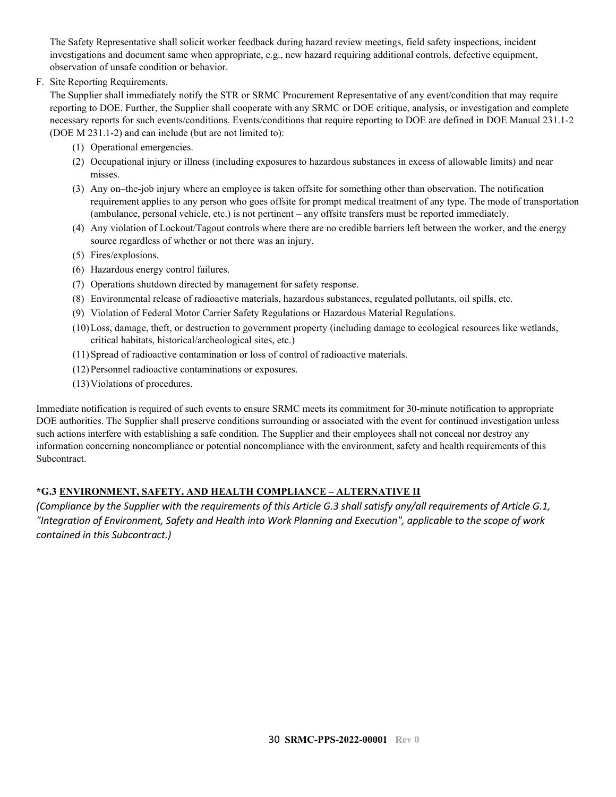The Safety Representative shall solicit worker feedback during hazard review meetings, field safety inspections, incident investigations and document same when appropriate, e.g., new hazard requiring additional controls, defective equipment, observation of unsafe condition or behavior.

F. Site Reporting Requirements.

The Supplier shall immediately notify the STR or SRMC Procurement Representative of any event/condition that may require reporting to DOE. Further, the Supplier shall cooperate with any SRMC or DOE critique, analysis, or investigation and complete necessary reports for such events/conditions. Events/conditions that require reporting to DOE are defined in DOE Manual 231.1-2 (DOE M 231.1-2) and can include (but are not limited to):

- (1) Operational emergencies.
- (2) Occupational injury or illness (including exposures to hazardous substances in excess of allowable limits) and near misses.
- (3) Any on–the-job injury where an employee is taken offsite for something other than observation. The notification requirement applies to any person who goes offsite for prompt medical treatment of any type. The mode of transportation (ambulance, personal vehicle, etc.) is not pertinent – any offsite transfers must be reported immediately.
- (4) Any violation of Lockout/Tagout controls where there are no credible barriers left between the worker, and the energy source regardless of whether or not there was an injury.
- (5) Fires/explosions.
- (6) Hazardous energy control failures.
- (7) Operations shutdown directed by management for safety response.
- (8) Environmental release of radioactive materials, hazardous substances, regulated pollutants, oil spills, etc.
- (9) Violation of Federal Motor Carrier Safety Regulations or Hazardous Material Regulations.
- (10)Loss, damage, theft, or destruction to government property (including damage to ecological resources like wetlands, critical habitats, historical/archeological sites, etc.)
- (11)Spread of radioactive contamination or loss of control of radioactive materials.
- (12)Personnel radioactive contaminations or exposures.
- (13)Violations of procedures.

Immediate notification is required of such events to ensure SRMC meets its commitment for 30-minute notification to appropriate DOE authorities. The Supplier shall preserve conditions surrounding or associated with the event for continued investigation unless such actions interfere with establishing a safe condition. The Supplier and their employees shall not conceal nor destroy any information concerning noncompliance or potential noncompliance with the environment, safety and health requirements of this Subcontract.

### <span id="page-29-0"></span>**\*G.3 ENVIRONMENT, SAFETY, AND HEALTH COMPLIANCE – ALTERNATIVE II**

*(Compliance by the Supplier with the requirements of this Article G.3 shall satisfy any/all requirements of Article G.1, "Integration of Environment, Safety and Health into Work Planning and Execution", applicable to the scope of work contained in this Subcontract.)*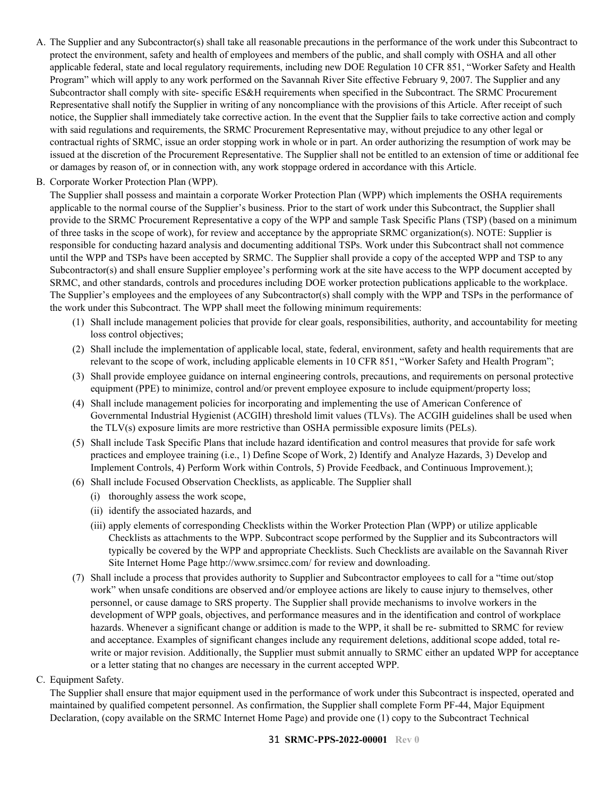- A. The Supplier and any Subcontractor(s) shall take all reasonable precautions in the performance of the work under this Subcontract to protect the environment, safety and health of employees and members of the public, and shall comply with OSHA and all other applicable federal, state and local regulatory requirements, including new DOE Regulation 10 CFR 851, "Worker Safety and Health Program" which will apply to any work performed on the Savannah River Site effective February 9, 2007. The Supplier and any Subcontractor shall comply with site- specific ES&H requirements when specified in the Subcontract. The SRMC Procurement Representative shall notify the Supplier in writing of any noncompliance with the provisions of this Article. After receipt of such notice, the Supplier shall immediately take corrective action. In the event that the Supplier fails to take corrective action and comply with said regulations and requirements, the SRMC Procurement Representative may, without prejudice to any other legal or contractual rights of SRMC, issue an order stopping work in whole or in part. An order authorizing the resumption of work may be issued at the discretion of the Procurement Representative. The Supplier shall not be entitled to an extension of time or additional fee or damages by reason of, or in connection with, any work stoppage ordered in accordance with this Article.
- B. Corporate Worker Protection Plan (WPP).

The Supplier shall possess and maintain a corporate Worker Protection Plan (WPP) which implements the OSHA requirements applicable to the normal course of the Supplier's business. Prior to the start of work under this Subcontract, the Supplier shall provide to the SRMC Procurement Representative a copy of the WPP and sample Task Specific Plans (TSP) (based on a minimum of three tasks in the scope of work), for review and acceptance by the appropriate SRMC organization(s). NOTE: Supplier is responsible for conducting hazard analysis and documenting additional TSPs. Work under this Subcontract shall not commence until the WPP and TSPs have been accepted by SRMC. The Supplier shall provide a copy of the accepted WPP and TSP to any Subcontractor(s) and shall ensure Supplier employee's performing work at the site have access to the WPP document accepted by SRMC, and other standards, controls and procedures including DOE worker protection publications applicable to the workplace. The Supplier's employees and the employees of any Subcontractor(s) shall comply with the WPP and TSPs in the performance of the work under this Subcontract. The WPP shall meet the following minimum requirements:

- (1) Shall include management policies that provide for clear goals, responsibilities, authority, and accountability for meeting loss control objectives;
- (2) Shall include the implementation of applicable local, state, federal, environment, safety and health requirements that are relevant to the scope of work, including applicable elements in 10 CFR 851, "Worker Safety and Health Program";
- (3) Shall provide employee guidance on internal engineering controls, precautions, and requirements on personal protective equipment (PPE) to minimize, control and/or prevent employee exposure to include equipment/property loss;
- (4) Shall include management policies for incorporating and implementing the use of American Conference of Governmental Industrial Hygienist (ACGIH) threshold limit values (TLVs). The ACGIH guidelines shall be used when the TLV(s) exposure limits are more restrictive than OSHA permissible exposure limits (PELs).
- (5) Shall include Task Specific Plans that include hazard identification and control measures that provide for safe work practices and employee training (i.e., 1) Define Scope of Work, 2) Identify and Analyze Hazards, 3) Develop and Implement Controls, 4) Perform Work within Controls, 5) Provide Feedback, and Continuous Improvement.);
- (6) Shall include Focused Observation Checklists, as applicable. The Supplier shall
	- (i) thoroughly assess the work scope,
	- (ii) identify the associated hazards, and
	- (iii) apply elements of corresponding Checklists within the Worker Protection Plan (WPP) or utilize applicable Checklists as attachments to the WPP. Subcontract scope performed by the Supplier and its Subcontractors will typically be covered by the WPP and appropriate Checklists. Such Checklists are available on the Savannah River Site Internet Home Page http://www.srsimcc.com/ for review and downloading.
- (7) Shall include a process that provides authority to Supplier and Subcontractor employees to call for a "time out/stop work" when unsafe conditions are observed and/or employee actions are likely to cause injury to themselves, other personnel, or cause damage to SRS property. The Supplier shall provide mechanisms to involve workers in the development of WPP goals, objectives, and performance measures and in the identification and control of workplace hazards. Whenever a significant change or addition is made to the WPP, it shall be re- submitted to SRMC for review and acceptance. Examples of significant changes include any requirement deletions, additional scope added, total rewrite or major revision. Additionally, the Supplier must submit annually to SRMC either an updated WPP for acceptance or a letter stating that no changes are necessary in the current accepted WPP.
- C. Equipment Safety.

The Supplier shall ensure that major equipment used in the performance of work under this Subcontract is inspected, operated and maintained by qualified competent personnel. As confirmation, the Supplier shall complete Form PF-44, Major Equipment Declaration, (copy available on the SRMC Internet Home Page) and provide one (1) copy to the Subcontract Technical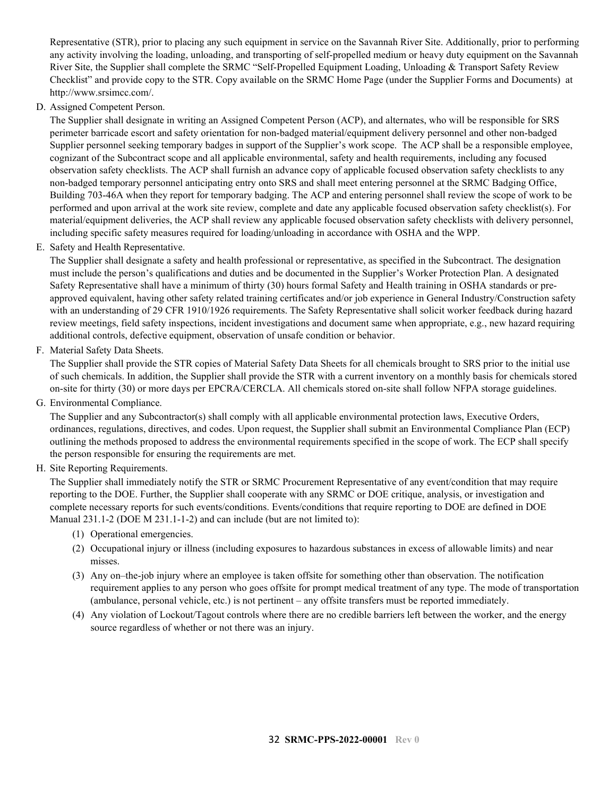Representative (STR), prior to placing any such equipment in service on the Savannah River Site. Additionally, prior to performing any activity involving the loading, unloading, and transporting of self-propelled medium or heavy duty equipment on the Savannah River Site, the Supplier shall complete the SRMC "Self-Propelled Equipment Loading, Unloading & Transport Safety Review Checklist" and provide copy to the STR. Copy available on the SRMC Home Page (under the Supplier Forms and Documents) at http://www.srsimcc.com/.

D. Assigned Competent Person.

The Supplier shall designate in writing an Assigned Competent Person (ACP), and alternates, who will be responsible for SRS perimeter barricade escort and safety orientation for non-badged material/equipment delivery personnel and other non-badged Supplier personnel seeking temporary badges in support of the Supplier's work scope. The ACP shall be a responsible employee, cognizant of the Subcontract scope and all applicable environmental, safety and health requirements, including any focused observation safety checklists. The ACP shall furnish an advance copy of applicable focused observation safety checklists to any non-badged temporary personnel anticipating entry onto SRS and shall meet entering personnel at the SRMC Badging Office, Building 703-46A when they report for temporary badging. The ACP and entering personnel shall review the scope of work to be performed and upon arrival at the work site review, complete and date any applicable focused observation safety checklist(s). For material/equipment deliveries, the ACP shall review any applicable focused observation safety checklists with delivery personnel, including specific safety measures required for loading/unloading in accordance with OSHA and the WPP.

E. Safety and Health Representative.

The Supplier shall designate a safety and health professional or representative, as specified in the Subcontract. The designation must include the person's qualifications and duties and be documented in the Supplier's Worker Protection Plan. A designated Safety Representative shall have a minimum of thirty (30) hours formal Safety and Health training in OSHA standards or preapproved equivalent, having other safety related training certificates and/or job experience in General Industry/Construction safety with an understanding of 29 CFR 1910/1926 requirements. The Safety Representative shall solicit worker feedback during hazard review meetings, field safety inspections, incident investigations and document same when appropriate, e.g., new hazard requiring additional controls, defective equipment, observation of unsafe condition or behavior.

F. Material Safety Data Sheets.

The Supplier shall provide the STR copies of Material Safety Data Sheets for all chemicals brought to SRS prior to the initial use of such chemicals. In addition, the Supplier shall provide the STR with a current inventory on a monthly basis for chemicals stored on-site for thirty (30) or more days per EPCRA/CERCLA. All chemicals stored on-site shall follow NFPA storage guidelines.

G. Environmental Compliance.

The Supplier and any Subcontractor(s) shall comply with all applicable environmental protection laws, Executive Orders, ordinances, regulations, directives, and codes. Upon request, the Supplier shall submit an Environmental Compliance Plan (ECP) outlining the methods proposed to address the environmental requirements specified in the scope of work. The ECP shall specify the person responsible for ensuring the requirements are met.

H. Site Reporting Requirements.

The Supplier shall immediately notify the STR or SRMC Procurement Representative of any event/condition that may require reporting to the DOE. Further, the Supplier shall cooperate with any SRMC or DOE critique, analysis, or investigation and complete necessary reports for such events/conditions. Events/conditions that require reporting to DOE are defined in DOE Manual 231.1-2 (DOE M 231.1-1-2) and can include (but are not limited to):

- (1) Operational emergencies.
- (2) Occupational injury or illness (including exposures to hazardous substances in excess of allowable limits) and near misses.
- (3) Any on–the-job injury where an employee is taken offsite for something other than observation. The notification requirement applies to any person who goes offsite for prompt medical treatment of any type. The mode of transportation (ambulance, personal vehicle, etc.) is not pertinent – any offsite transfers must be reported immediately.
- (4) Any violation of Lockout/Tagout controls where there are no credible barriers left between the worker, and the energy source regardless of whether or not there was an injury.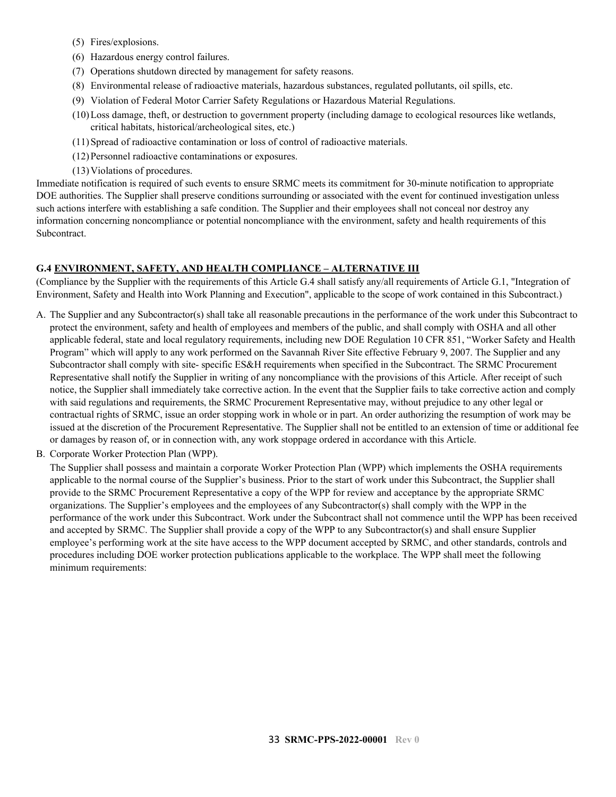- (5) Fires/explosions.
- (6) Hazardous energy control failures.
- (7) Operations shutdown directed by management for safety reasons.
- (8) Environmental release of radioactive materials, hazardous substances, regulated pollutants, oil spills, etc.
- (9) Violation of Federal Motor Carrier Safety Regulations or Hazardous Material Regulations.
- (10)Loss damage, theft, or destruction to government property (including damage to ecological resources like wetlands, critical habitats, historical/archeological sites, etc.)
- (11)Spread of radioactive contamination or loss of control of radioactive materials.
- (12)Personnel radioactive contaminations or exposures.
- (13)Violations of procedures.

Immediate notification is required of such events to ensure SRMC meets its commitment for 30-minute notification to appropriate DOE authorities. The Supplier shall preserve conditions surrounding or associated with the event for continued investigation unless such actions interfere with establishing a safe condition. The Supplier and their employees shall not conceal nor destroy any information concerning noncompliance or potential noncompliance with the environment, safety and health requirements of this Subcontract.

#### <span id="page-32-0"></span>**G.4 ENVIRONMENT, SAFETY, AND HEALTH COMPLIANCE – ALTERNATIVE III**

(Compliance by the Supplier with the requirements of this Article G.4 shall satisfy any/all requirements of Article G.1, "Integration of Environment, Safety and Health into Work Planning and Execution", applicable to the scope of work contained in this Subcontract.)

- A. The Supplier and any Subcontractor(s) shall take all reasonable precautions in the performance of the work under this Subcontract to protect the environment, safety and health of employees and members of the public, and shall comply with OSHA and all other applicable federal, state and local regulatory requirements, including new DOE Regulation 10 CFR 851, "Worker Safety and Health Program" which will apply to any work performed on the Savannah River Site effective February 9, 2007. The Supplier and any Subcontractor shall comply with site- specific ES&H requirements when specified in the Subcontract. The SRMC Procurement Representative shall notify the Supplier in writing of any noncompliance with the provisions of this Article. After receipt of such notice, the Supplier shall immediately take corrective action. In the event that the Supplier fails to take corrective action and comply with said regulations and requirements, the SRMC Procurement Representative may, without prejudice to any other legal or contractual rights of SRMC, issue an order stopping work in whole or in part. An order authorizing the resumption of work may be issued at the discretion of the Procurement Representative. The Supplier shall not be entitled to an extension of time or additional fee or damages by reason of, or in connection with, any work stoppage ordered in accordance with this Article.
- B. Corporate Worker Protection Plan (WPP).

The Supplier shall possess and maintain a corporate Worker Protection Plan (WPP) which implements the OSHA requirements applicable to the normal course of the Supplier's business. Prior to the start of work under this Subcontract, the Supplier shall provide to the SRMC Procurement Representative a copy of the WPP for review and acceptance by the appropriate SRMC organizations. The Supplier's employees and the employees of any Subcontractor(s) shall comply with the WPP in the performance of the work under this Subcontract. Work under the Subcontract shall not commence until the WPP has been received and accepted by SRMC. The Supplier shall provide a copy of the WPP to any Subcontractor(s) and shall ensure Supplier employee's performing work at the site have access to the WPP document accepted by SRMC, and other standards, controls and procedures including DOE worker protection publications applicable to the workplace. The WPP shall meet the following minimum requirements: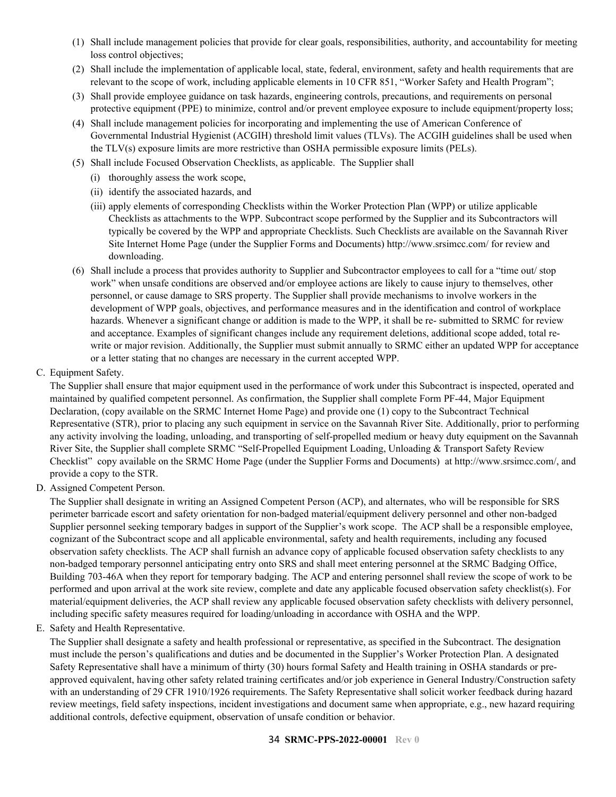- (1) Shall include management policies that provide for clear goals, responsibilities, authority, and accountability for meeting loss control objectives;
- (2) Shall include the implementation of applicable local, state, federal, environment, safety and health requirements that are relevant to the scope of work, including applicable elements in 10 CFR 851, "Worker Safety and Health Program";
- (3) Shall provide employee guidance on task hazards, engineering controls, precautions, and requirements on personal protective equipment (PPE) to minimize, control and/or prevent employee exposure to include equipment/property loss;
- (4) Shall include management policies for incorporating and implementing the use of American Conference of Governmental Industrial Hygienist (ACGIH) threshold limit values (TLVs). The ACGIH guidelines shall be used when the TLV(s) exposure limits are more restrictive than OSHA permissible exposure limits (PELs).
- (5) Shall include Focused Observation Checklists, as applicable. The Supplier shall
	- (i) thoroughly assess the work scope,
	- (ii) identify the associated hazards, and
	- (iii) apply elements of corresponding Checklists within the Worker Protection Plan (WPP) or utilize applicable Checklists as attachments to the WPP. Subcontract scope performed by the Supplier and its Subcontractors will typically be covered by the WPP and appropriate Checklists. Such Checklists are available on the Savannah River Site Internet Home Page (under the Supplier Forms and Documents) http://www.srsimcc.com/ for review and downloading.
- (6) Shall include a process that provides authority to Supplier and Subcontractor employees to call for a "time out/ stop work" when unsafe conditions are observed and/or employee actions are likely to cause injury to themselves, other personnel, or cause damage to SRS property. The Supplier shall provide mechanisms to involve workers in the development of WPP goals, objectives, and performance measures and in the identification and control of workplace hazards. Whenever a significant change or addition is made to the WPP, it shall be re- submitted to SRMC for review and acceptance. Examples of significant changes include any requirement deletions, additional scope added, total rewrite or major revision. Additionally, the Supplier must submit annually to SRMC either an updated WPP for acceptance or a letter stating that no changes are necessary in the current accepted WPP.
- C. Equipment Safety.

The Supplier shall ensure that major equipment used in the performance of work under this Subcontract is inspected, operated and maintained by qualified competent personnel. As confirmation, the Supplier shall complete Form PF-44, Major Equipment Declaration, (copy available on the SRMC Internet Home Page) and provide one (1) copy to the Subcontract Technical Representative (STR), prior to placing any such equipment in service on the Savannah River Site. Additionally, prior to performing any activity involving the loading, unloading, and transporting of self-propelled medium or heavy duty equipment on the Savannah River Site, the Supplier shall complete SRMC "Self-Propelled Equipment Loading, Unloading & Transport Safety Review Checklist" copy available on the SRMC Home Page (under the Supplier Forms and Documents) at http://www.srsimcc.com/, and provide a copy to the STR.

D. Assigned Competent Person.

The Supplier shall designate in writing an Assigned Competent Person (ACP), and alternates, who will be responsible for SRS perimeter barricade escort and safety orientation for non-badged material/equipment delivery personnel and other non-badged Supplier personnel seeking temporary badges in support of the Supplier's work scope. The ACP shall be a responsible employee, cognizant of the Subcontract scope and all applicable environmental, safety and health requirements, including any focused observation safety checklists. The ACP shall furnish an advance copy of applicable focused observation safety checklists to any non-badged temporary personnel anticipating entry onto SRS and shall meet entering personnel at the SRMC Badging Office, Building 703-46A when they report for temporary badging. The ACP and entering personnel shall review the scope of work to be performed and upon arrival at the work site review, complete and date any applicable focused observation safety checklist(s). For material/equipment deliveries, the ACP shall review any applicable focused observation safety checklists with delivery personnel, including specific safety measures required for loading/unloading in accordance with OSHA and the WPP.

E. Safety and Health Representative.

The Supplier shall designate a safety and health professional or representative, as specified in the Subcontract. The designation must include the person's qualifications and duties and be documented in the Supplier's Worker Protection Plan. A designated Safety Representative shall have a minimum of thirty (30) hours formal Safety and Health training in OSHA standards or preapproved equivalent, having other safety related training certificates and/or job experience in General Industry/Construction safety with an understanding of 29 CFR 1910/1926 requirements. The Safety Representative shall solicit worker feedback during hazard review meetings, field safety inspections, incident investigations and document same when appropriate, e.g., new hazard requiring additional controls, defective equipment, observation of unsafe condition or behavior.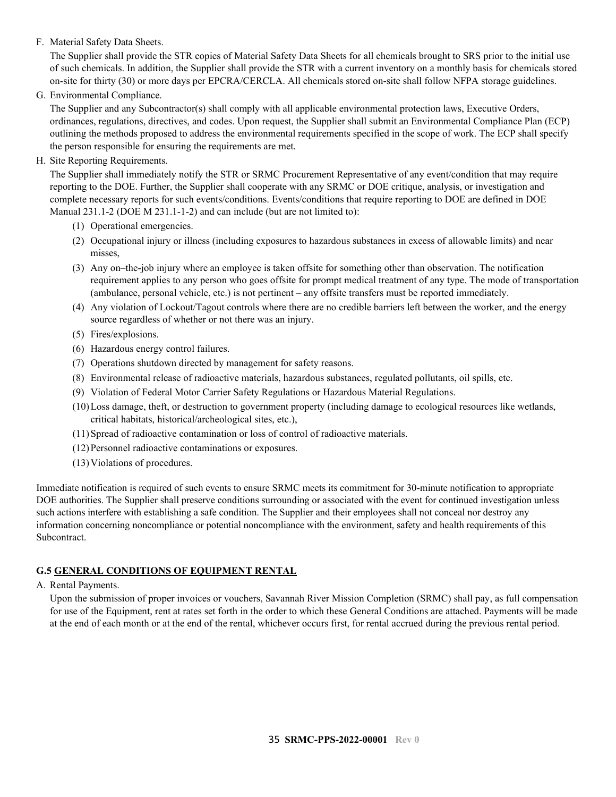### F. Material Safety Data Sheets.

The Supplier shall provide the STR copies of Material Safety Data Sheets for all chemicals brought to SRS prior to the initial use of such chemicals. In addition, the Supplier shall provide the STR with a current inventory on a monthly basis for chemicals stored on-site for thirty (30) or more days per EPCRA/CERCLA. All chemicals stored on-site shall follow NFPA storage guidelines.

G. Environmental Compliance.

The Supplier and any Subcontractor(s) shall comply with all applicable environmental protection laws, Executive Orders, ordinances, regulations, directives, and codes. Upon request, the Supplier shall submit an Environmental Compliance Plan (ECP) outlining the methods proposed to address the environmental requirements specified in the scope of work. The ECP shall specify the person responsible for ensuring the requirements are met.

H. Site Reporting Requirements.

The Supplier shall immediately notify the STR or SRMC Procurement Representative of any event/condition that may require reporting to the DOE. Further, the Supplier shall cooperate with any SRMC or DOE critique, analysis, or investigation and complete necessary reports for such events/conditions. Events/conditions that require reporting to DOE are defined in DOE Manual 231.1-2 (DOE M 231.1-1-2) and can include (but are not limited to):

- (1) Operational emergencies.
- (2) Occupational injury or illness (including exposures to hazardous substances in excess of allowable limits) and near misses,
- (3) Any on–the-job injury where an employee is taken offsite for something other than observation. The notification requirement applies to any person who goes offsite for prompt medical treatment of any type. The mode of transportation (ambulance, personal vehicle, etc.) is not pertinent – any offsite transfers must be reported immediately.
- (4) Any violation of Lockout/Tagout controls where there are no credible barriers left between the worker, and the energy source regardless of whether or not there was an injury.
- (5) Fires/explosions.
- (6) Hazardous energy control failures.
- (7) Operations shutdown directed by management for safety reasons.
- (8) Environmental release of radioactive materials, hazardous substances, regulated pollutants, oil spills, etc.
- (9) Violation of Federal Motor Carrier Safety Regulations or Hazardous Material Regulations.
- (10)Loss damage, theft, or destruction to government property (including damage to ecological resources like wetlands, critical habitats, historical/archeological sites, etc.),
- (11)Spread of radioactive contamination or loss of control of radioactive materials.
- (12)Personnel radioactive contaminations or exposures.
- (13)Violations of procedures.

Immediate notification is required of such events to ensure SRMC meets its commitment for 30-minute notification to appropriate DOE authorities. The Supplier shall preserve conditions surrounding or associated with the event for continued investigation unless such actions interfere with establishing a safe condition. The Supplier and their employees shall not conceal nor destroy any information concerning noncompliance or potential noncompliance with the environment, safety and health requirements of this Subcontract.

### <span id="page-34-0"></span>**G.5 GENERAL CONDITIONS OF EQUIPMENT RENTAL**

### A. Rental Payments.

Upon the submission of proper invoices or vouchers, Savannah River Mission Completion (SRMC) shall pay, as full compensation for use of the Equipment, rent at rates set forth in the order to which these General Conditions are attached. Payments will be made at the end of each month or at the end of the rental, whichever occurs first, for rental accrued during the previous rental period.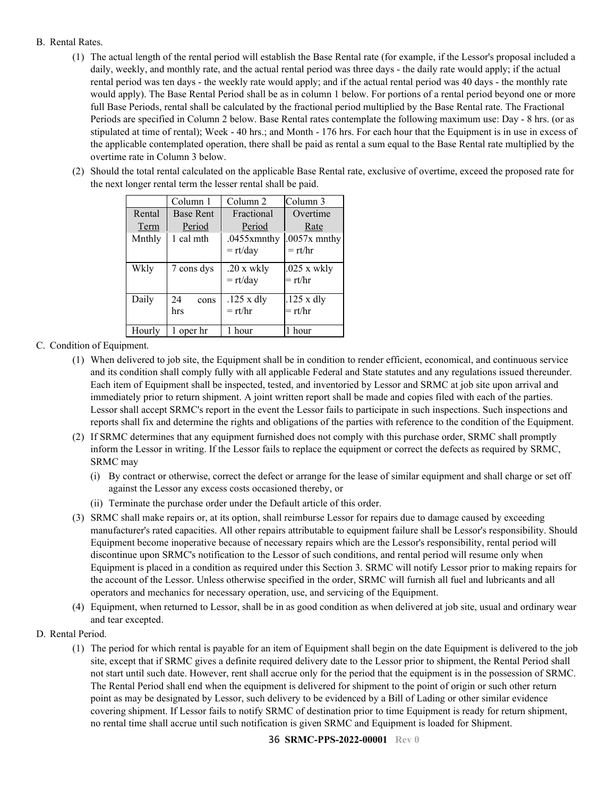#### B. Rental Rates.

- (1) The actual length of the rental period will establish the Base Rental rate (for example, if the Lessor's proposal included a daily, weekly, and monthly rate, and the actual rental period was three days - the daily rate would apply; if the actual rental period was ten days - the weekly rate would apply; and if the actual rental period was 40 days - the monthly rate would apply). The Base Rental Period shall be as in column 1 below. For portions of a rental period beyond one or more full Base Periods, rental shall be calculated by the fractional period multiplied by the Base Rental rate. The Fractional Periods are specified in Column 2 below. Base Rental rates contemplate the following maximum use: Day - 8 hrs. (or as stipulated at time of rental); Week - 40 hrs.; and Month - 176 hrs. For each hour that the Equipment is in use in excess of the applicable contemplated operation, there shall be paid as rental a sum equal to the Base Rental rate multiplied by the overtime rate in Column 3 below.
- (2) Should the total rental calculated on the applicable Base Rental rate, exclusive of overtime, exceed the proposed rate for the next longer rental term the lesser rental shall be paid.

|        | Column 1         | Column 2                 | Column <sub>3</sub>        |
|--------|------------------|--------------------------|----------------------------|
| Rental | <b>Base Rent</b> | Fractional               | Overtime                   |
| Term   | Period           | Period                   | Rate                       |
| Mnthly | 1 cal mth        | $.0455$ xmnthy           | $.0057x$ mnthy             |
|        |                  | $=$ rt/day               | $=$ rt/hr                  |
| Wkly   | 7 cons dys       | .20 x wkly<br>$=$ rt/day | $.025$ x wkly<br>$=$ rt/hr |
|        |                  |                          |                            |
| Daily  | 24<br>cons       | $.125 \times$ dly        | $.125 \times$ dly          |
|        | hrs              | $=$ rt/hr                | $=$ rt/hr                  |
| Hourly | 1 oper hr        | 1 hour                   | 1 hour                     |

#### C. Condition of Equipment.

- (1) When delivered to job site, the Equipment shall be in condition to render efficient, economical, and continuous service and its condition shall comply fully with all applicable Federal and State statutes and any regulations issued thereunder. Each item of Equipment shall be inspected, tested, and inventoried by Lessor and SRMC at job site upon arrival and immediately prior to return shipment. A joint written report shall be made and copies filed with each of the parties. Lessor shall accept SRMC's report in the event the Lessor fails to participate in such inspections. Such inspections and reports shall fix and determine the rights and obligations of the parties with reference to the condition of the Equipment.
- (2) If SRMC determines that any equipment furnished does not comply with this purchase order, SRMC shall promptly inform the Lessor in writing. If the Lessor fails to replace the equipment or correct the defects as required by SRMC, SRMC may
	- (i) By contract or otherwise, correct the defect or arrange for the lease of similar equipment and shall charge or set off against the Lessor any excess costs occasioned thereby, or
	- (ii) Terminate the purchase order under the Default article of this order.
- (3) SRMC shall make repairs or, at its option, shall reimburse Lessor for repairs due to damage caused by exceeding manufacturer's rated capacities. All other repairs attributable to equipment failure shall be Lessor's responsibility. Should Equipment become inoperative because of necessary repairs which are the Lessor's responsibility, rental period will discontinue upon SRMC's notification to the Lessor of such conditions, and rental period will resume only when Equipment is placed in a condition as required under this Section 3. SRMC will notify Lessor prior to making repairs for the account of the Lessor. Unless otherwise specified in the order, SRMC will furnish all fuel and lubricants and all operators and mechanics for necessary operation, use, and servicing of the Equipment.
- (4) Equipment, when returned to Lessor, shall be in as good condition as when delivered at job site, usual and ordinary wear and tear excepted.
- D. Rental Period.
	- (1) The period for which rental is payable for an item of Equipment shall begin on the date Equipment is delivered to the job site, except that if SRMC gives a definite required delivery date to the Lessor prior to shipment, the Rental Period shall not start until such date. However, rent shall accrue only for the period that the equipment is in the possession of SRMC. The Rental Period shall end when the equipment is delivered for shipment to the point of origin or such other return point as may be designated by Lessor, such delivery to be evidenced by a Bill of Lading or other similar evidence covering shipment. If Lessor fails to notify SRMC of destination prior to time Equipment is ready for return shipment, no rental time shall accrue until such notification is given SRMC and Equipment is loaded for Shipment.

#### 36 **SRMC-PPS-2022-00001 Rev 0**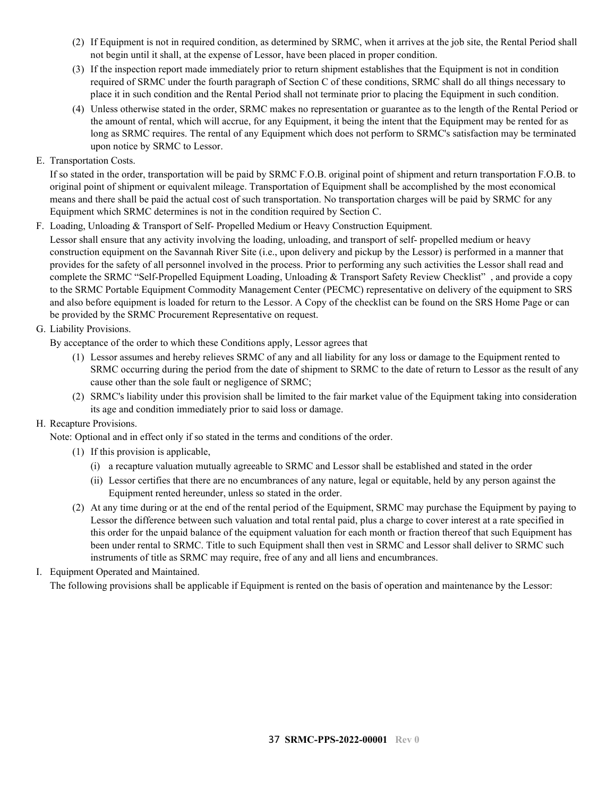- (2) If Equipment is not in required condition, as determined by SRMC, when it arrives at the job site, the Rental Period shall not begin until it shall, at the expense of Lessor, have been placed in proper condition.
- (3) If the inspection report made immediately prior to return shipment establishes that the Equipment is not in condition required of SRMC under the fourth paragraph of Section C of these conditions, SRMC shall do all things necessary to place it in such condition and the Rental Period shall not terminate prior to placing the Equipment in such condition.
- (4) Unless otherwise stated in the order, SRMC makes no representation or guarantee as to the length of the Rental Period or the amount of rental, which will accrue, for any Equipment, it being the intent that the Equipment may be rented for as long as SRMC requires. The rental of any Equipment which does not perform to SRMC's satisfaction may be terminated upon notice by SRMC to Lessor.
- E. Transportation Costs.

If so stated in the order, transportation will be paid by SRMC F.O.B. original point of shipment and return transportation F.O.B. to original point of shipment or equivalent mileage. Transportation of Equipment shall be accomplished by the most economical means and there shall be paid the actual cost of such transportation. No transportation charges will be paid by SRMC for any Equipment which SRMC determines is not in the condition required by Section C.

F. Loading, Unloading & Transport of Self- Propelled Medium or Heavy Construction Equipment.

Lessor shall ensure that any activity involving the loading, unloading, and transport of self- propelled medium or heavy construction equipment on the Savannah River Site (i.e., upon delivery and pickup by the Lessor) is performed in a manner that provides for the safety of all personnel involved in the process. Prior to performing any such activities the Lessor shall read and complete the SRMC "Self-Propelled Equipment Loading, Unloading & Transport Safety Review Checklist" , and provide a copy to the SRMC Portable Equipment Commodity Management Center (PECMC) representative on delivery of the equipment to SRS and also before equipment is loaded for return to the Lessor. A Copy of the checklist can be found on the SRS Home Page or can be provided by the SRMC Procurement Representative on request.

### G. Liability Provisions.

By acceptance of the order to which these Conditions apply, Lessor agrees that

- (1) Lessor assumes and hereby relieves SRMC of any and all liability for any loss or damage to the Equipment rented to SRMC occurring during the period from the date of shipment to SRMC to the date of return to Lessor as the result of any cause other than the sole fault or negligence of SRMC;
- (2) SRMC's liability under this provision shall be limited to the fair market value of the Equipment taking into consideration its age and condition immediately prior to said loss or damage.

### H. Recapture Provisions.

Note: Optional and in effect only if so stated in the terms and conditions of the order.

- (1) If this provision is applicable,
	- (i) a recapture valuation mutually agreeable to SRMC and Lessor shall be established and stated in the order
	- (ii) Lessor certifies that there are no encumbrances of any nature, legal or equitable, held by any person against the Equipment rented hereunder, unless so stated in the order.
- (2) At any time during or at the end of the rental period of the Equipment, SRMC may purchase the Equipment by paying to Lessor the difference between such valuation and total rental paid, plus a charge to cover interest at a rate specified in this order for the unpaid balance of the equipment valuation for each month or fraction thereof that such Equipment has been under rental to SRMC. Title to such Equipment shall then vest in SRMC and Lessor shall deliver to SRMC such instruments of title as SRMC may require, free of any and all liens and encumbrances.

### I. Equipment Operated and Maintained.

The following provisions shall be applicable if Equipment is rented on the basis of operation and maintenance by the Lessor: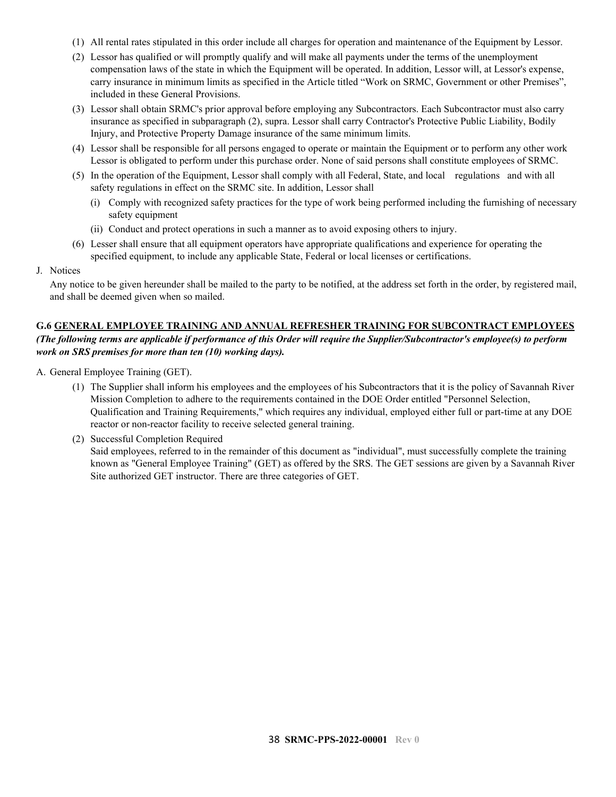- (1) All rental rates stipulated in this order include all charges for operation and maintenance of the Equipment by Lessor.
- (2) Lessor has qualified or will promptly qualify and will make all payments under the terms of the unemployment compensation laws of the state in which the Equipment will be operated. In addition, Lessor will, at Lessor's expense, carry insurance in minimum limits as specified in the Article titled "Work on SRMC, Government or other Premises", included in these General Provisions.
- (3) Lessor shall obtain SRMC's prior approval before employing any Subcontractors. Each Subcontractor must also carry insurance as specified in subparagraph (2), supra. Lessor shall carry Contractor's Protective Public Liability, Bodily Injury, and Protective Property Damage insurance of the same minimum limits.
- (4) Lessor shall be responsible for all persons engaged to operate or maintain the Equipment or to perform any other work Lessor is obligated to perform under this purchase order. None of said persons shall constitute employees of SRMC.
- (5) In the operation of the Equipment, Lessor shall comply with all Federal, State, and local regulations and with all safety regulations in effect on the SRMC site. In addition, Lessor shall
	- (i) Comply with recognized safety practices for the type of work being performed including the furnishing of necessary safety equipment
	- (ii) Conduct and protect operations in such a manner as to avoid exposing others to injury.
- (6) Lesser shall ensure that all equipment operators have appropriate qualifications and experience for operating the specified equipment, to include any applicable State, Federal or local licenses or certifications.
- J. Notices

Any notice to be given hereunder shall be mailed to the party to be notified, at the address set forth in the order, by registered mail, and shall be deemed given when so mailed.

#### <span id="page-37-0"></span>**G.6 GENERAL EMPLOYEE TRAINING AND ANNUAL REFRESHER TRAINING FOR SUBCONTRACT EMPLOYEES**

*(The following terms are applicable if performance of this Order will require the Supplier/Subcontractor's employee(s) to perform work on SRS premises for more than ten (10) working days).*

- A. General Employee Training (GET).
	- (1) The Supplier shall inform his employees and the employees of his Subcontractors that it is the policy of Savannah River Mission Completion to adhere to the requirements contained in the DOE Order entitled "Personnel Selection, Qualification and Training Requirements," which requires any individual, employed either full or part-time at any DOE reactor or non-reactor facility to receive selected general training.
	- (2) Successful Completion Required Said employees, referred to in the remainder of this document as "individual", must successfully complete the training known as "General Employee Training" (GET) as offered by the SRS. The GET sessions are given by a Savannah River Site authorized GET instructor. There are three categories of GET.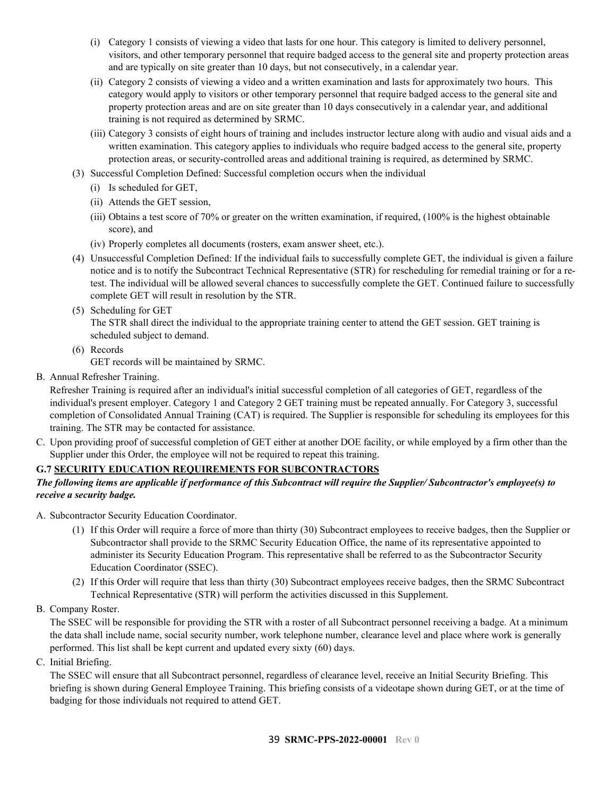- (i) Category 1 consists of viewing a video that lasts for one hour. This category is limited to delivery personnel, visitors, and other temporary personnel that require badged access to the general site and property protection areas and are typically on site greater than 10 days, but not consecutively, in a calendar year.
- (ii) Category 2 consists of viewing a video and a written examination and lasts for approximately two hours. This category would apply to visitors or other temporary personnel that require badged access to the general site and property protection areas and are on site greater than 10 days consecutively in a calendar year, and additional training is not required as determined by SRMC.
- (iii) Category 3 consists of eight hours of training and includes instructor lecture along with audio and visual aids and a written examination. This category applies to individuals who require badged access to the general site, property protection areas, or security-controlled areas and additional training is required, as determined by SRMC.
- (3) Successful Completion Defined: Successful completion occurs when the individual
	- (i) Is scheduled for GET,
	- (ii) Attends the GET session,
	- (iii) Obtains a test score of 70% or greater on the written examination, if required, (100% is the highest obtainable score), and
	- (iv) Properly completes all documents (rosters, exam answer sheet, etc.).
- (4) Unsuccessful Completion Defined: If the individual fails to successfully complete GET, the individual is given a failure notice and is to notify the Subcontract Technical Representative (STR) for rescheduling for remedial training or for a retest. The individual will be allowed several chances to successfully complete the GET. Continued failure to successfully complete GET will result in resolution by the STR.
- (5) Scheduling for GET

The STR shall direct the individual to the appropriate training center to attend the GET session. GET training is scheduled subject to demand.

- (6) Records GET records will be maintained by SRMC.
- B. Annual Refresher Training.

Refresher Training is required after an individual's initial successful completion of all categories of GET, regardless of the individual's present employer. Category 1 and Category 2 GET training must be repeated annually. For Category 3, successful completion of Consolidated Annual Training (CAT) is required. The Supplier is responsible for scheduling its employees for this training. The STR may be contacted for assistance.

C. Upon providing proof of successful completion of GET either at another DOE facility, or while employed by a firm other than the Supplier under this Order, the employee will not be required to repeat this training.

### <span id="page-38-0"></span>**G.7 SECURITY EDUCATION REQUIREMENTS FOR SUBCONTRACTORS**

#### *The following items are applicable if performance of this Subcontract will require the Supplier/ Subcontractor's employee(s) to receive a security badge.*

- A. Subcontractor Security Education Coordinator.
	- (1) If this Order will require a force of more than thirty (30) Subcontract employees to receive badges, then the Supplier or Subcontractor shall provide to the SRMC Security Education Office, the name of its representative appointed to administer its Security Education Program. This representative shall be referred to as the Subcontractor Security Education Coordinator (SSEC).
	- (2) If this Order will require that less than thirty (30) Subcontract employees receive badges, then the SRMC Subcontract Technical Representative (STR) will perform the activities discussed in this Supplement.
- B. Company Roster.

The SSEC will be responsible for providing the STR with a roster of all Subcontract personnel receiving a badge. At a minimum the data shall include name, social security number, work telephone number, clearance level and place where work is generally performed. This list shall be kept current and updated every sixty (60) days.

C. Initial Briefing.

The SSEC will ensure that all Subcontract personnel, regardless of clearance level, receive an Initial Security Briefing. This briefing is shown during General Employee Training. This briefing consists of a videotape shown during GET, or at the time of badging for those individuals not required to attend GET.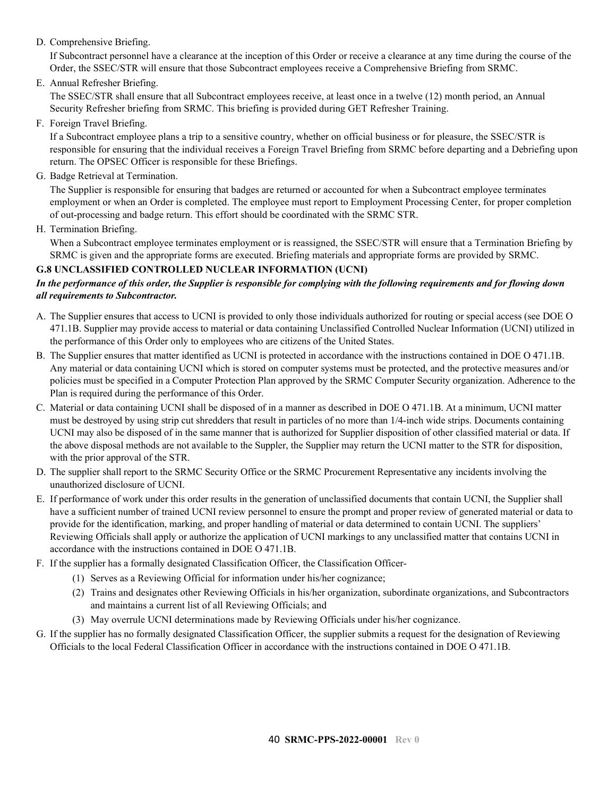D. Comprehensive Briefing.

If Subcontract personnel have a clearance at the inception of this Order or receive a clearance at any time during the course of the Order, the SSEC/STR will ensure that those Subcontract employees receive a Comprehensive Briefing from SRMC.

E. Annual Refresher Briefing.

The SSEC/STR shall ensure that all Subcontract employees receive, at least once in a twelve (12) month period, an Annual Security Refresher briefing from SRMC. This briefing is provided during GET Refresher Training.

F. Foreign Travel Briefing.

If a Subcontract employee plans a trip to a sensitive country, whether on official business or for pleasure, the SSEC/STR is responsible for ensuring that the individual receives a Foreign Travel Briefing from SRMC before departing and a Debriefing upon return. The OPSEC Officer is responsible for these Briefings.

G. Badge Retrieval at Termination.

The Supplier is responsible for ensuring that badges are returned or accounted for when a Subcontract employee terminates employment or when an Order is completed. The employee must report to Employment Processing Center, for proper completion of out-processing and badge return. This effort should be coordinated with the SRMC STR.

H. Termination Briefing.

When a Subcontract employee terminates employment or is reassigned, the SSEC/STR will ensure that a Termination Briefing by SRMC is given and the appropriate forms are executed. Briefing materials and appropriate forms are provided by SRMC.

### <span id="page-39-0"></span>**G.8 UNCLASSIFIED CONTROLLED NUCLEAR INFORMATION (UCNI)**

### *In the performance of this order, the Supplier is responsible for complying with the following requirements and for flowing down all requirements to Subcontractor.*

- A. The Supplier ensures that access to UCNI is provided to only those individuals authorized for routing or special access (see DOE O 471.1B. Supplier may provide access to material or data containing Unclassified Controlled Nuclear Information (UCNI) utilized in the performance of this Order only to employees who are citizens of the United States.
- B. The Supplier ensures that matter identified as UCNI is protected in accordance with the instructions contained in DOE O 471.1B. Any material or data containing UCNI which is stored on computer systems must be protected, and the protective measures and/or policies must be specified in a Computer Protection Plan approved by the SRMC Computer Security organization. Adherence to the Plan is required during the performance of this Order.
- C. Material or data containing UCNI shall be disposed of in a manner as described in DOE O 471.1B. At a minimum, UCNI matter must be destroyed by using strip cut shredders that result in particles of no more than 1/4-inch wide strips. Documents containing UCNI may also be disposed of in the same manner that is authorized for Supplier disposition of other classified material or data. If the above disposal methods are not available to the Suppler, the Supplier may return the UCNI matter to the STR for disposition, with the prior approval of the STR.
- D. The supplier shall report to the SRMC Security Office or the SRMC Procurement Representative any incidents involving the unauthorized disclosure of UCNI.
- E. If performance of work under this order results in the generation of unclassified documents that contain UCNI, the Supplier shall have a sufficient number of trained UCNI review personnel to ensure the prompt and proper review of generated material or data to provide for the identification, marking, and proper handling of material or data determined to contain UCNI. The suppliers' Reviewing Officials shall apply or authorize the application of UCNI markings to any unclassified matter that contains UCNI in accordance with the instructions contained in DOE O 471.1B.
- F. If the supplier has a formally designated Classification Officer, the Classification Officer-
	- (1) Serves as a Reviewing Official for information under his/her cognizance;
	- (2) Trains and designates other Reviewing Officials in his/her organization, subordinate organizations, and Subcontractors and maintains a current list of all Reviewing Officials; and
	- (3) May overrule UCNI determinations made by Reviewing Officials under his/her cognizance.
- G. If the supplier has no formally designated Classification Officer, the supplier submits a request for the designation of Reviewing Officials to the local Federal Classification Officer in accordance with the instructions contained in DOE O 471.1B.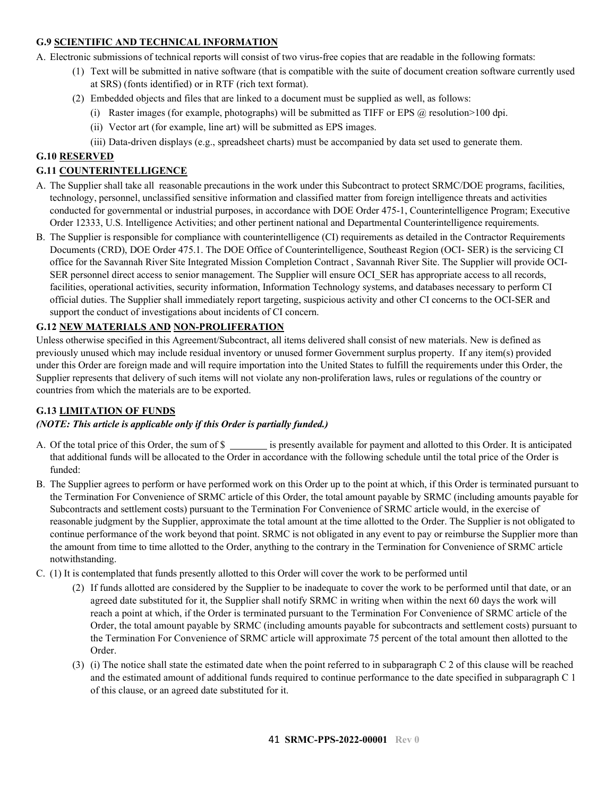### <span id="page-40-0"></span>**G.9 SCIENTIFIC AND TECHNICAL INFORMATION**

A. Electronic submissions of technical reports will consist of two virus-free copies that are readable in the following formats:

- (1) Text will be submitted in native software (that is compatible with the suite of document creation software currently used at SRS) (fonts identified) or in RTF (rich text format).
- (2) Embedded objects and files that are linked to a document must be supplied as well, as follows:
	- (i) Raster images (for example, photographs) will be submitted as TIFF or EPS  $@$  resolution > 100 dpi.
	- (ii) Vector art (for example, line art) will be submitted as EPS images.
	- (iii) Data-driven displays (e.g., spreadsheet charts) must be accompanied by data set used to generate them.

### <span id="page-40-1"></span>**G.10 RESERVED**

### <span id="page-40-2"></span>**G.11 COUNTERINTELLIGENCE**

- A. The Supplier shall take all reasonable precautions in the work under this Subcontract to protect SRMC/DOE programs, facilities, technology, personnel, unclassified sensitive information and classified matter from foreign intelligence threats and activities conducted for governmental or industrial purposes, in accordance with DOE Order 475-1, Counterintelligence Program; Executive Order 12333, U.S. Intelligence Activities; and other pertinent national and Departmental Counterintelligence requirements.
- B. The Supplier is responsible for compliance with counterintelligence (CI) requirements as detailed in the Contractor Requirements Documents (CRD), DOE Order 475.1. The DOE Office of Counterintelligence, Southeast Region (OCI- SER) is the servicing CI office for the Savannah River Site Integrated Mission Completion Contract , Savannah River Site. The Supplier will provide OCI-SER personnel direct access to senior management. The Supplier will ensure OCI\_SER has appropriate access to all records, facilities, operational activities, security information, Information Technology systems, and databases necessary to perform CI official duties. The Supplier shall immediately report targeting, suspicious activity and other CI concerns to the OCI-SER and support the conduct of investigations about incidents of CI concern.

### <span id="page-40-3"></span>**G.12 NEW MATERIALS AND NON-PROLIFERATION**

Unless otherwise specified in this Agreement/Subcontract, all items delivered shall consist of new materials. New is defined as previously unused which may include residual inventory or unused former Government surplus property. If any item(s) provided under this Order are foreign made and will require importation into the United States to fulfill the requirements under this Order, the Supplier represents that delivery of such items will not violate any non-proliferation laws, rules or regulations of the country or countries from which the materials are to be exported.

#### <span id="page-40-4"></span>**G.13 LIMITATION OF FUNDS**

#### *(NOTE: This article is applicable only if this Order is partially funded.)*

- A. Of the total price of this Order, the sum of \$ is presently available for payment and allotted to this Order. It is anticipated that additional funds will be allocated to the Order in accordance with the following schedule until the total price of the Order is funded:
- B. The Supplier agrees to perform or have performed work on this Order up to the point at which, if this Order is terminated pursuant to the Termination For Convenience of SRMC article of this Order, the total amount payable by SRMC (including amounts payable for Subcontracts and settlement costs) pursuant to the Termination For Convenience of SRMC article would, in the exercise of reasonable judgment by the Supplier, approximate the total amount at the time allotted to the Order. The Supplier is not obligated to continue performance of the work beyond that point. SRMC is not obligated in any event to pay or reimburse the Supplier more than the amount from time to time allotted to the Order, anything to the contrary in the Termination for Convenience of SRMC article notwithstanding.
- C. (1) It is contemplated that funds presently allotted to this Order will cover the work to be performed until
	- (2) If funds allotted are considered by the Supplier to be inadequate to cover the work to be performed until that date, or an agreed date substituted for it, the Supplier shall notify SRMC in writing when within the next 60 days the work will reach a point at which, if the Order is terminated pursuant to the Termination For Convenience of SRMC article of the Order, the total amount payable by SRMC (including amounts payable for subcontracts and settlement costs) pursuant to the Termination For Convenience of SRMC article will approximate 75 percent of the total amount then allotted to the Order.
	- (3) (i) The notice shall state the estimated date when the point referred to in subparagraph C 2 of this clause will be reached and the estimated amount of additional funds required to continue performance to the date specified in subparagraph C 1 of this clause, or an agreed date substituted for it.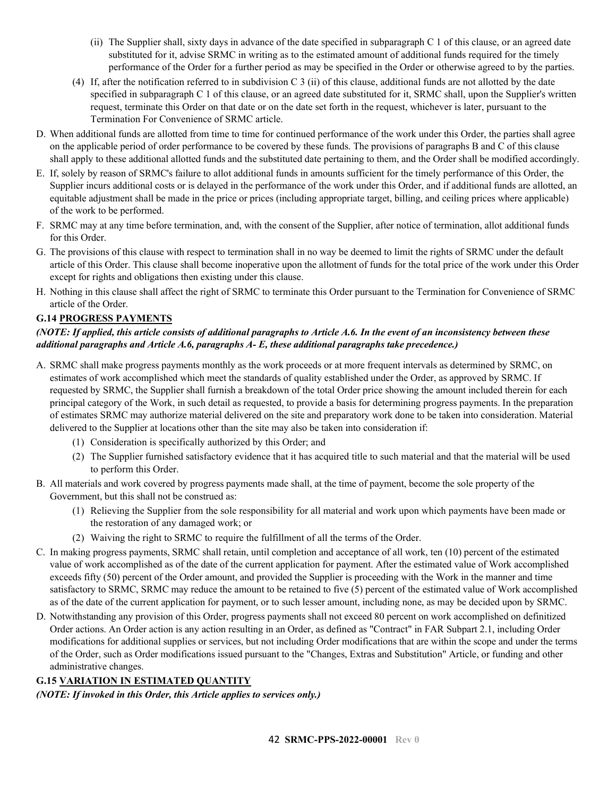- (ii) The Supplier shall, sixty days in advance of the date specified in subparagraph C 1 of this clause, or an agreed date substituted for it, advise SRMC in writing as to the estimated amount of additional funds required for the timely performance of the Order for a further period as may be specified in the Order or otherwise agreed to by the parties.
- (4) If, after the notification referred to in subdivision C 3 (ii) of this clause, additional funds are not allotted by the date specified in subparagraph C 1 of this clause, or an agreed date substituted for it, SRMC shall, upon the Supplier's written request, terminate this Order on that date or on the date set forth in the request, whichever is later, pursuant to the Termination For Convenience of SRMC article.
- D. When additional funds are allotted from time to time for continued performance of the work under this Order, the parties shall agree on the applicable period of order performance to be covered by these funds. The provisions of paragraphs B and C of this clause shall apply to these additional allotted funds and the substituted date pertaining to them, and the Order shall be modified accordingly.
- E. If, solely by reason of SRMC's failure to allot additional funds in amounts sufficient for the timely performance of this Order, the Supplier incurs additional costs or is delayed in the performance of the work under this Order, and if additional funds are allotted, an equitable adjustment shall be made in the price or prices (including appropriate target, billing, and ceiling prices where applicable) of the work to be performed.
- F. SRMC may at any time before termination, and, with the consent of the Supplier, after notice of termination, allot additional funds for this Order.
- G. The provisions of this clause with respect to termination shall in no way be deemed to limit the rights of SRMC under the default article of this Order. This clause shall become inoperative upon the allotment of funds for the total price of the work under this Order except for rights and obligations then existing under this clause.
- H. Nothing in this clause shall affect the right of SRMC to terminate this Order pursuant to the Termination for Convenience of SRMC article of the Order.

### <span id="page-41-0"></span>**G.14 PROGRESS PAYMENTS**

### *(NOTE: If applied, this article consists of additional paragraphs to Article A.6. In the event of an inconsistency between these additional paragraphs and Article A.6, paragraphs A- E, these additional paragraphs take precedence.)*

- A. SRMC shall make progress payments monthly as the work proceeds or at more frequent intervals as determined by SRMC, on estimates of work accomplished which meet the standards of quality established under the Order, as approved by SRMC. If requested by SRMC, the Supplier shall furnish a breakdown of the total Order price showing the amount included therein for each principal category of the Work, in such detail as requested, to provide a basis for determining progress payments. In the preparation of estimates SRMC may authorize material delivered on the site and preparatory work done to be taken into consideration. Material delivered to the Supplier at locations other than the site may also be taken into consideration if:
	- (1) Consideration is specifically authorized by this Order; and
	- (2) The Supplier furnished satisfactory evidence that it has acquired title to such material and that the material will be used to perform this Order.
- B. All materials and work covered by progress payments made shall, at the time of payment, become the sole property of the Government, but this shall not be construed as:
	- (1) Relieving the Supplier from the sole responsibility for all material and work upon which payments have been made or the restoration of any damaged work; or
	- (2) Waiving the right to SRMC to require the fulfillment of all the terms of the Order.
- C. In making progress payments, SRMC shall retain, until completion and acceptance of all work, ten (10) percent of the estimated value of work accomplished as of the date of the current application for payment. After the estimated value of Work accomplished exceeds fifty (50) percent of the Order amount, and provided the Supplier is proceeding with the Work in the manner and time satisfactory to SRMC, SRMC may reduce the amount to be retained to five (5) percent of the estimated value of Work accomplished as of the date of the current application for payment, or to such lesser amount, including none, as may be decided upon by SRMC.
- D. Notwithstanding any provision of this Order, progress payments shall not exceed 80 percent on work accomplished on definitized Order actions. An Order action is any action resulting in an Order, as defined as "Contract" in FAR Subpart 2.1, including Order modifications for additional supplies or services, but not including Order modifications that are within the scope and under the terms of the Order, such as Order modifications issued pursuant to the "Changes, Extras and Substitution" Article, or funding and other administrative changes.

### <span id="page-41-1"></span>**G.15 VARIATION IN ESTIMATED QUANTITY**

*(NOTE: If invoked in this Order, this Article applies to services only.)*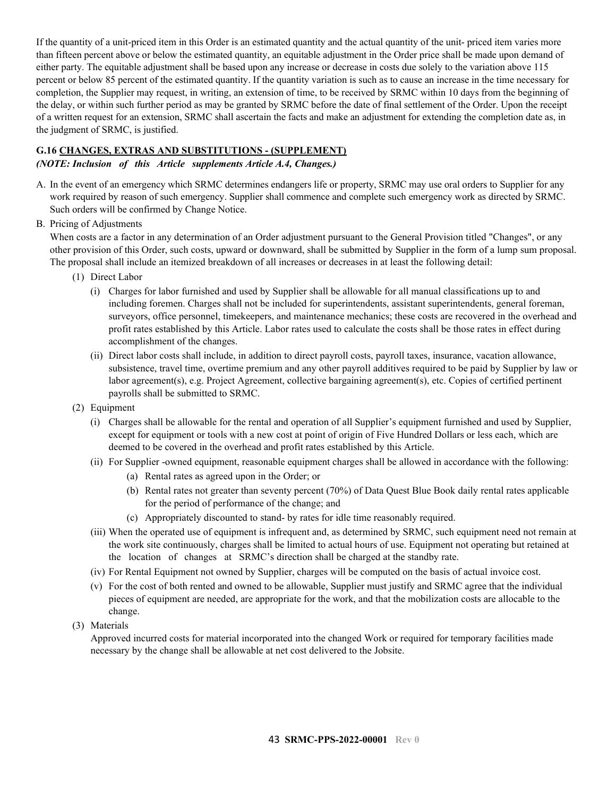If the quantity of a unit-priced item in this Order is an estimated quantity and the actual quantity of the unit- priced item varies more than fifteen percent above or below the estimated quantity, an equitable adjustment in the Order price shall be made upon demand of either party. The equitable adjustment shall be based upon any increase or decrease in costs due solely to the variation above 115 percent or below 85 percent of the estimated quantity. If the quantity variation is such as to cause an increase in the time necessary for completion, the Supplier may request, in writing, an extension of time, to be received by SRMC within 10 days from the beginning of the delay, or within such further period as may be granted by SRMC before the date of final settlement of the Order. Upon the receipt of a written request for an extension, SRMC shall ascertain the facts and make an adjustment for extending the completion date as, in the judgment of SRMC, is justified.

### <span id="page-42-0"></span>**G.16 CHANGES, EXTRAS AND SUBSTITUTIONS - (SUPPLEMENT)**

### *(NOTE: Inclusion of this Article supplements Article A.4, Changes.)*

- A. In the event of an emergency which SRMC determines endangers life or property, SRMC may use oral orders to Supplier for any work required by reason of such emergency. Supplier shall commence and complete such emergency work as directed by SRMC. Such orders will be confirmed by Change Notice.
- B. Pricing of Adjustments

When costs are a factor in any determination of an Order adjustment pursuant to the General Provision titled "Changes", or any other provision of this Order, such costs, upward or downward, shall be submitted by Supplier in the form of a lump sum proposal. The proposal shall include an itemized breakdown of all increases or decreases in at least the following detail:

- (1) Direct Labor
	- (i) Charges for labor furnished and used by Supplier shall be allowable for all manual classifications up to and including foremen. Charges shall not be included for superintendents, assistant superintendents, general foreman, surveyors, office personnel, timekeepers, and maintenance mechanics; these costs are recovered in the overhead and profit rates established by this Article. Labor rates used to calculate the costs shall be those rates in effect during accomplishment of the changes.
	- (ii) Direct labor costs shall include, in addition to direct payroll costs, payroll taxes, insurance, vacation allowance, subsistence, travel time, overtime premium and any other payroll additives required to be paid by Supplier by law or labor agreement(s), e.g. Project Agreement, collective bargaining agreement(s), etc. Copies of certified pertinent payrolls shall be submitted to SRMC.
- (2) Equipment
	- (i) Charges shall be allowable for the rental and operation of all Supplier's equipment furnished and used by Supplier, except for equipment or tools with a new cost at point of origin of Five Hundred Dollars or less each, which are deemed to be covered in the overhead and profit rates established by this Article.
	- (ii) For Supplier -owned equipment, reasonable equipment charges shall be allowed in accordance with the following: (a) Rental rates as agreed upon in the Order; or
		- (b) Rental rates not greater than seventy percent (70%) of Data Quest Blue Book daily rental rates applicable for the period of performance of the change; and
		- (c) Appropriately discounted to stand- by rates for idle time reasonably required.
	- (iii) When the operated use of equipment is infrequent and, as determined by SRMC, such equipment need not remain at the work site continuously, charges shall be limited to actual hours of use. Equipment not operating but retained at the location of changes at SRMC's direction shall be charged at the standby rate.
	- (iv) For Rental Equipment not owned by Supplier, charges will be computed on the basis of actual invoice cost.
	- (v) For the cost of both rented and owned to be allowable, Supplier must justify and SRMC agree that the individual pieces of equipment are needed, are appropriate for the work, and that the mobilization costs are allocable to the change.
- (3) Materials

Approved incurred costs for material incorporated into the changed Work or required for temporary facilities made necessary by the change shall be allowable at net cost delivered to the Jobsite.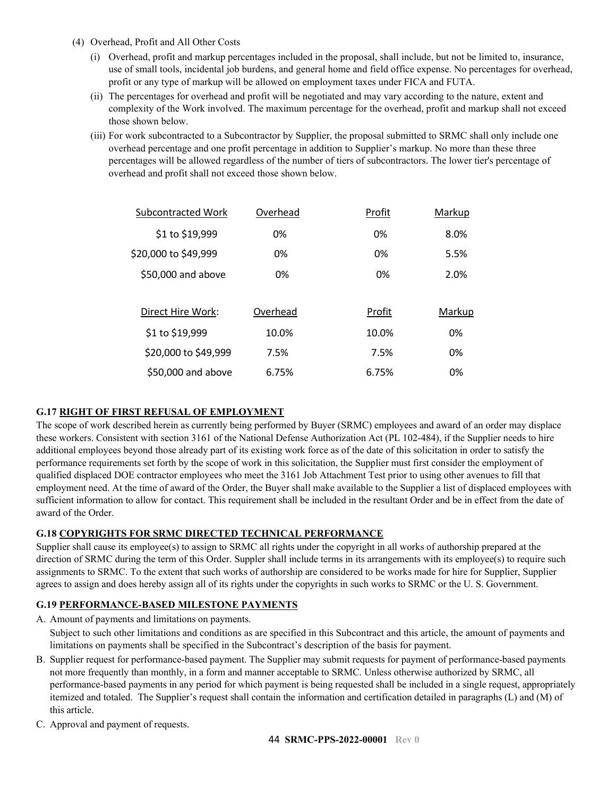- (4) Overhead, Profit and All Other Costs
	- (i) Overhead, profit and markup percentages included in the proposal, shall include, but not be limited to, insurance, use of small tools, incidental job burdens, and general home and field office expense. No percentages for overhead, profit or any type of markup will be allowed on employment taxes under FICA and FUTA.
	- (ii) The percentages for overhead and profit will be negotiated and may vary according to the nature, extent and complexity of the Work involved. The maximum percentage for the overhead, profit and markup shall not exceed those shown below.
	- (iii) For work subcontracted to a Subcontractor by Supplier, the proposal submitted to SRMC shall only include one overhead percentage and one profit percentage in addition to Supplier's markup. No more than these three percentages will be allowed regardless of the number of tiers of subcontractors. The lower tier's percentage of overhead and profit shall not exceed those shown below.

| <b>Subcontracted Work</b> | Overhead | Profit | Markup |
|---------------------------|----------|--------|--------|
| \$1 to \$19,999           | 0%       | 0%     | 8.0%   |
| \$20,000 to \$49,999      | 0%       | 0%     | 5.5%   |
| \$50,000 and above        | 0%       | 0%     | 2.0%   |
|                           |          |        |        |
| Direct Hire Work:         | Overhead | Profit | Markup |
| \$1 to \$19,999           | 10.0%    | 10.0%  | 0%     |
| \$20,000 to \$49,999      | 7.5%     | 7.5%   | 0%     |
| \$50,000 and above        | 6.75%    | 6.75%  | 0%     |

### <span id="page-43-0"></span>**G.17 RIGHT OF FIRST REFUSAL OF EMPLOYMENT**

The scope of work described herein as currently being performed by Buyer (SRMC) employees and award of an order may displace these workers. Consistent with section 3161 of the National Defense Authorization Act (PL 102-484), if the Supplier needs to hire additional employees beyond those already part of its existing work force as of the date of this solicitation in order to satisfy the performance requirements set forth by the scope of work in this solicitation, the Supplier must first consider the employment of qualified displaced DOE contractor employees who meet the 3161 Job Attachment Test prior to using other avenues to fill that employment need. At the time of award of the Order, the Buyer shall make available to the Supplier a list of displaced employees with sufficient information to allow for contact. This requirement shall be included in the resultant Order and be in effect from the date of award of the Order.

### <span id="page-43-1"></span>**G.18 COPYRIGHTS FOR SRMC DIRECTED TECHNICAL PERFORMANCE**

Supplier shall cause its employee(s) to assign to SRMC all rights under the copyright in all works of authorship prepared at the direction of SRMC during the term of this Order. Suppler shall include terms in its arrangements with its employee(s) to require such assignments to SRMC. To the extent that such works of authorship are considered to be works made for hire for Supplier, Supplier agrees to assign and does hereby assign all of its rights under the copyrights in such works to SRMC or the U. S. Government.

### <span id="page-43-2"></span>**G.19 PERFORMANCE-BASED MILESTONE PAYMENTS**

A. Amount of payments and limitations on payments.

Subject to such other limitations and conditions as are specified in this Subcontract and this article, the amount of payments and limitations on payments shall be specified in the Subcontract's description of the basis for payment.

- B. Supplier request for performance-based payment. The Supplier may submit requests for payment of performance-based payments not more frequently than monthly, in a form and manner acceptable to SRMC. Unless otherwise authorized by SRMC, all performance-based payments in any period for which payment is being requested shall be included in a single request, appropriately itemized and totaled. The Supplier's request shall contain the information and certification detailed in paragraphs (L) and (M) of this article.
- C. Approval and payment of requests.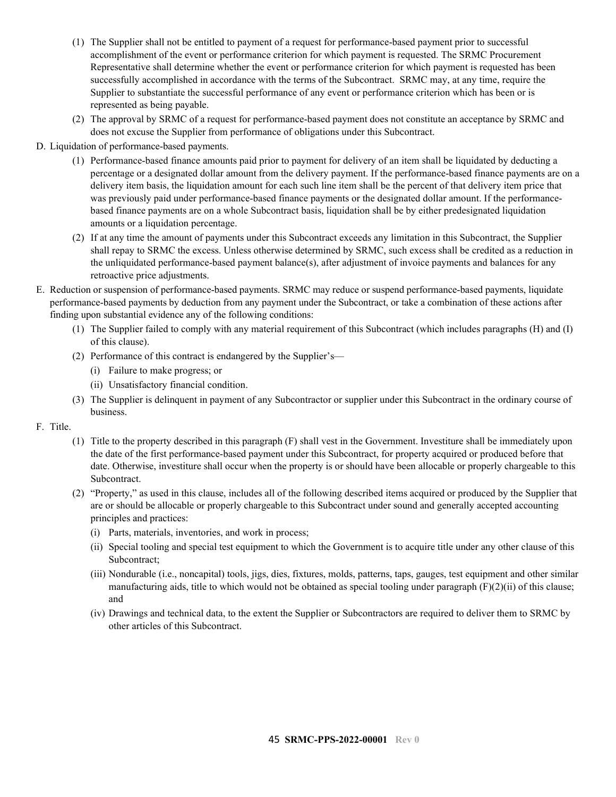- (1) The Supplier shall not be entitled to payment of a request for performance-based payment prior to successful accomplishment of the event or performance criterion for which payment is requested. The SRMC Procurement Representative shall determine whether the event or performance criterion for which payment is requested has been successfully accomplished in accordance with the terms of the Subcontract. SRMC may, at any time, require the Supplier to substantiate the successful performance of any event or performance criterion which has been or is represented as being payable.
- (2) The approval by SRMC of a request for performance-based payment does not constitute an acceptance by SRMC and does not excuse the Supplier from performance of obligations under this Subcontract.

D. Liquidation of performance-based payments.

- (1) Performance-based finance amounts paid prior to payment for delivery of an item shall be liquidated by deducting a percentage or a designated dollar amount from the delivery payment. If the performance-based finance payments are on a delivery item basis, the liquidation amount for each such line item shall be the percent of that delivery item price that was previously paid under performance-based finance payments or the designated dollar amount. If the performancebased finance payments are on a whole Subcontract basis, liquidation shall be by either predesignated liquidation amounts or a liquidation percentage.
- (2) If at any time the amount of payments under this Subcontract exceeds any limitation in this Subcontract, the Supplier shall repay to SRMC the excess. Unless otherwise determined by SRMC, such excess shall be credited as a reduction in the unliquidated performance-based payment balance(s), after adjustment of invoice payments and balances for any retroactive price adjustments.
- E. Reduction or suspension of performance-based payments. SRMC may reduce or suspend performance-based payments, liquidate performance-based payments by deduction from any payment under the Subcontract, or take a combination of these actions after finding upon substantial evidence any of the following conditions:
	- (1) The Supplier failed to comply with any material requirement of this Subcontract (which includes paragraphs (H) and (I) of this clause).
	- (2) Performance of this contract is endangered by the Supplier's—
		- (i) Failure to make progress; or
		- (ii) Unsatisfactory financial condition.
	- (3) The Supplier is delinquent in payment of any Subcontractor or supplier under this Subcontract in the ordinary course of business.
- F. Title.
	- (1) Title to the property described in this paragraph (F) shall vest in the Government. Investiture shall be immediately upon the date of the first performance-based payment under this Subcontract, for property acquired or produced before that date. Otherwise, investiture shall occur when the property is or should have been allocable or properly chargeable to this Subcontract.
	- (2) "Property," as used in this clause, includes all of the following described items acquired or produced by the Supplier that are or should be allocable or properly chargeable to this Subcontract under sound and generally accepted accounting principles and practices:
		- (i) Parts, materials, inventories, and work in process;
		- (ii) Special tooling and special test equipment to which the Government is to acquire title under any other clause of this Subcontract;
		- (iii) Nondurable (i.e., noncapital) tools, jigs, dies, fixtures, molds, patterns, taps, gauges, test equipment and other similar manufacturing aids, title to which would not be obtained as special tooling under paragraph  $(F)(2)(ii)$  of this clause; and
		- (iv) Drawings and technical data, to the extent the Supplier or Subcontractors are required to deliver them to SRMC by other articles of this Subcontract.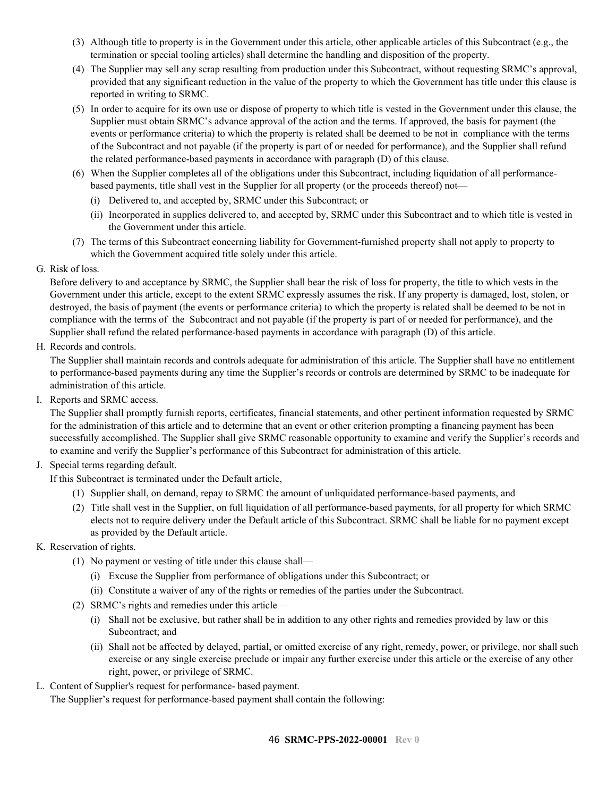- (3) Although title to property is in the Government under this article, other applicable articles of this Subcontract (e.g., the termination or special tooling articles) shall determine the handling and disposition of the property.
- (4) The Supplier may sell any scrap resulting from production under this Subcontract, without requesting SRMC's approval, provided that any significant reduction in the value of the property to which the Government has title under this clause is reported in writing to SRMC.
- (5) In order to acquire for its own use or dispose of property to which title is vested in the Government under this clause, the Supplier must obtain SRMC's advance approval of the action and the terms. If approved, the basis for payment (the events or performance criteria) to which the property is related shall be deemed to be not in compliance with the terms of the Subcontract and not payable (if the property is part of or needed for performance), and the Supplier shall refund the related performance-based payments in accordance with paragraph (D) of this clause.
- (6) When the Supplier completes all of the obligations under this Subcontract, including liquidation of all performancebased payments, title shall vest in the Supplier for all property (or the proceeds thereof) not—
	- (i) Delivered to, and accepted by, SRMC under this Subcontract; or
	- (ii) Incorporated in supplies delivered to, and accepted by, SRMC under this Subcontract and to which title is vested in the Government under this article.
- (7) The terms of this Subcontract concerning liability for Government-furnished property shall not apply to property to which the Government acquired title solely under this article.
- G. Risk of loss.

Before delivery to and acceptance by SRMC, the Supplier shall bear the risk of loss for property, the title to which vests in the Government under this article, except to the extent SRMC expressly assumes the risk. If any property is damaged, lost, stolen, or destroyed, the basis of payment (the events or performance criteria) to which the property is related shall be deemed to be not in compliance with the terms of the Subcontract and not payable (if the property is part of or needed for performance), and the Supplier shall refund the related performance-based payments in accordance with paragraph (D) of this article.

H. Records and controls.

The Supplier shall maintain records and controls adequate for administration of this article. The Supplier shall have no entitlement to performance-based payments during any time the Supplier's records or controls are determined by SRMC to be inadequate for administration of this article.

I. Reports and SRMC access.

The Supplier shall promptly furnish reports, certificates, financial statements, and other pertinent information requested by SRMC for the administration of this article and to determine that an event or other criterion prompting a financing payment has been successfully accomplished. The Supplier shall give SRMC reasonable opportunity to examine and verify the Supplier's records and to examine and verify the Supplier's performance of this Subcontract for administration of this article.

- J. Special terms regarding default.
	- If this Subcontract is terminated under the Default article,
		- (1) Supplier shall, on demand, repay to SRMC the amount of unliquidated performance-based payments, and
		- (2) Title shall vest in the Supplier, on full liquidation of all performance-based payments, for all property for which SRMC elects not to require delivery under the Default article of this Subcontract. SRMC shall be liable for no payment except as provided by the Default article.
- K. Reservation of rights.
	- (1) No payment or vesting of title under this clause shall—
		- (i) Excuse the Supplier from performance of obligations under this Subcontract; or
		- (ii) Constitute a waiver of any of the rights or remedies of the parties under the Subcontract.
	- (2) SRMC's rights and remedies under this article—
		- (i) Shall not be exclusive, but rather shall be in addition to any other rights and remedies provided by law or this Subcontract; and
		- (ii) Shall not be affected by delayed, partial, or omitted exercise of any right, remedy, power, or privilege, nor shall such exercise or any single exercise preclude or impair any further exercise under this article or the exercise of any other right, power, or privilege of SRMC.
- L. Content of Supplier's request for performance- based payment.

The Supplier's request for performance-based payment shall contain the following: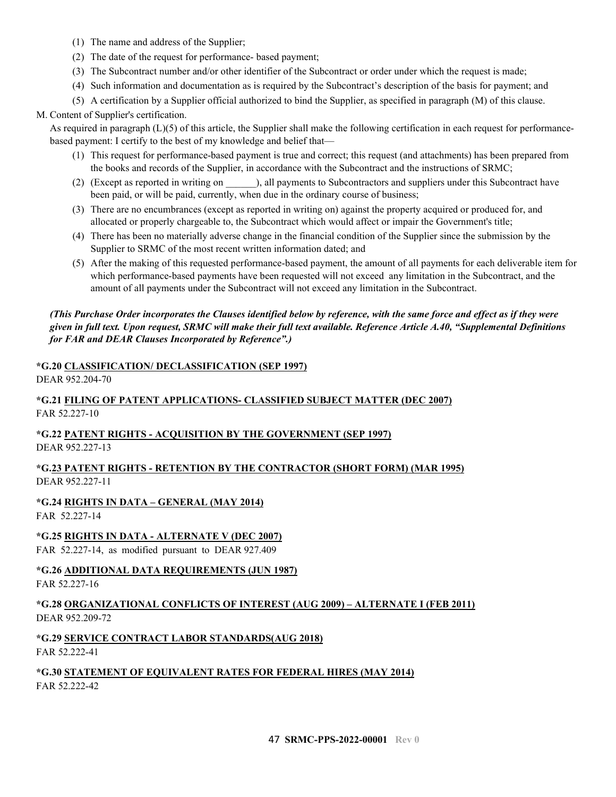- (1) The name and address of the Supplier;
- (2) The date of the request for performance- based payment;
- (3) The Subcontract number and/or other identifier of the Subcontract or order under which the request is made;
- (4) Such information and documentation as is required by the Subcontract's description of the basis for payment; and
- (5) A certification by a Supplier official authorized to bind the Supplier, as specified in paragraph (M) of this clause.

### M. Content of Supplier's certification.

As required in paragraph  $(L)(5)$  of this article, the Supplier shall make the following certification in each request for performancebased payment: I certify to the best of my knowledge and belief that—

- (1) This request for performance-based payment is true and correct; this request (and attachments) has been prepared from the books and records of the Supplier, in accordance with the Subcontract and the instructions of SRMC;
- (2) (Except as reported in writing on  $\qquad$ ), all payments to Subcontractors and suppliers under this Subcontract have been paid, or will be paid, currently, when due in the ordinary course of business;
- (3) There are no encumbrances (except as reported in writing on) against the property acquired or produced for, and allocated or properly chargeable to, the Subcontract which would affect or impair the Government's title;
- (4) There has been no materially adverse change in the financial condition of the Supplier since the submission by the Supplier to SRMC of the most recent written information dated; and
- (5) After the making of this requested performance-based payment, the amount of all payments for each deliverable item for which performance-based payments have been requested will not exceed any limitation in the Subcontract, and the amount of all payments under the Subcontract will not exceed any limitation in the Subcontract.

#### *(This Purchase Order incorporates the Clauses identified below by reference, with the same force and effect as if they were given in full text. Upon request, SRMC will make their full text available. Reference Article A.40, "Supplemental Definitions for FAR and DEAR Clauses Incorporated by Reference".)*

#### <span id="page-46-0"></span>**\*G.20 CLASSIFICATION/ DECLASSIFICATION (SEP 1997)**

DEAR 952.204-70

### <span id="page-46-1"></span>**\*G.21 FILING OF PATENT APPLICATIONS- CLASSIFIED SUBJECT MATTER (DEC 2007)** FAR 52.227-10

### <span id="page-46-2"></span>**\*G.22 PATENT RIGHTS - ACQUISITION BY THE GOVERNMENT (SEP 1997)** DEAR 952.227-13

### <span id="page-46-3"></span>**\*G.23 PATENT RIGHTS - RETENTION BY THE CONTRACTOR (SHORT FORM) (MAR 1995)** DEAR 952.227-11

### <span id="page-46-4"></span>**\*G.24 RIGHTS IN DATA – GENERAL (MAY 2014)**

FAR 52.227-14

### <span id="page-46-5"></span>**\*G.25 RIGHTS IN DATA - ALTERNATE V (DEC 2007)**

FAR 52.227-14, as modified pursuant to DEAR 927.409

<span id="page-46-6"></span>**\*G.26 ADDITIONAL DATA REQUIREMENTS (JUN 1987)** FAR 52.227-16

### <span id="page-46-7"></span>**\*G.28 ORGANIZATIONAL CONFLICTS OF INTEREST (AUG 2009) – ALTERNATE I (FEB 2011)** DEAR 952.209-72

#### <span id="page-46-8"></span>**\*G.29 SERVICE CONTRACT LABOR STANDARDS(AUG 2018)** FAR 52.222-41

### <span id="page-46-9"></span>**\*G.30 STATEMENT OF EQUIVALENT RATES FOR FEDERAL HIRES (MAY 2014)** FAR 52.222-42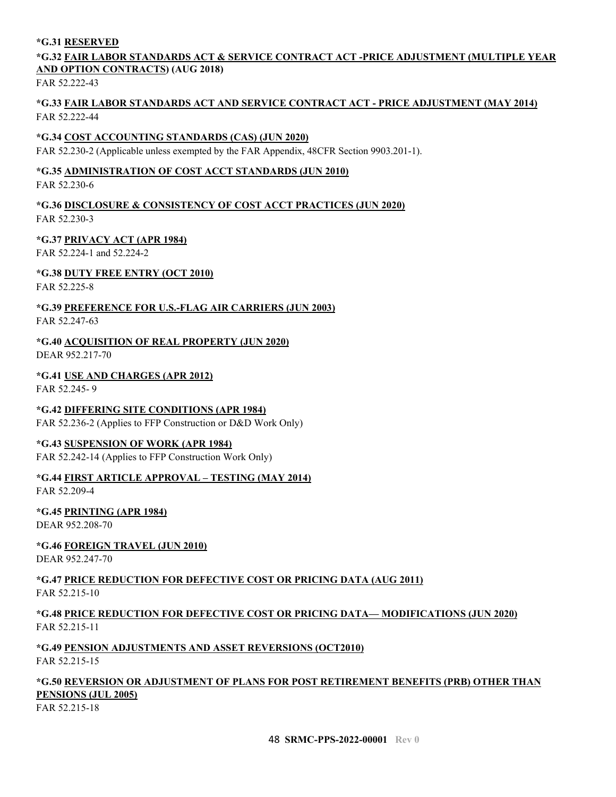#### <span id="page-47-0"></span>**\*G.31 RESERVED**

### <span id="page-47-1"></span>**\*G.32 FAIR LABOR STANDARDS ACT & SERVICE CONTRACT ACT -PRICE ADJUSTMENT (MULTIPLE YEAR AND OPTION CONTRACTS) (AUG 2018)**

FAR 52.222-43

#### <span id="page-47-2"></span>**\*G.33 FAIR LABOR STANDARDS ACT AND SERVICE CONTRACT ACT - PRICE ADJUSTMENT (MAY 2014)** FAR 52.222-44

#### <span id="page-47-3"></span>**\*G.34 COST ACCOUNTING STANDARDS (CAS) (JUN 2020)**

FAR 52.230-2 (Applicable unless exempted by the FAR Appendix, 48CFR Section 9903.201-1).

### <span id="page-47-4"></span>**\*G.35 ADMINISTRATION OF COST ACCT STANDARDS (JUN 2010)**

FAR 52.230-6

#### <span id="page-47-5"></span>**\*G.36 DISCLOSURE & CONSISTENCY OF COST ACCT PRACTICES (JUN 2020)** FAR 52.230-3

#### <span id="page-47-6"></span>**\*G.37 PRIVACY ACT (APR 1984)**

FAR 52.224-1 and 52.224-2

#### <span id="page-47-7"></span>**\*G.38 DUTY FREE ENTRY (OCT 2010)**

FAR 52.225-8

#### <span id="page-47-8"></span>**\*G.39 PREFERENCE FOR U.S.-FLAG AIR CARRIERS (JUN 2003)** FAR 52.247-63

### <span id="page-47-9"></span>**\*G.40 ACQUISITION OF REAL PROPERTY (JUN 2020)**

DEAR 952.217-70

# <span id="page-47-10"></span>**\*G.41 USE AND CHARGES (APR 2012)**

FAR 52.245- 9

### <span id="page-47-11"></span>**\*G.42 DIFFERING SITE CONDITIONS (APR 1984)**

FAR 52.236-2 (Applies to FFP Construction or D&D Work Only)

#### <span id="page-47-12"></span>**\*G.43 SUSPENSION OF WORK (APR 1984)**

FAR 52.242-14 (Applies to FFP Construction Work Only)

### <span id="page-47-13"></span>**\*G.44 FIRST ARTICLE APPROVAL – TESTING (MAY 2014)**

FAR 52.209-4

### <span id="page-47-14"></span>**\*G.45 PRINTING (APR 1984)**

DEAR 952.208-70

### <span id="page-47-15"></span>**\*G.46 FOREIGN TRAVEL (JUN 2010)**

DEAR 952.247-70

### <span id="page-47-16"></span>**\*G.47 PRICE REDUCTION FOR DEFECTIVE COST OR PRICING DATA (AUG 2011)**

FAR 52.215-10

### <span id="page-47-17"></span>**\*G.48 PRICE REDUCTION FOR DEFECTIVE COST OR PRICING DATA— MODIFICATIONS (JUN 2020)** FAR 52.215-11

### <span id="page-47-18"></span>**\*G.49 PENSION ADJUSTMENTS AND ASSET REVERSIONS (OCT2010)**

FAR 52.215-15

### <span id="page-47-19"></span>**\*G.50 REVERSION OR ADJUSTMENT OF PLANS FOR POST RETIREMENT BENEFITS (PRB) OTHER THAN PENSIONS (JUL 2005)**

FAR 52.215-18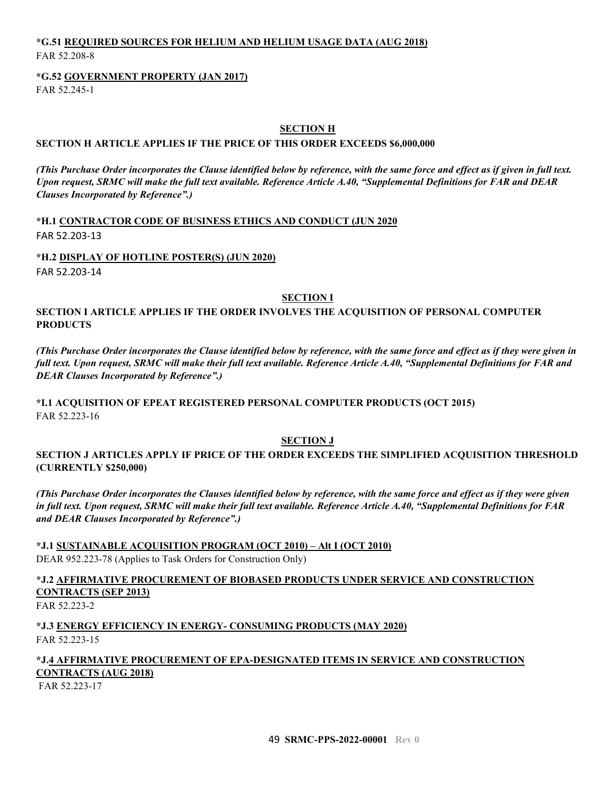### <span id="page-48-0"></span>**\*G.51 REQUIRED SOURCES FOR HELIUM AND HELIUM USAGE DATA (AUG 2018)** FAR 52.208-8

#### <span id="page-48-1"></span>**\*G.52 GOVERNMENT PROPERTY (JAN 2017)**

FAR 52.245-1

#### **SECTION H**

#### <span id="page-48-3"></span><span id="page-48-2"></span>**SECTION H ARTICLE APPLIES IF THE PRICE OF THIS ORDER EXCEEDS \$6,000,000**

*(This Purchase Order incorporates the Clause identified below by reference, with the same force and effect as if given in full text. Upon request, SRMC will make the full text available. Reference Article A.40, "Supplemental Definitions for FAR and DEAR Clauses Incorporated by Reference".)*

<span id="page-48-4"></span>**\*H.1 CONTRACTOR CODE OF BUSINESS ETHICS AND CONDUCT (JUN 2020** FAR 52.203-13

<span id="page-48-5"></span>**\*H.2 DISPLAY OF HOTLINE POSTER(S) (JUN 2020)**

FAR 52.203-14

#### **SECTION I**

<span id="page-48-7"></span><span id="page-48-6"></span>**SECTION I ARTICLE APPLIES IF THE ORDER INVOLVES THE ACQUISITION OF PERSONAL COMPUTER PRODUCTS**

*(This Purchase Order incorporates the Clause identified below by reference, with the same force and effect as if they were given in full text. Upon request, SRMC will make their full text available. Reference Article A.40, "Supplemental Definitions for FAR and DEAR Clauses Incorporated by Reference".)*

<span id="page-48-8"></span>**\*I.1 ACQUISITION OF EPEAT REGISTERED PERSONAL COMPUTER PRODUCTS (OCT 2015)** FAR 52.223-16

### **SECTION J**

<span id="page-48-10"></span><span id="page-48-9"></span>**SECTION J ARTICLES APPLY IF PRICE OF THE ORDER EXCEEDS THE SIMPLIFIED ACQUISITION THRESHOLD (CURRENTLY \$250,000)**

*(This Purchase Order incorporates the Clauses identified below by reference, with the same force and effect as if they were given in full text. Upon request, SRMC will make their full text available. Reference Article A.40, "Supplemental Definitions for FAR and DEAR Clauses Incorporated by Reference".)*

<span id="page-48-11"></span>**\*J.1 SUSTAINABLE ACQUISITION PROGRAM (OCT 2010) – Alt I (OCT 2010)** DEAR 952.223-78 (Applies to Task Orders for Construction Only)

<span id="page-48-12"></span>**\*J.2 AFFIRMATIVE PROCUREMENT OF BIOBASED PRODUCTS UNDER SERVICE AND CONSTRUCTION CONTRACTS (SEP 2013)** FAR 52.223-2

<span id="page-48-13"></span>**\*J.3 ENERGY EFFICIENCY IN ENERGY- CONSUMING PRODUCTS (MAY 2020)** FAR 52.223-15

#### <span id="page-48-14"></span>**\*J.4 AFFIRMATIVE PROCUREMENT OF EPA-DESIGNATED ITEMS IN SERVICE AND CONSTRUCTION CONTRACTS (AUG 2018)**

FAR 52.223-17